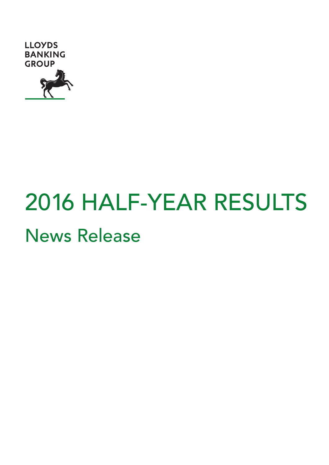

# 2016 HALF-YEAR RESULTS News Release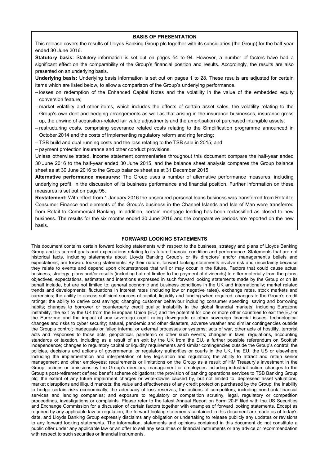## **BASIS OF PRESENTATION**

This release covers the results of Lloyds Banking Group plc together with its subsidiaries (the Group) for the half-year ended 30 June 2016.

**Statutory basis:** Statutory information is set out on pages 54 to 94. However, a number of factors have had a significant effect on the comparability of the Group's financial position and results. Accordingly, the results are also presented on an underlying basis.

**Underlying basis:** Underlying basis information is set out on pages 1 to 28. These results are adjusted for certain items which are listed below, to allow a comparison of the Group's underlying performance.

- losses on redemption of the Enhanced Capital Notes and the volatility in the value of the embedded equity conversion feature;
- market volatility and other items, which includes the effects of certain asset sales, the volatility relating to the Group's own debt and hedging arrangements as well as that arising in the insurance businesses, insurance gross up, the unwind of acquisition-related fair value adjustments and the amortisation of purchased intangible assets;
- restructuring costs, comprising severance related costs relating to the Simplification programme announced in October 2014 and the costs of implementing regulatory reform and ring fencing;
- TSB build and dual running costs and the loss relating to the TSB sale in 2015; and
- payment protection insurance and other conduct provisions.

Unless otherwise stated, income statement commentaries throughout this document compare the half-year ended 30 June 2016 to the half-year ended 30 June 2015, and the balance sheet analysis compares the Group balance sheet as at 30 June 2016 to the Group balance sheet as at 31 December 2015.

**Alternative performance measures:** The Group uses a number of alternative performance measures, including underlying profit, in the discussion of its business performance and financial position. Further information on these measures is set out on page 95.

**Restatement:** With effect from 1 January 2016 the unsecured personal loans business was transferred from Retail to Consumer Finance and elements of the Group's business in the Channel Islands and Isle of Man were transferred from Retail to Commercial Banking. In addition, certain mortgage lending has been reclassified as closed to new business. The results for the six months ended 30 June 2016 and the comparative periods are reported on the new basis.

#### **FORWARD LOOKING STATEMENTS**

This document contains certain forward looking statements with respect to the business, strategy and plans of Lloyds Banking Group and its current goals and expectations relating to its future financial condition and performance. Statements that are not historical facts, including statements about Lloyds Banking Group's or its directors' and/or management's beliefs and expectations, are forward looking statements. By their nature, forward looking statements involve risk and uncertainty because they relate to events and depend upon circumstances that will or may occur in the future. Factors that could cause actual business, strategy, plans and/or results (including but not limited to the payment of dividends) to differ materially from the plans, objectives, expectations, estimates and intentions expressed in such forward looking statements made by the Group or on its behalf include, but are not limited to: general economic and business conditions in the UK and internationally; market related trends and developments; fluctuations in interest rates (including low or negative rates), exchange rates, stock markets and currencies; the ability to access sufficient sources of capital, liquidity and funding when required; changes to the Group's credit ratings; the ability to derive cost savings; changing customer behaviour including consumer spending, saving and borrowing habits; changes to borrower or counterparty credit quality; instability in the global financial markets, including Eurozone instability, the exit by the UK from the European Union (EU) and the potential for one or more other countries to exit the EU or the Eurozone and the impact of any sovereign credit rating downgrade or other sovereign financial issues; technological changes and risks to cyber security; natural, pandemic and other disasters, adverse weather and similar contingencies outside the Group's control; inadequate or failed internal or external processes or systems; acts of war, other acts of hostility, terrorist acts and responses to those acts, geopolitical, pandemic or other such events; changes in laws, regulations, accounting standards or taxation, including as a result of an exit by the UK from the EU, a further possible referendum on Scottish independence; changes to regulatory capital or liquidity requirements and similar contingencies outside the Group's control; the policies, decisions and actions of governmental or regulatory authorities or courts in the UK, the EU, the US or elsewhere including the implementation and interpretation of key legislation and regulation; the ability to attract and retain senior management and other employees; requirements or limitations on the Group as a result of HM Treasury's investment in the Group; actions or omissions by the Group's directors, management or employees including industrial action; changes to the Group's post-retirement defined benefit scheme obligations; the provision of banking operations services to TSB Banking Group plc; the extent of any future impairment charges or write-downs caused by, but not limited to, depressed asset valuations, market disruptions and illiquid markets; the value and effectiveness of any credit protection purchased by the Group; the inability to hedge certain risks economically; the adequacy of loss reserves; the actions of competitors, including non-bank financial services and lending companies; and exposure to regulatory or competition scrutiny, legal, regulatory or competition proceedings, investigations or complaints. Please refer to the latest Annual Report on Form 20-F filed with the US Securities and Exchange Commission for a discussion of certain factors together with examples of forward looking statements. Except as required by any applicable law or regulation, the forward looking statements contained in this document are made as of today's date, and Lloyds Banking Group expressly disclaims any obligation or undertaking to release publicly any updates or revisions to any forward looking statements. The information, statements and opinions contained in this document do not constitute a public offer under any applicable law or an offer to sell any securities or financial instruments or any advice or recommendation with respect to such securities or financial instruments.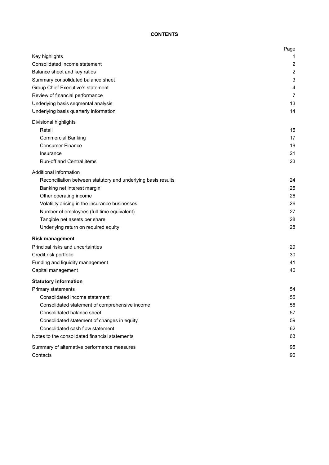# **CONTENTS**

|                                                               | Page           |
|---------------------------------------------------------------|----------------|
| Key highlights                                                | 1              |
| Consolidated income statement                                 | 2              |
| Balance sheet and key ratios                                  | $\overline{2}$ |
| Summary consolidated balance sheet                            | 3              |
| Group Chief Executive's statement                             | 4              |
| Review of financial performance                               | 7              |
| Underlying basis segmental analysis                           | 13             |
| Underlying basis quarterly information                        | 14             |
| Divisional highlights                                         |                |
| Retail                                                        | 15             |
| <b>Commercial Banking</b>                                     | 17             |
| <b>Consumer Finance</b>                                       | 19             |
| Insurance                                                     | 21             |
| Run-off and Central items                                     | 23             |
| Additional information                                        |                |
| Reconciliation between statutory and underlying basis results | 24             |
| Banking net interest margin                                   | 25             |
| Other operating income                                        | 26             |
| Volatility arising in the insurance businesses                | 26             |
| Number of employees (full-time equivalent)                    | 27             |
| Tangible net assets per share                                 | 28             |
| Underlying return on required equity                          | 28             |
| <b>Risk management</b>                                        |                |
| Principal risks and uncertainties                             | 29             |
| Credit risk portfolio                                         | 30             |
| Funding and liquidity management                              | 41             |
| Capital management                                            | 46             |
| <b>Statutory information</b>                                  |                |
| Primary statements                                            | 54             |
| Consolidated income statement                                 | 55             |
| Consolidated statement of comprehensive income                | 56             |
| Consolidated balance sheet                                    | 57             |
| Consolidated statement of changes in equity                   | 59             |
| Consolidated cash flow statement                              | 62             |
| Notes to the consolidated financial statements                | 63             |
| Summary of alternative performance measures                   | 95             |
| Contacts                                                      | 96             |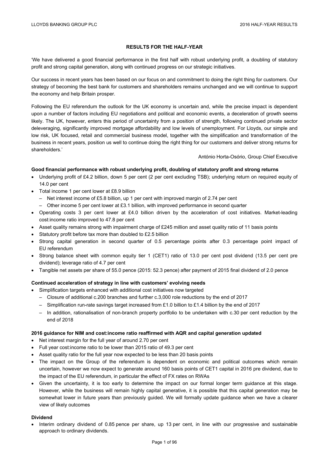# **RESULTS FOR THE HALF-YEAR**

'We have delivered a good financial performance in the first half with robust underlying profit, a doubling of statutory profit and strong capital generation, along with continued progress on our strategic initiatives.

Our success in recent years has been based on our focus on and commitment to doing the right thing for customers. Our strategy of becoming the best bank for customers and shareholders remains unchanged and we will continue to support the economy and help Britain prosper.

Following the EU referendum the outlook for the UK economy is uncertain and, while the precise impact is dependent upon a number of factors including EU negotiations and political and economic events, a deceleration of growth seems likely. The UK, however, enters this period of uncertainty from a position of strength, following continued private sector deleveraging, significantly improved mortgage affordability and low levels of unemployment. For Lloyds, our simple and low risk, UK focused, retail and commercial business model, together with the simplification and transformation of the business in recent years, position us well to continue doing the right thing for our customers and deliver strong returns for shareholders.'

António Horta-Osório, Group Chief Executive

## **Good financial performance with robust underlying profit, doubling of statutory profit and strong returns**

- Underlying profit of £4.2 billion, down 5 per cent (2 per cent excluding TSB); underlying return on required equity of 14.0 per cent
- Total income 1 per cent lower at £8.9 billion
	- Net interest income of £5.8 billion, up 1 per cent with improved margin of 2.74 per cent
	- Other income 5 per cent lower at £3.1 billion, with improved performance in second quarter
- Operating costs 3 per cent lower at £4.0 billion driven by the acceleration of cost initiatives. Market-leading cost:income ratio improved to 47.8 per cent
- Asset quality remains strong with impairment charge of £245 million and asset quality ratio of 11 basis points
- Statutory profit before tax more than doubled to £2.5 billion
- Strong capital generation in second quarter of 0.5 percentage points after 0.3 percentage point impact of EU referendum
- Strong balance sheet with common equity tier 1 (CET1) ratio of 13.0 per cent post dividend (13.5 per cent pre dividend); leverage ratio of 4.7 per cent
- Tangible net assets per share of 55.0 pence (2015: 52.3 pence) after payment of 2015 final dividend of 2.0 pence

## **Continued acceleration of strategy in line with customers' evolving needs**

- Simplification targets enhanced with additional cost initiatives now targeted
	- Closure of additional c.200 branches and further c.3,000 role reductions by the end of 2017
	- Simplification run-rate savings target increased from £1.0 billion to £1.4 billion by the end of 2017
	- In addition, rationalisation of non-branch property portfolio to be undertaken with c.30 per cent reduction by the end of 2018

#### **2016 guidance for NIM and cost:income ratio reaffirmed with AQR and capital generation updated**

- Net interest margin for the full year of around 2.70 per cent
- Full year cost:income ratio to be lower than 2015 ratio of 49.3 per cent
- Asset quality ratio for the full year now expected to be less than 20 basis points
- The impact on the Group of the referendum is dependent on economic and political outcomes which remain uncertain, however we now expect to generate around 160 basis points of CET1 capital in 2016 pre dividend, due to the impact of the EU referendum, in particular the effect of FX rates on RWAs
- Given the uncertainty, it is too early to determine the impact on our formal longer term guidance at this stage. However, while the business will remain highly capital generative, it is possible that this capital generation may be somewhat lower in future years than previously guided. We will formally update guidance when we have a clearer view of likely outcomes

#### **Dividend**

• Interim ordinary dividend of 0.85 pence per share, up 13 per cent, in line with our progressive and sustainable approach to ordinary dividends.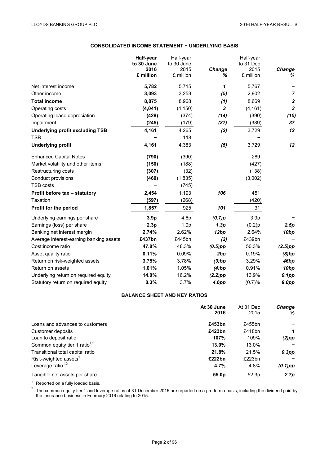# **CONSOLIDATED INCOME STATEMENT − UNDERLYING BASIS**

|                                         | Half-year         | Half-year         |             | Half-year         |                   |  |
|-----------------------------------------|-------------------|-------------------|-------------|-------------------|-------------------|--|
|                                         | to 30 June        | to 30 June        |             | to 31 Dec         |                   |  |
|                                         | 2016<br>£ million | 2015<br>£ million | Change<br>℅ | 2015<br>£ million | Change<br>%       |  |
|                                         |                   |                   |             |                   |                   |  |
| Net interest income                     | 5,782             | 5,715             | 1           | 5,767             |                   |  |
| Other income                            | 3,093             | 3,253             | (5)         | 2,902             | 7                 |  |
| <b>Total income</b>                     | 8,875             | 8,968             | (1)         | 8,669             | $\boldsymbol{2}$  |  |
| Operating costs                         | (4,041)           | (4, 150)          | 3           | (4, 161)          | $\boldsymbol{3}$  |  |
| Operating lease depreciation            | (428)             | (374)             | (14)        | (390)             | (10)              |  |
| Impairment                              | (245)             | (179)             | (37)        | (389)             | 37                |  |
| <b>Underlying profit excluding TSB</b>  | 4,161             | 4,265             | (2)         | 3,729             | 12                |  |
| <b>TSB</b>                              |                   | 118               |             |                   |                   |  |
| <b>Underlying profit</b>                | 4,161             | 4,383             | (5)         | 3,729             | 12                |  |
| <b>Enhanced Capital Notes</b>           | (790)             | (390)             |             | 289               |                   |  |
| Market volatility and other items       | (150)             | (188)             |             | (427)             |                   |  |
| Restructuring costs                     | (307)             | (32)              |             | (138)             |                   |  |
| Conduct provisions                      | (460)             | (1, 835)          |             | (3,002)           |                   |  |
| TSB costs                               |                   | (745)             |             |                   |                   |  |
| Profit before tax - statutory           | 2,454             | 1,193             | 106         | 451               |                   |  |
| Taxation                                | (597)             | (268)             |             | (420)             |                   |  |
| Profit for the period                   | 1,857             | 925               | 101         | 31                |                   |  |
| Underlying earnings per share           | 3.9 <sub>p</sub>  | 4.6p              | (0.7)p      | 3.9 <sub>p</sub>  |                   |  |
| Earnings (loss) per share               | 2.3p              | 1.0 <sub>p</sub>  | 1.3p        | (0.2)p            | 2.5p              |  |
| Banking net interest margin             | 2.74%             | 2.62%             | 12bp        | 2.64%             | 10 <sub>bp</sub>  |  |
| Average interest-earning banking assets | £437bn            | £445bn            | (2)         | £439bn            |                   |  |
| Cost:income ratio                       | 47.8%             | 48.3%             | $(0.5)$ pp  | 50.3%             | $(2.5)$ pp        |  |
| Asset quality ratio                     | 0.11%             | 0.09%             | 2bp         | 0.19%             | (8)bp             |  |
| Return on risk-weighted assets          | 3.75%             | 3.78%             | (3)bp       | 3.29%             | 46bp              |  |
| Return on assets                        | 1.01%             | 1.05%             | (4)bp       | 0.91%             | 10 <sub>bp</sub>  |  |
| Underlying return on required equity    | 14.0%             | 16.2%             | $(2.2)$ pp  | 13.9%             | $0.1$ pp          |  |
| Statutory return on required equity     | 8.3%              | 3.7%              | 4.6pp       | (0.7)%            | 9.0 <sub>pp</sub> |  |

# **BALANCE SHEET AND KEY RATIOS**

|                                           | At 30 June<br>2016 | At 31 Dec<br>2015 | <b>Change</b><br>℅ |
|-------------------------------------------|--------------------|-------------------|--------------------|
| Loans and advances to customers           | £453bn             | £455bn            |                    |
| Customer deposits                         | £423bn             | £418bn            | 1                  |
| Loan to deposit ratio                     | 107%               | 109%              | $(2)$ pp           |
| Common equity tier 1 ratio <sup>1,2</sup> | 13.0%              | 13.0%             |                    |
| Transitional total capital ratio          | 21.8%              | 21.5%             | $0.3$ pp           |
| Risk-weighted assets <sup>1</sup>         | £222bn             | £223bn            |                    |
| Leverage ratio <sup>1,2</sup>             | 4.7%               | 4.8%              | $(0.1)$ pp         |
| Tangible net assets per share             | 55.0 <sub>p</sub>  | 52.3p             | 2.7p               |

 $1$  Reported on a fully loaded basis.

 $2$  The common equity tier 1 and leverage ratios at 31 December 2015 are reported on a pro forma basis, including the dividend paid by the Insurance business in February 2016 relating to 2015.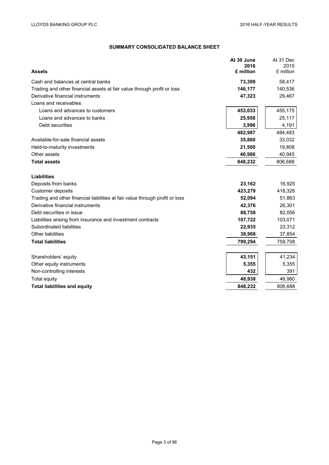# **SUMMARY CONSOLIDATED BALANCE SHEET**

|                                                                              | At 30 June        | At 31 Dec         |
|------------------------------------------------------------------------------|-------------------|-------------------|
| <b>Assets</b>                                                                | 2016<br>£ million | 2015<br>£ million |
|                                                                              |                   |                   |
| Cash and balances at central banks                                           | 73,399            | 58,417            |
| Trading and other financial assets at fair value through profit or loss      | 146,177           | 140,536           |
| Derivative financial instruments                                             | 47,323            | 29,467            |
| Loans and receivables:                                                       |                   |                   |
| Loans and advances to customers                                              | 453,033           | 455,175           |
| Loans and advances to banks                                                  | 25,958            | 25,117            |
| Debt securities                                                              | 3,996             | 4,191             |
|                                                                              | 482,987           | 484,483           |
| Available-for-sale financial assets                                          | 35,860            | 33,032            |
| Held-to-maturity investments                                                 | 21,500            | 19,808            |
| Other assets                                                                 | 40,986            | 40,945            |
| <b>Total assets</b>                                                          | 848,232           | 806,688           |
|                                                                              |                   |                   |
| <b>Liabilities</b>                                                           |                   |                   |
| Deposits from banks                                                          | 23,162            | 16,925            |
| Customer deposits                                                            | 423,279           | 418,326           |
| Trading and other financial liabilities at fair value through profit or loss | 52,094            | 51,863            |
| Derivative financial instruments                                             | 42,376            | 26,301            |
| Debt securities in issue                                                     | 88,758            | 82,056            |
| Liabilities arising from insurance and investment contracts                  | 107,722           | 103,071           |
| Subordinated liabilities                                                     | 22,935            | 23,312            |
| Other liabilities                                                            | 38,968            | 37,854            |
| <b>Total liabilities</b>                                                     | 799,294           | 759,708           |
|                                                                              |                   |                   |
| Shareholders' equity                                                         | 43,151            | 41,234            |
| Other equity instruments                                                     | 5,355             | 5,355             |
| Non-controlling interests                                                    | 432               | 391               |
| Total equity                                                                 | 48,938            | 46,980            |
| <b>Total liabilities and equity</b>                                          | 848,232           | 806,688           |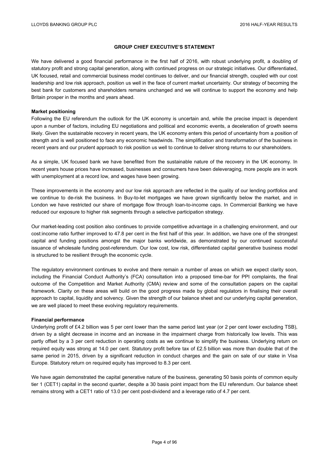# **GROUP CHIEF EXECUTIVE'S STATEMENT**

We have delivered a good financial performance in the first half of 2016, with robust underlying profit, a doubling of statutory profit and strong capital generation, along with continued progress on our strategic initiatives. Our differentiated, UK focused, retail and commercial business model continues to deliver, and our financial strength, coupled with our cost leadership and low risk approach, position us well in the face of current market uncertainty. Our strategy of becoming the best bank for customers and shareholders remains unchanged and we will continue to support the economy and help Britain prosper in the months and years ahead.

#### **Market positioning**

Following the EU referendum the outlook for the UK economy is uncertain and, while the precise impact is dependent upon a number of factors, including EU negotiations and political and economic events, a deceleration of growth seems likely. Given the sustainable recovery in recent years, the UK economy enters this period of uncertainty from a position of strength and is well positioned to face any economic headwinds. The simplification and transformation of the business in recent years and our prudent approach to risk position us well to continue to deliver strong returns to our shareholders.

As a simple, UK focused bank we have benefited from the sustainable nature of the recovery in the UK economy. In recent years house prices have increased, businesses and consumers have been deleveraging, more people are in work with unemployment at a record low, and wages have been growing.

These improvements in the economy and our low risk approach are reflected in the quality of our lending portfolios and we continue to de-risk the business. In Buy-to-let mortgages we have grown significantly below the market, and in London we have restricted our share of mortgage flow through loan-to-income caps. In Commercial Banking we have reduced our exposure to higher risk segments through a selective participation strategy.

Our market-leading cost position also continues to provide competitive advantage in a challenging environment, and our cost:income ratio further improved to 47.8 per cent in the first half of this year. In addition, we have one of the strongest capital and funding positions amongst the major banks worldwide, as demonstrated by our continued successful issuance of wholesale funding post-referendum. Our low cost, low risk, differentiated capital generative business model is structured to be resilient through the economic cycle.

The regulatory environment continues to evolve and there remain a number of areas on which we expect clarity soon, including the Financial Conduct Authority's (FCA) consultation into a proposed time-bar for PPI complaints, the final outcome of the Competition and Market Authority (CMA) review and some of the consultation papers on the capital framework. Clarity on these areas will build on the good progress made by global regulators in finalising their overall approach to capital, liquidity and solvency. Given the strength of our balance sheet and our underlying capital generation, we are well placed to meet these evolving regulatory requirements.

#### **Financial performance**

Underlying profit of £4.2 billion was 5 per cent lower than the same period last year (or 2 per cent lower excluding TSB), driven by a slight decrease in income and an increase in the impairment charge from historically low levels. This was partly offset by a 3 per cent reduction in operating costs as we continue to simplify the business. Underlying return on required equity was strong at 14.0 per cent. Statutory profit before tax of £2.5 billion was more than double that of the same period in 2015, driven by a significant reduction in conduct charges and the gain on sale of our stake in Visa Europe. Statutory return on required equity has improved to 8.3 per cent.

We have again demonstrated the capital generative nature of the business, generating 50 basis points of common equity tier 1 (CET1) capital in the second quarter, despite a 30 basis point impact from the EU referendum. Our balance sheet remains strong with a CET1 ratio of 13.0 per cent post-dividend and a leverage ratio of 4.7 per cent.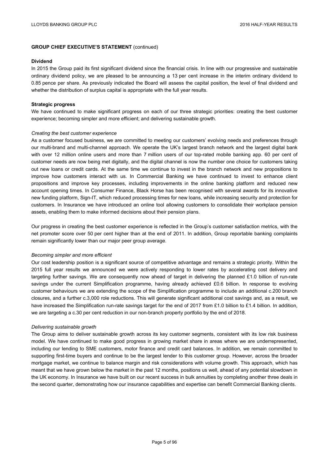# **GROUP CHIEF EXECUTIVE'S STATEMENT** (continued)

#### **Dividend**

In 2015 the Group paid its first significant dividend since the financial crisis. In line with our progressive and sustainable ordinary dividend policy, we are pleased to be announcing a 13 per cent increase in the interim ordinary dividend to 0.85 pence per share. As previously indicated the Board will assess the capital position, the level of final dividend and whether the distribution of surplus capital is appropriate with the full year results.

#### **Strategic progress**

We have continued to make significant progress on each of our three strategic priorities: creating the best customer experience; becoming simpler and more efficient; and delivering sustainable growth.

#### *Creating the best customer experience*

As a customer focused business, we are committed to meeting our customers' evolving needs and preferences through our multi-brand and multi-channel approach. We operate the UK's largest branch network and the largest digital bank with over 12 million online users and more than 7 million users of our top-rated mobile banking app. 60 per cent of customer needs are now being met digitally, and the digital channel is now the number one choice for customers taking out new loans or credit cards. At the same time we continue to invest in the branch network and new propositions to improve how customers interact with us. In Commercial Banking we have continued to invest to enhance client propositions and improve key processes, including improvements in the online banking platform and reduced new account opening times. In Consumer Finance, Black Horse has been recognised with several awards for its innovative new funding platform, Sign-IT, which reduced processing times for new loans, while increasing security and protection for customers. In Insurance we have introduced an online tool allowing customers to consolidate their workplace pension assets, enabling them to make informed decisions about their pension plans.

Our progress in creating the best customer experience is reflected in the Group's customer satisfaction metrics, with the net promoter score over 50 per cent higher than at the end of 2011. In addition, Group reportable banking complaints remain significantly lower than our major peer group average.

#### *Becoming simpler and more efficient*

Our cost leadership position is a significant source of competitive advantage and remains a strategic priority. Within the 2015 full year results we announced we were actively responding to lower rates by accelerating cost delivery and targeting further savings. We are consequently now ahead of target in delivering the planned £1.0 billion of run-rate savings under the current Simplification programme, having already achieved £0.6 billion. In response to evolving customer behaviours we are extending the scope of the Simplification programme to include an additional c.200 branch closures, and a further c.3,000 role reductions. This will generate significant additional cost savings and, as a result, we have increased the Simplification run-rate savings target for the end of 2017 from £1.0 billion to £1.4 billion. In addition, we are targeting a c.30 per cent reduction in our non-branch property portfolio by the end of 2018.

#### *Delivering sustainable growth*

The Group aims to deliver sustainable growth across its key customer segments, consistent with its low risk business model. We have continued to make good progress in growing market share in areas where we are underrepresented, including our lending to SME customers, motor finance and credit card balances. In addition, we remain committed to supporting first-time buyers and continue to be the largest lender to this customer group. However, across the broader mortgage market, we continue to balance margin and risk considerations with volume growth. This approach, which has meant that we have grown below the market in the past 12 months, positions us well, ahead of any potential slowdown in the UK economy. In Insurance we have built on our recent success in bulk annuities by completing another three deals in the second quarter, demonstrating how our insurance capabilities and expertise can benefit Commercial Banking clients.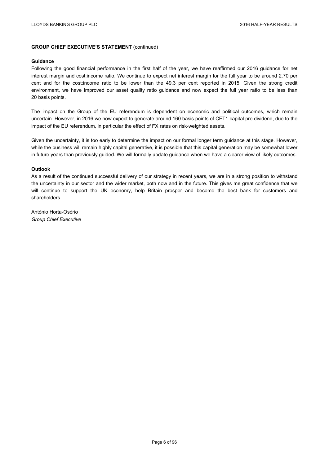# **GROUP CHIEF EXECUTIVE'S STATEMENT** (continued)

#### **Guidance**

Following the good financial performance in the first half of the year, we have reaffirmed our 2016 guidance for net interest margin and cost:income ratio. We continue to expect net interest margin for the full year to be around 2.70 per cent and for the cost:income ratio to be lower than the 49.3 per cent reported in 2015. Given the strong credit environment, we have improved our asset quality ratio guidance and now expect the full year ratio to be less than 20 basis points.

The impact on the Group of the EU referendum is dependent on economic and political outcomes, which remain uncertain. However, in 2016 we now expect to generate around 160 basis points of CET1 capital pre dividend, due to the impact of the EU referendum, in particular the effect of FX rates on risk-weighted assets.

Given the uncertainty, it is too early to determine the impact on our formal longer term guidance at this stage. However, while the business will remain highly capital generative, it is possible that this capital generation may be somewhat lower in future years than previously guided. We will formally update guidance when we have a clearer view of likely outcomes.

## **Outlook**

As a result of the continued successful delivery of our strategy in recent years, we are in a strong position to withstand the uncertainty in our sector and the wider market, both now and in the future. This gives me great confidence that we will continue to support the UK economy, help Britain prosper and become the best bank for customers and shareholders.

António Horta-Osório *Group Chief Executive*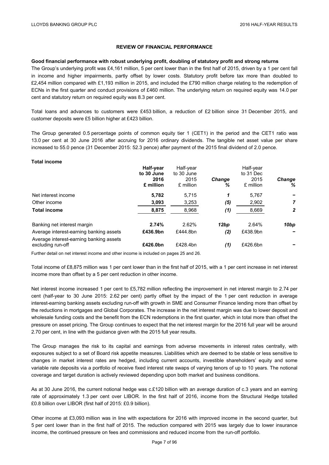# **REVIEW OF FINANCIAL PERFORMANCE**

#### **Good financial performance with robust underlying profit, doubling of statutory profit and strong returns**

The Group's underlying profit was £4,161 million, 5 per cent lower than in the first half of 2015, driven by a 1 per cent fall in income and higher impairments, partly offset by lower costs. Statutory profit before tax more than doubled to £2,454 million compared with £1,193 million in 2015, and included the £790 million charge relating to the redemption of ECNs in the first quarter and conduct provisions of £460 million. The underlying return on required equity was 14.0 per cent and statutory return on required equity was 8.3 per cent.

Total loans and advances to customers were £453 billion, a reduction of £2 billion since 31 December 2015, and customer deposits were £5 billion higher at £423 billion.

The Group generated 0.5 percentage points of common equity tier 1 (CET1) in the period and the CET1 ratio was 13.0 per cent at 30 June 2016 after accruing for 2016 ordinary dividends. The tangible net asset value per share increased to 55.0 pence (31 December 2015: 52.3 pence) after payment of the 2015 final dividend of 2.0 pence.

## **Total income**

|                                                              | Half-year<br>to 30 June<br>2016<br>£ million | Half-year<br>to 30 June<br>2015<br>£ million | <b>Change</b><br>℅ | Half-year<br>to 31 Dec<br>2015<br>£ million | <b>Change</b><br>% |
|--------------------------------------------------------------|----------------------------------------------|----------------------------------------------|--------------------|---------------------------------------------|--------------------|
| Net interest income                                          | 5.782                                        | 5.715                                        | 1                  | 5.767                                       |                    |
| Other income                                                 | 3,093                                        | 3,253                                        | (5)                | 2,902                                       | 7                  |
| <b>Total income</b>                                          | 8,875                                        | 8,968                                        | (1)                | 8,669                                       | $\mathbf{2}$       |
| Banking net interest margin                                  | 2.74%                                        | 2.62%                                        | 12bp               | 2.64%                                       | 10bp               |
| Average interest-earning banking assets                      | £436.9bn                                     | £444.8bn                                     | (2)                | £438.9bn                                    |                    |
| Average interest-earning banking assets<br>excluding run-off | £426.0bn                                     | £428.4bn                                     | (1)                | £426.6bn                                    |                    |

Further detail on net interest income and other income is included on pages 25 and 26.

Total income of £8,875 million was 1 per cent lower than in the first half of 2015, with a 1 per cent increase in net interest income more than offset by a 5 per cent reduction in other income.

Net interest income increased 1 per cent to £5,782 million reflecting the improvement in net interest margin to 2.74 per cent (half-year to 30 June 2015: 2.62 per cent) partly offset by the impact of the 1 per cent reduction in average interest-earning banking assets excluding run-off with growth in SME and Consumer Finance lending more than offset by the reductions in mortgages and Global Corporates. The increase in the net interest margin was due to lower deposit and wholesale funding costs and the benefit from the ECN redemptions in the first quarter, which in total more than offset the pressure on asset pricing. The Group continues to expect that the net interest margin for the 2016 full year will be around 2.70 per cent, in line with the guidance given with the 2015 full year results.

The Group manages the risk to its capital and earnings from adverse movements in interest rates centrally, with exposures subject to a set of Board risk appetite measures. Liabilities which are deemed to be stable or less sensitive to changes in market interest rates are hedged, including current accounts, investible shareholders' equity and some variable rate deposits via a portfolio of receive fixed interest rate swaps of varying tenors of up to 10 years. The notional coverage and target duration is actively reviewed depending upon both market and business conditions.

As at 30 June 2016, the current notional hedge was c.£120 billion with an average duration of c.3 years and an earning rate of approximately 1.3 per cent over LIBOR. In the first half of 2016, income from the Structural Hedge totalled £0.8 billion over LIBOR (first half of 2015: £0.9 billion).

Other income at £3,093 million was in line with expectations for 2016 with improved income in the second quarter, but 5 per cent lower than in the first half of 2015. The reduction compared with 2015 was largely due to lower insurance income, the continued pressure on fees and commissions and reduced income from the run-off portfolio.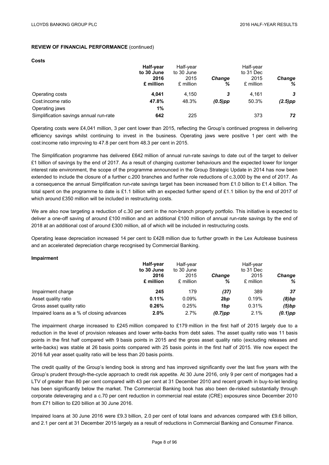| Costs                                  |            |            |               |           |            |
|----------------------------------------|------------|------------|---------------|-----------|------------|
|                                        | Half-year  | Half-year  |               | Half-year |            |
|                                        | to 30 June | to 30 June |               | to 31 Dec |            |
|                                        | 2016       | 2015       | <b>Change</b> | 2015      | Change     |
|                                        | £ million  | £ million  | %             | £ million | ℅          |
| Operating costs                        | 4.041      | 4.150      | 3             | 4,161     | 3          |
| Cost:income ratio                      | 47.8%      | 48.3%      | $(0.5)$ pp    | 50.3%     | $(2.5)$ pp |
| Operating jaws                         | 1%         |            |               |           |            |
| Simplification savings annual run-rate | 642        | 225        |               | 373       | 72         |

Operating costs were £4,041 million, 3 per cent lower than 2015, reflecting the Group's continued progress in delivering efficiency savings whilst continuing to invest in the business. Operating jaws were positive 1 per cent with the cost:income ratio improving to 47.8 per cent from 48.3 per cent in 2015.

The Simplification programme has delivered £642 million of annual run-rate savings to date out of the target to deliver £1 billion of savings by the end of 2017. As a result of changing customer behaviours and the expected lower for longer interest rate environment, the scope of the programme announced in the Group Strategic Update in 2014 has now been extended to include the closure of a further c.200 branches and further role reductions of c.3,000 by the end of 2017. As a consequence the annual Simplification run-rate savings target has been increased from £1.0 billion to £1.4 billion. The total spent on the programme to date is £1.1 billion with an expected further spend of £1.1 billion by the end of 2017 of which around £350 million will be included in restructuring costs.

We are also now targeting a reduction of c.30 per cent in the non-branch property portfolio. This initiative is expected to deliver a one-off saving of around £100 million and an additional £100 million of annual run-rate savings by the end of 2018 at an additional cost of around £300 million, all of which will be included in restructuring costs.

Operating lease depreciation increased 14 per cent to £428 million due to further growth in the Lex Autolease business and an accelerated depreciation charge recognised by Commercial Banking.

## **Impairment**

|                                           | Half-year<br>to 30 June<br>2016<br>£ million | Half-year<br>to 30 June<br>2015<br>£ million | <b>Change</b><br>% | Half-year<br>to 31 Dec<br>2015<br>£ million | Change<br>% |
|-------------------------------------------|----------------------------------------------|----------------------------------------------|--------------------|---------------------------------------------|-------------|
| Impairment charge                         | 245                                          | 179                                          | (37)               | 389                                         | 37          |
| Asset quality ratio                       | 0.11%                                        | 0.09%                                        | 2bp                | 0.19%                                       | (8)bp       |
| Gross asset quality ratio                 | 0.26%                                        | 0.25%                                        | 1bp                | 0.31%                                       | (5)bp       |
| Impaired loans as a % of closing advances | 2.0%                                         | 2.7%                                         | $(0.7)$ pp         | 2.1%                                        | $(0.1)$ pp  |

The impairment charge increased to £245 million compared to £179 million in the first half of 2015 largely due to a reduction in the level of provision releases and lower write-backs from debt sales. The asset quality ratio was 11 basis points in the first half compared with 9 basis points in 2015 and the gross asset quality ratio (excluding releases and write-backs) was stable at 26 basis points compared with 25 basis points in the first half of 2015. We now expect the 2016 full year asset quality ratio will be less than 20 basis points.

The credit quality of the Group's lending book is strong and has improved significantly over the last five years with the Group's prudent through-the-cycle approach to credit risk appetite. At 30 June 2016, only 9 per cent of mortgages had a LTV of greater than 80 per cent compared with 43 per cent at 31 December 2010 and recent growth in buy-to-let lending has been significantly below the market. The Commercial Banking book has also been de-risked substantially through corporate deleveraging and a c.70 per cent reduction in commercial real estate (CRE) exposures since December 2010 from £71 billion to £20 billion at 30 June 2016.

Impaired loans at 30 June 2016 were £9.3 billion, 2.0 per cent of total loans and advances compared with £9.6 billion, and 2.1 per cent at 31 December 2015 largely as a result of reductions in Commercial Banking and Consumer Finance.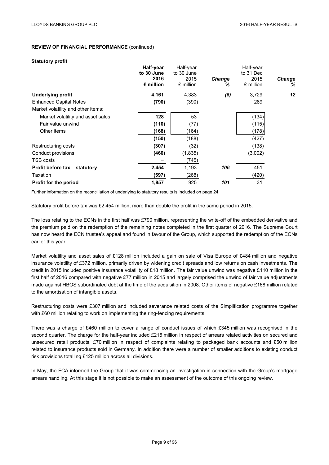# **Statutory profit**

|                                    | Half-year<br>to 30 June | Half-year<br>to 30 June |                    | Half-year<br>to 31 Dec |                    |
|------------------------------------|-------------------------|-------------------------|--------------------|------------------------|--------------------|
|                                    | 2016<br>£ million       | 2015<br>£ million       | <b>Change</b><br>℅ | 2015<br>£ million      | <b>Change</b><br>% |
| <b>Underlying profit</b>           | 4,161                   | 4,383                   | (5)                | 3,729                  | 12                 |
| <b>Enhanced Capital Notes</b>      | (790)                   | (390)                   |                    | 289                    |                    |
| Market volatility and other items: |                         |                         |                    |                        |                    |
| Market volatility and asset sales  | 128                     | 53                      |                    | (134)                  |                    |
| Fair value unwind                  | (110)                   | (77)                    |                    | (115)                  |                    |
| Other items                        | (168)                   | (164)                   |                    | (178)                  |                    |
|                                    | (150)                   | (188)                   |                    | (427)                  |                    |
| Restructuring costs                | (307)                   | (32)                    |                    | (138)                  |                    |
| Conduct provisions                 | (460)                   | (1,835)                 |                    | (3,002)                |                    |
| TSB costs                          |                         | (745)                   |                    |                        |                    |
| Profit before tax - statutory      | 2,454                   | 1,193                   | 106                | 451                    |                    |
| Taxation                           | (597)                   | (268)                   |                    | (420)                  |                    |
| Profit for the period              | 1,857                   | 925                     | 101                | 31                     |                    |
|                                    |                         |                         |                    |                        |                    |

Further information on the reconciliation of underlying to statutory results is included on page 24.

Statutory profit before tax was £2,454 million, more than double the profit in the same period in 2015.

The loss relating to the ECNs in the first half was £790 million, representing the write-off of the embedded derivative and the premium paid on the redemption of the remaining notes completed in the first quarter of 2016. The Supreme Court has now heard the ECN trustee's appeal and found in favour of the Group, which supported the redemption of the ECNs earlier this year.

Market volatility and asset sales of £128 million included a gain on sale of Visa Europe of £484 million and negative insurance volatility of £372 million, primarily driven by widening credit spreads and low returns on cash investments. The credit in 2015 included positive insurance volatility of £18 million. The fair value unwind was negative £110 million in the first half of 2016 compared with negative £77 million in 2015 and largely comprised the unwind of fair value adjustments made against HBOS subordinated debt at the time of the acquisition in 2008. Other items of negative £168 million related to the amortisation of intangible assets.

Restructuring costs were £307 million and included severance related costs of the Simplification programme together with £60 million relating to work on implementing the ring-fencing requirements.

There was a charge of £460 million to cover a range of conduct issues of which £345 million was recognised in the second quarter. The charge for the half-year included £215 million in respect of arrears related activities on secured and unsecured retail products, £70 million in respect of complaints relating to packaged bank accounts and £50 million related to insurance products sold in Germany. In addition there were a number of smaller additions to existing conduct risk provisions totalling £125 million across all divisions.

In May, the FCA informed the Group that it was commencing an investigation in connection with the Group's mortgage arrears handling. At this stage it is not possible to make an assessment of the outcome of this ongoing review.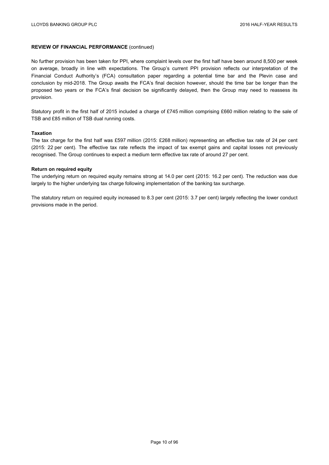No further provision has been taken for PPI, where complaint levels over the first half have been around 8,500 per week on average, broadly in line with expectations. The Group's current PPI provision reflects our interpretation of the Financial Conduct Authority's (FCA) consultation paper regarding a potential time bar and the Plevin case and conclusion by mid-2018. The Group awaits the FCA's final decision however, should the time bar be longer than the proposed two years or the FCA's final decision be significantly delayed, then the Group may need to reassess its provision.

Statutory profit in the first half of 2015 included a charge of £745 million comprising £660 million relating to the sale of TSB and £85 million of TSB dual running costs.

#### **Taxation**

The tax charge for the first half was £597 million (2015: £268 million) representing an effective tax rate of 24 per cent (2015: 22 per cent). The effective tax rate reflects the impact of tax exempt gains and capital losses not previously recognised. The Group continues to expect a medium term effective tax rate of around 27 per cent.

#### **Return on required equity**

The underlying return on required equity remains strong at 14.0 per cent (2015: 16.2 per cent). The reduction was due largely to the higher underlying tax charge following implementation of the banking tax surcharge.

The statutory return on required equity increased to 8.3 per cent (2015: 3.7 per cent) largely reflecting the lower conduct provisions made in the period.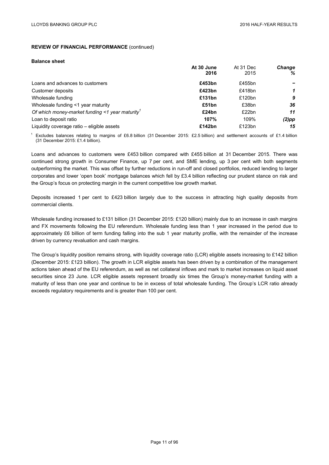| <b>Balance sheet</b>                                        |            |           |               |
|-------------------------------------------------------------|------------|-----------|---------------|
|                                                             | At 30 June | At 31 Dec | <b>Change</b> |
|                                                             | 2016       | 2015      | ℅             |
| Loans and advances to customers                             | £453bn     | £455bn    |               |
| Customer deposits                                           | £423bn     | £418bn    | 1             |
| Wholesale funding                                           | £131bn     | £120bn    | 9             |
| Wholesale funding <1 year maturity                          | £51bn      | £38bn     | 36            |
| Of which money-market funding <1 year maturity <sup>1</sup> | £24bn      | £22bn     | 11            |
| Loan to deposit ratio                                       | 107%       | 109%      | $(2)$ pp      |
| Liquidity coverage ratio – eligible assets                  | £142bn     | £123bn    | 15            |

<sup>1</sup> Excludes balances relating to margins of £6.8 billion (31 December 2015: £2.5 billion) and settlement accounts of £1.4 billion (31 December 2015: £1.4 billion).

Loans and advances to customers were £453 billion compared with £455 billion at 31 December 2015. There was continued strong growth in Consumer Finance, up 7 per cent, and SME lending, up 3 per cent with both segments outperforming the market. This was offset by further reductions in run-off and closed portfolios, reduced lending to larger corporates and lower 'open book' mortgage balances which fell by £3.4 billion reflecting our prudent stance on risk and the Group's focus on protecting margin in the current competitive low growth market.

Deposits increased 1 per cent to £423 billion largely due to the success in attracting high quality deposits from commercial clients.

Wholesale funding increased to £131 billion (31 December 2015: £120 billion) mainly due to an increase in cash margins and FX movements following the EU referendum. Wholesale funding less than 1 year increased in the period due to approximately £6 billion of term funding falling into the sub 1 year maturity profile, with the remainder of the increase driven by currency revaluation and cash margins.

The Group's liquidity position remains strong, with liquidity coverage ratio (LCR) eligible assets increasing to £142 billion (December 2015: £123 billion). The growth in LCR eligible assets has been driven by a combination of the management actions taken ahead of the EU referendum, as well as net collateral inflows and mark to market increases on liquid asset securities since 23 June. LCR eligible assets represent broadly six times the Group's money-market funding with a maturity of less than one year and continue to be in excess of total wholesale funding. The Group's LCR ratio already exceeds regulatory requirements and is greater than 100 per cent.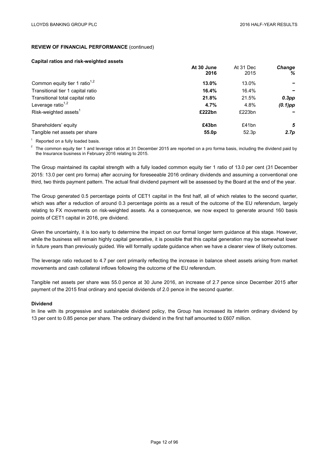#### **Capital ratios and risk-weighted assets**

|                                           | At 30 June        | At 31 Dec | <b>Change</b> |
|-------------------------------------------|-------------------|-----------|---------------|
|                                           | 2016              | 2015      | %             |
| Common equity tier 1 ratio <sup>1,2</sup> | 13.0%             | 13.0%     |               |
| Transitional tier 1 capital ratio         | 16.4%             | 16.4%     |               |
| Transitional total capital ratio          | 21.8%             | 21.5%     | $0.3$ pp      |
| Leverage ratio $1,2$                      | 4.7%              | 4.8%      | $(0.1)$ pp    |
| Risk-weighted assets <sup>1</sup>         | £222bn            | £223bn    |               |
| Shareholders' equity                      | £43bn             | £41bn     | 5             |
| Tangible net assets per share             | 55.0 <sub>p</sub> | 52.3p     | 2.7p          |

 $1$  Reported on a fully loaded basis.

 $^2$  The common equity tier 1 and leverage ratios at 31 December 2015 are reported on a pro forma basis, including the dividend paid by the Insurance business in February 2016 relating to 2015.

The Group maintained its capital strength with a fully loaded common equity tier 1 ratio of 13.0 per cent (31 December 2015: 13.0 per cent pro forma) after accruing for foreseeable 2016 ordinary dividends and assuming a conventional one third, two thirds payment pattern. The actual final dividend payment will be assessed by the Board at the end of the year.

The Group generated 0.5 percentage points of CET1 capital in the first half, all of which relates to the second quarter, which was after a reduction of around 0.3 percentage points as a result of the outcome of the EU referendum, largely relating to FX movements on risk-weighted assets. As a consequence, we now expect to generate around 160 basis points of CET1 capital in 2016, pre dividend.

Given the uncertainty, it is too early to determine the impact on our formal longer term guidance at this stage. However, while the business will remain highly capital generative, it is possible that this capital generation may be somewhat lower in future years than previously guided. We will formally update guidance when we have a clearer view of likely outcomes.

The leverage ratio reduced to 4.7 per cent primarily reflecting the increase in balance sheet assets arising from market movements and cash collateral inflows following the outcome of the EU referendum.

Tangible net assets per share was 55.0 pence at 30 June 2016, an increase of 2.7 pence since December 2015 after payment of the 2015 final ordinary and special dividends of 2.0 pence in the second quarter.

#### **Dividend**

In line with its progressive and sustainable dividend policy, the Group has increased its interim ordinary dividend by 13 per cent to 0.85 pence per share. The ordinary dividend in the first half amounted to £607 million.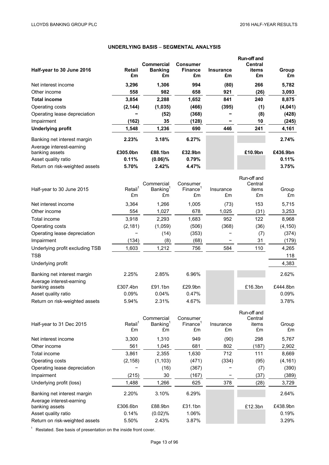# **UNDERLYING BASIS** – **SEGMENTAL ANALYSIS**

| Half-year to 30 June 2016                               | <b>Retail</b><br>£m       | <b>Commercial</b><br><b>Banking</b><br>£m | <b>Consumer</b><br><b>Finance</b><br>£m | <b>Insurance</b><br>£m | Run-off and<br><b>Central</b><br>items<br>£m | Group<br>£m |
|---------------------------------------------------------|---------------------------|-------------------------------------------|-----------------------------------------|------------------------|----------------------------------------------|-------------|
| Net interest income                                     | 3,296                     | 1,306                                     | 994                                     | (80)                   | 266                                          | 5,782       |
| Other income                                            | 558                       | 982                                       | 658                                     | 921                    | (26)                                         | 3,093       |
| <b>Total income</b>                                     | 3,854                     | 2,288                                     | 1,652                                   | 841                    | 240                                          | 8,875       |
| Operating costs                                         | (2, 144)                  | (1,035)                                   | (466)                                   | (395)                  | (1)                                          | (4,041)     |
| Operating lease depreciation                            |                           | (52)                                      | (368)                                   |                        | (8)                                          | (428)       |
| Impairment                                              | (162)                     | 35                                        | (128)                                   |                        | 10                                           | (245)       |
| <b>Underlying profit</b>                                | 1,548                     | 1,236                                     | 690                                     | 446                    | 241                                          | 4,161       |
| Banking net interest margin                             | 2.23%                     | 3.18%                                     | 6.27%                                   |                        |                                              | 2.74%       |
| Average interest-earning<br>banking assets              | £305.0bn                  | £88.1bn                                   | £32.9bn                                 |                        | £10.9bn                                      | £436.9bn    |
| Asset quality ratio                                     | 0.11%                     | $(0.06)\%$                                | 0.79%                                   |                        |                                              | 0.11%       |
| Return on risk-weighted assets                          | 5.70%                     | 2.42%                                     | 4.47%                                   |                        |                                              | 3.75%       |
| Half-year to 30 June 2015                               | Retail <sup>1</sup><br>£m | Commercial<br>Banking <sup>1</sup><br>£m  | Consumer<br>Finance <sup>1</sup><br>£m  | Insurance<br>£m        | Run-off and<br>Central<br>items<br>£m        | Group<br>£m |
| Net interest income                                     | 3,364                     | 1,266                                     | 1,005                                   | (73)                   | 153                                          | 5,715       |
| Other income                                            | 554                       | 1,027                                     | 678                                     | 1,025                  | (31)                                         | 3,253       |
| Total income                                            | 3,918                     | 2,293                                     | 1,683                                   | 952                    | 122                                          | 8,968       |
| Operating costs                                         | (2, 181)                  | (1,059)                                   | (506)                                   | (368)                  | (36)                                         | (4, 150)    |
| Operating lease depreciation                            |                           | (14)                                      | (353)                                   |                        | (7)                                          | (374)       |
| Impairment                                              | (134)                     | (8)                                       | (68)                                    |                        | 31                                           | (179)       |
| Underlying profit excluding TSB                         | 1,603                     | 1,212                                     | 756                                     | 584                    | 110                                          | 4,265       |
| <b>TSB</b>                                              |                           |                                           |                                         |                        |                                              | 118         |
| Underlying profit                                       |                           |                                           |                                         |                        |                                              | 4,383       |
|                                                         |                           |                                           |                                         |                        |                                              |             |
| Banking net interest margin<br>Average interest-earning | 2.25%                     | 2.85%                                     | 6.96%                                   |                        |                                              | 2.62%       |
| banking assets                                          | £307.4bn                  | £91.1bn                                   | £29.9bn                                 |                        | £16.3bn                                      | £444.8bn    |
| Asset quality ratio                                     | 0.09%                     | 0.04%                                     | 0.47%                                   |                        |                                              | 0.09%       |
| Return on risk-weighted assets                          | 5.94%                     | 2.31%                                     | 4.67%                                   |                        |                                              | 3.78%       |
| Half-year to 31 Dec 2015                                | Retail <sup>1</sup><br>£m | Commercial<br>Banking <sup>1</sup><br>£m  | Consumer<br>Finance <sup>1</sup><br>£m  | Insurance<br>£m        | Run-off and<br>Central<br>items<br>£m        | Group<br>£m |
| Net interest income                                     | 3,300                     | 1,310                                     | 949                                     | (90)                   | 298                                          | 5,767       |
| Other income                                            | 561                       | 1,045                                     | 681                                     | 802                    | (187)                                        | 2,902       |
| Total income                                            | 3,861                     | 2,355                                     | 1,630                                   | 712                    | 111                                          | 8,669       |
| Operating costs                                         | (2, 158)                  | (1, 103)                                  | (471)                                   | (334)                  | (95)                                         | (4, 161)    |
| Operating lease depreciation                            |                           | (16)                                      | (367)                                   |                        | (7)                                          | (390)       |
| Impairment                                              | (215)                     | 30                                        | (167)                                   |                        | (37)                                         | (389)       |
| Underlying profit (loss)                                | 1,488                     | 1,266                                     | 625                                     | 378                    | (28)                                         | 3,729       |
| Banking net interest margin                             | 2.20%                     | 3.10%                                     | 6.29%                                   |                        |                                              | 2.64%       |
| Average interest-earning<br>banking assets              | £306.6bn                  | £88.9bn                                   | £31.1bn                                 |                        | £12.3bn                                      | £438.9bn    |
| Asset quality ratio                                     | 0.14%                     | (0.02)%                                   | 1.06%                                   |                        |                                              | 0.19%       |
| Return on risk-weighted assets                          | 5.50%                     | 2.43%                                     | 3.87%                                   |                        |                                              | 3.29%       |

<sup>1</sup> Restated. See basis of presentation on the inside front cover.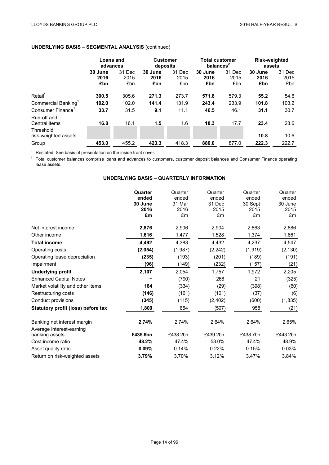|                                   | <b>Loans and</b><br>advances |                       | <b>Customer</b><br>deposits |                       | Total customer<br>balances <sup>2</sup> |                       | <b>Risk-weighted</b><br>assets |                       |
|-----------------------------------|------------------------------|-----------------------|-----------------------------|-----------------------|-----------------------------------------|-----------------------|--------------------------------|-----------------------|
|                                   | 30 June<br>2016<br>£bn       | 31 Dec<br>2015<br>£bn | 30 June<br>2016<br>£bn      | 31 Dec<br>2015<br>£bn | 30 June<br>2016<br>£bn                  | 31 Dec<br>2015<br>£bn | 30 June<br>2016<br>£bn         | 31 Dec<br>2015<br>£bn |
| $Reta I^1$                        | 300.5                        | 305.6                 | 271.3                       | 273.7                 | 571.8                                   | 579.3                 | 55.2                           | 54.6                  |
| Commercial Banking <sup>1</sup>   | 102.0                        | 102.0                 | 141.4                       | 131.9                 | 243.4                                   | 233.9                 | 101.8                          | 103.2                 |
| Consumer Finance                  | 33.7                         | 31.5                  | 9.1                         | 11.1                  | 46.5                                    | 46.1                  | 31.1                           | 30.7                  |
| Run-off and<br>Central items      | 16.8                         | 16.1                  | 1.5                         | 1.6                   | 18.3                                    | 17.7                  | 23.4                           | 23.6                  |
| Threshold<br>risk-weighted assets |                              |                       |                             |                       |                                         |                       | 10.8                           | 10.6                  |
| Group                             | 453.0                        | 455.2                 | 423.3                       | 418.3                 | 880.0                                   | 877.0                 | 222.3                          | 222.7                 |

# **UNDERLYING BASIS** – **SEGMENTAL ANALYSIS** (continued)

<sup>1</sup> Restated. See basis of presentation on the inside front cover.

 $2$  Total customer balances comprise loans and advances to customers, customer deposit balances and Consumer Finance operating lease assets.

# **UNDERLYING BASIS** – **QUARTERLY INFORMATION**

|                                    | Quarter<br>ended<br>30 June<br>2016<br>£m | Quarter<br>ended<br>31 Mar<br>2016<br>£m | Quarter<br>ended<br>31 Dec<br>2015<br>£m | Quarter<br>ended<br>30 Sept<br>2015<br>£m | Quarter<br>ended<br>30 June<br>2015<br>£m |
|------------------------------------|-------------------------------------------|------------------------------------------|------------------------------------------|-------------------------------------------|-------------------------------------------|
| Net interest income                | 2,876                                     | 2,906                                    | 2,904                                    | 2,863                                     | 2,886                                     |
| Other income                       | 1,616                                     | 1,477                                    | 1,528                                    | 1,374                                     | 1,661                                     |
| <b>Total income</b>                | 4,492                                     | 4,383                                    | 4,432                                    | 4,237                                     | 4,547                                     |
| Operating costs                    | (2,054)                                   | (1,987)                                  | (2, 242)                                 | (1,919)                                   | (2, 130)                                  |
| Operating lease depreciation       | (235)                                     | (193)                                    | (201)                                    | (189)                                     | (191)                                     |
| Impairment                         | (96)                                      | (149)                                    | (232)                                    | (157)                                     | (21)                                      |
| <b>Underlying profit</b>           | 2,107                                     | 2,054                                    | 1,757                                    | 1,972                                     | 2,205                                     |
| <b>Enhanced Capital Notes</b>      |                                           | (790)                                    | 268                                      | 21                                        | (325)                                     |
| Market volatility and other items  | 184                                       | (334)                                    | (29)                                     | (398)                                     | (60)                                      |
| Restructuring costs                | (146)                                     | (161)                                    | (101)                                    | (37)                                      | (6)                                       |
| Conduct provisions                 | (345)                                     | (115)                                    | (2, 402)                                 | (600)                                     | (1, 835)                                  |
| Statutory profit (loss) before tax | 1,800                                     | 654                                      | (507)                                    | 958                                       | (21)                                      |
| Banking net interest margin        | 2.74%                                     | 2.74%                                    | 2.64%                                    | 2.64%                                     | 2.65%                                     |
| Average interest-earning           |                                           |                                          |                                          |                                           |                                           |
| banking assets                     | £435.6bn                                  | £438.2bn                                 | £439.2bn                                 | £438.7bn                                  | £443.2bn                                  |
| Cost:income ratio                  | 48.2%                                     | 47.4%                                    | 53.0%                                    | 47.4%                                     | 48.9%                                     |
| Asset quality ratio                | 0.09%                                     | 0.14%                                    | 0.22%                                    | 0.15%                                     | 0.03%                                     |
| Return on risk-weighted assets     | 3.79%                                     | 3.70%                                    | 3.12%                                    | 3.47%                                     | 3.84%                                     |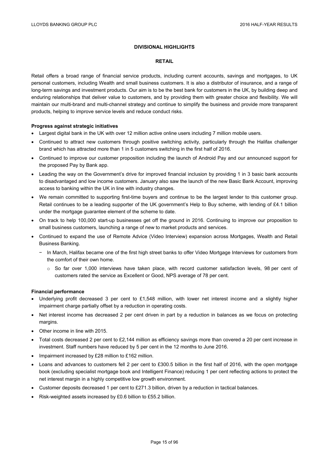# **DIVISIONAL HIGHLIGHTS**

#### **RETAIL**

Retail offers a broad range of financial service products, including current accounts, savings and mortgages, to UK personal customers, including Wealth and small business customers. It is also a distributor of insurance, and a range of long-term savings and investment products. Our aim is to be the best bank for customers in the UK, by building deep and enduring relationships that deliver value to customers, and by providing them with greater choice and flexibility. We will maintain our multi-brand and multi-channel strategy and continue to simplify the business and provide more transparent products, helping to improve service levels and reduce conduct risks.

## **Progress against strategic initiatives**

- Largest digital bank in the UK with over 12 million active online users including 7 million mobile users.
- Continued to attract new customers through positive switching activity, particularly through the Halifax challenger brand which has attracted more than 1 in 5 customers switching in the first half of 2016.
- Continued to improve our customer proposition including the launch of Android Pay and our announced support for the proposed Pay by Bank app.
- Leading the way on the Government's drive for improved financial inclusion by providing 1 in 3 basic bank accounts to disadvantaged and low income customers. January also saw the launch of the new Basic Bank Account, improving access to banking within the UK in line with industry changes.
- We remain committed to supporting first-time buyers and continue to be the largest lender to this customer group. Retail continues to be a leading supporter of the UK government's Help to Buy scheme, with lending of £4.1 billion under the mortgage guarantee element of the scheme to date.
- On track to help 100,000 start-up businesses get off the ground in 2016. Continuing to improve our proposition to small business customers, launching a range of new to market products and services.
- Continued to expand the use of Remote Advice (Video Interview) expansion across Mortgages, Wealth and Retail Business Banking.
	- − In March, Halifax became one of the first high street banks to offer Video Mortgage Interviews for customers from the comfort of their own home.
		- o So far over 1,000 interviews have taken place, with record customer satisfaction levels, 98 per cent of customers rated the service as Excellent or Good, NPS average of 78 per cent.

#### **Financial performance**

- Underlying profit decreased 3 per cent to £1,548 million, with lower net interest income and a slightly higher impairment charge partially offset by a reduction in operating costs.
- Net interest income has decreased 2 per cent driven in part by a reduction in balances as we focus on protecting margins.
- Other income in line with 2015.
- Total costs decreased 2 per cent to £2,144 million as efficiency savings more than covered a 20 per cent increase in investment. Staff numbers have reduced by 5 per cent in the 12 months to June 2016.
- Impairment increased by £28 million to £162 million.
- Loans and advances to customers fell 2 per cent to £300.5 billion in the first half of 2016, with the open mortgage book (excluding specialist mortgage book and Intelligent Finance) reducing 1 per cent reflecting actions to protect the net interest margin in a highly competitive low growth environment.
- Customer deposits decreased 1 per cent to £271.3 billion, driven by a reduction in tactical balances.
- Risk-weighted assets increased by £0.6 billion to £55.2 billion.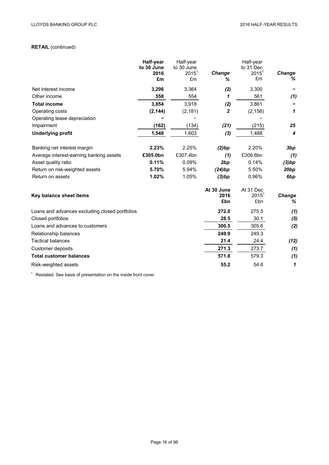# **RETAIL** (continued)

|                                                | Half-year<br>to 30 June<br>2016<br>£m | Half-year<br>to 30 June<br>$2015^1$<br>£m | Change<br>℅               | Half-year<br>to 31 Dec<br>$2015^1$<br>£m | Change<br>℅      |
|------------------------------------------------|---------------------------------------|-------------------------------------------|---------------------------|------------------------------------------|------------------|
| Net interest income                            | 3,296                                 | 3,364                                     | (2)                       | 3,300                                    |                  |
| Other income                                   | 558                                   | 554                                       | 1                         | 561                                      | (1)              |
| <b>Total income</b>                            | 3,854                                 | 3,918                                     | (2)                       | 3,861                                    |                  |
| Operating costs                                | (2, 144)                              | (2, 181)                                  | 2                         | (2, 158)                                 | 1                |
| Operating lease depreciation                   |                                       |                                           |                           |                                          |                  |
| Impairment                                     | (162)                                 | (134)                                     | (21)                      | (215)                                    | 25               |
| <b>Underlying profit</b>                       | 1,548                                 | 1,603                                     | (3)                       | 1,488                                    | 4                |
| Banking net interest margin                    | 2.23%                                 | 2.25%                                     | (2)bp                     | 2.20%                                    | 3bp              |
| Average interest-earning banking assets        | £305.0bn                              | £307.4bn                                  | (1)                       | £306.6bn                                 | (1)              |
| Asset quality ratio                            | 0.11%                                 | 0.09%                                     | 2bp                       | 0.14%                                    | (3)bp            |
| Return on risk-weighted assets                 | 5.70%                                 | 5.94%                                     | (24)bp                    | 5.50%                                    | 20 <sub>bp</sub> |
| Return on assets                               | 1.02%                                 | 1.05%                                     | (3)bp                     | 0.96%                                    | 6bp              |
| Key balance sheet items                        |                                       |                                           | At 30 June<br>2016<br>£bn | At 31 Dec<br>$2015^1$<br>£bn             | Change<br>%      |
| Loans and advances excluding closed portfolios |                                       |                                           | 272.0                     | 275.5                                    | (1)              |
| Closed portfolios                              |                                       |                                           | 28.5                      | 30.1                                     | (5)              |
| Loans and advances to customers                |                                       |                                           | 300.5                     | 305.6                                    | (2)              |
| Relationship balances                          |                                       |                                           | 249.9                     | 249.3                                    |                  |
| <b>Tactical balances</b>                       |                                       |                                           | 21.4                      | 24.4                                     | (12)             |
| Customer deposits                              |                                       |                                           | 271.3                     | 273.7                                    | (1)              |
| <b>Total customer balances</b>                 |                                       |                                           | 571.8                     | 579.3                                    | (1)              |
| Risk-weighted assets                           |                                       |                                           | 55.2                      | 54.6                                     | 1                |

 $1$  Restated. See basis of presentation on the inside front cover.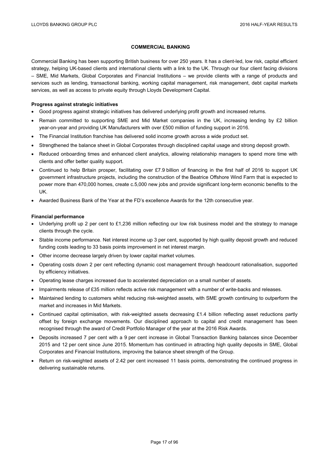# **COMMERCIAL BANKING**

Commercial Banking has been supporting British business for over 250 years. It has a client-led, low risk, capital efficient strategy, helping UK-based clients and international clients with a link to the UK. Through our four client facing divisions – SME, Mid Markets, Global Corporates and Financial Institutions – we provide clients with a range of products and services such as lending, transactional banking, working capital management, risk management, debt capital markets services, as well as access to private equity through Lloyds Development Capital.

## **Progress against strategic initiatives**

- Good progress against strategic initiatives has delivered underlying profit growth and increased returns.
- Remain committed to supporting SME and Mid Market companies in the UK, increasing lending by £2 billion year-on-year and providing UK Manufacturers with over £500 million of funding support in 2016.
- The Financial Institution franchise has delivered solid income growth across a wide product set.
- Strengthened the balance sheet in Global Corporates through disciplined capital usage and strong deposit growth.
- Reduced onboarding times and enhanced client analytics, allowing relationship managers to spend more time with clients and offer better quality support.
- Continued to help Britain prosper, facilitating over £7.9 billion of financing in the first half of 2016 to support UK government infrastructure projects, including the construction of the Beatrice Offshore Wind Farm that is expected to power more than 470,000 homes, create c.5,000 new jobs and provide significant long-term economic benefits to the UK.
- Awarded Business Bank of the Year at the FD's excellence Awards for the 12th consecutive year.

## **Financial performance**

- Underlying profit up 2 per cent to £1,236 million reflecting our low risk business model and the strategy to manage clients through the cycle.
- Stable income performance. Net interest income up 3 per cent, supported by high quality deposit growth and reduced funding costs leading to 33 basis points improvement in net interest margin.
- Other income decrease largely driven by lower capital market volumes.
- Operating costs down 2 per cent reflecting dynamic cost management through headcount rationalisation, supported by efficiency initiatives.
- Operating lease charges increased due to accelerated depreciation on a small number of assets.
- Impairments release of £35 million reflects active risk management with a number of write-backs and releases.
- Maintained lending to customers whilst reducing risk-weighted assets, with SME growth continuing to outperform the market and increases in Mid Markets.
- Continued capital optimisation, with risk-weighted assets decreasing £1.4 billion reflecting asset reductions partly offset by foreign exchange movements. Our disciplined approach to capital and credit management has been recognised through the award of Credit Portfolio Manager of the year at the 2016 Risk Awards.
- Deposits increased 7 per cent with a 9 per cent increase in Global Transaction Banking balances since December 2015 and 12 per cent since June 2015. Momentum has continued in attracting high quality deposits in SME, Global Corporates and Financial Institutions, improving the balance sheet strength of the Group.
- Return on risk-weighted assets of 2.42 per cent increased 11 basis points, demonstrating the continued progress in delivering sustainable returns.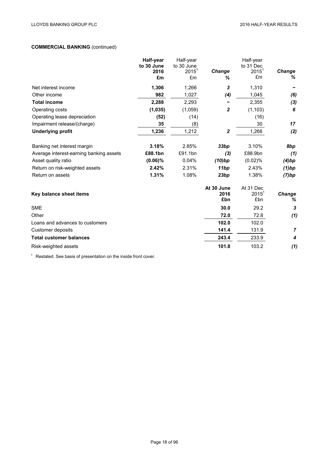# **COMMERCIAL BANKING** (continued)

|                                         | Half-year          | Half-year              |                           | Half-year                    |             |
|-----------------------------------------|--------------------|------------------------|---------------------------|------------------------------|-------------|
|                                         | to 30 June<br>2016 | to 30 June<br>$2015^1$ | <b>Change</b>             | to 31 Dec<br>$2015^1$        | Change      |
|                                         | £m                 | £m                     | ℅                         | £m                           | ℅           |
| Net interest income                     | 1,306              | 1,266                  | 3                         | 1,310                        |             |
| Other income                            | 982                | 1,027                  | (4)                       | 1,045                        | (6)         |
| <b>Total income</b>                     | 2,288              | 2,293                  |                           | 2,355                        | (3)         |
| Operating costs                         | (1,035)            | (1,059)                | 2                         | (1, 103)                     | 6           |
| Operating lease depreciation            | (52)               | (14)                   |                           | (16)                         |             |
| Impairment release/(charge)             | 35                 | (8)                    |                           | 30                           | 17          |
| <b>Underlying profit</b>                | 1,236              | 1,212                  | $\overline{\mathbf{2}}$   | 1,266                        | (2)         |
| Banking net interest margin             | 3.18%              | 2.85%                  | 33bp                      | 3.10%                        | 8bp         |
| Average interest-earning banking assets | £88.1bn            | £91.1bn                | $(3)$                     | £88.9bn                      | (1)         |
| Asset quality ratio                     | $(0.06)\%$         | 0.04%                  | (10)bp                    | (0.02)%                      | (4)bp       |
| Return on risk-weighted assets          | 2.42%              | 2.31%                  | 11bp                      | 2.43%                        | $(1)$ bp    |
| Return on assets                        | 1.31%              | 1.08%                  | 23bp                      | 1.38%                        | (7)bp       |
| Key balance sheet items                 |                    |                        | At 30 June<br>2016<br>£bn | At 31 Dec<br>$2015^1$<br>£bn | Change<br>℅ |
| <b>SME</b>                              |                    |                        | 30.0                      | 29.2                         | 3           |
| Other                                   |                    |                        | 72.0                      | 72.8                         | (1)         |
|                                         |                    |                        |                           |                              |             |

| Loans and advances to customers | 102.0 | 102.0 |     |
|---------------------------------|-------|-------|-----|
| Customer deposits               | 141.4 | 131.9 |     |
| <b>Total customer balances</b>  | 243.4 | 233.9 |     |
| Risk-weighted assets            | 101.8 | 103.2 | (1) |

 $1$  Restated. See basis of presentation on the inside front cover.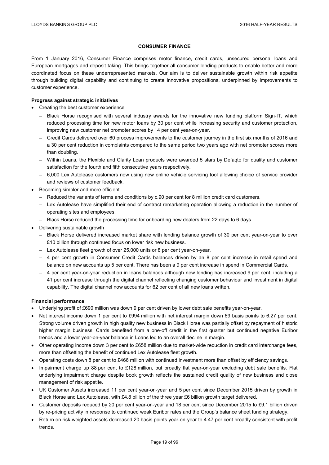## **CONSUMER FINANCE**

From 1 January 2016, Consumer Finance comprises motor finance, credit cards, unsecured personal loans and European mortgages and deposit taking. This brings together all consumer lending products to enable better and more coordinated focus on these underrepresented markets. Our aim is to deliver sustainable growth within risk appetite through building digital capability and continuing to create innovative propositions, underpinned by improvements to customer experience.

# **Progress against strategic initiatives**

- Creating the best customer experience
	- Black Horse recognised with several industry awards for the innovative new funding platform Sign-IT, which reduced processing time for new motor loans by 30 per cent while increasing security and customer protection, improving new customer net promoter scores by 14 per cent year-on-year.
	- Credit Cards delivered over 60 process improvements to the customer journey in the first six months of 2016 and a 30 per cent reduction in complaints compared to the same period two years ago with net promoter scores more than doubling.
	- Within Loans, the Flexible and Clarity Loan products were awarded 5 stars by Defaqto for quality and customer satisfaction for the fourth and fifth consecutive years respectively.
	- 6,000 Lex Autolease customers now using new online vehicle servicing tool allowing choice of service provider and reviews of customer feedback.
- Becoming simpler and more efficient
	- Reduced the variants of terms and conditions by c.90 per cent for 8 million credit card customers.
	- Lex Autolease have simplified their end of contract remarketing operation allowing a reduction in the number of operating sites and employees.
	- Black Horse reduced the processing time for onboarding new dealers from 22 days to 6 days.
- Delivering sustainable growth
	- Black Horse delivered increased market share with lending balance growth of 30 per cent year-on-year to over £10 billion through continued focus on lower risk new business.
	- Lex Autolease fleet growth of over 25,000 units or 8 per cent year-on-year.
	- 4 per cent growth in Consumer Credit Cards balances driven by an 8 per cent increase in retail spend and balance on new accounts up 5 per cent. There has been a 9 per cent increase in spend in Commercial Cards.
	- 4 per cent year-on-year reduction in loans balances although new lending has increased 9 per cent, including a 41 per cent increase through the digital channel reflecting changing customer behaviour and investment in digital capability. The digital channel now accounts for 62 per cent of all new loans written.

#### **Financial performance**

- Underlying profit of £690 million was down 9 per cent driven by lower debt sale benefits year-on-year.
- Net interest income down 1 per cent to £994 million with net interest margin down 69 basis points to 6.27 per cent. Strong volume driven growth in high quality new business in Black Horse was partially offset by repayment of historic higher margin business. Cards benefited from a one-off credit in the first quarter but continued negative Euribor trends and a lower year-on-year balance in Loans led to an overall decline in margin.
- Other operating income down 3 per cent to £658 million due to market-wide reduction in credit card interchange fees, more than offsetting the benefit of continued Lex Autolease fleet growth.
- Operating costs down 8 per cent to £466 million with continued investment more than offset by efficiency savings.
- Impairment charge up 88 per cent to £128 million, but broadly flat year-on-year excluding debt sale benefits. Flat underlying impairment charge despite book growth reflects the sustained credit quality of new business and close management of risk appetite.
- UK Customer Assets increased 11 per cent year-on-year and 5 per cent since December 2015 driven by growth in Black Horse and Lex Autolease, with £4.8 billion of the three year £6 billion growth target delivered.
- Customer deposits reduced by 20 per cent year-on-year and 18 per cent since December 2015 to £9.1 billion driven by re-pricing activity in response to continued weak Euribor rates and the Group's balance sheet funding strategy.
- Return on risk-weighted assets decreased 20 basis points year-on-year to 4.47 per cent broadly consistent with profit trends.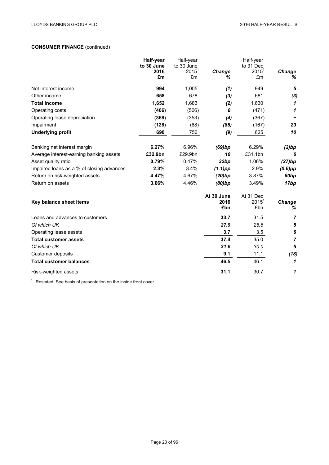# **CONSUMER FINANCE** (continued)

|                                           | Half-year<br>to 30 June | Half-year<br>to 30 June |                           | Half-year<br>to 31 Dec       |                  |
|-------------------------------------------|-------------------------|-------------------------|---------------------------|------------------------------|------------------|
|                                           | 2016<br>£m              | $2015^1$<br>£m          | Change<br>℅               | $2015^1$<br>£m               | Change<br>℅      |
| Net interest income                       | 994                     | 1,005                   | (1)                       | 949                          | 5                |
| Other income                              | 658                     | 678                     | $(3)$                     | 681                          | (3)              |
| <b>Total income</b>                       | 1,652                   | 1,683                   | (2)                       | 1,630                        | 1                |
| Operating costs                           | (466)                   | (506)                   | 8                         | (471)                        | 1                |
| Operating lease depreciation              | (368)                   | (353)                   | (4)                       | (367)                        |                  |
| Impairment                                | (128)                   | (68)                    | (88)                      | (167)                        | 23               |
| <b>Underlying profit</b>                  | 690                     | 756                     | (9)                       | 625                          | 10               |
| Banking net interest margin               | 6.27%                   | 6.96%                   | (69)bp                    | 6.29%                        | (2)bp            |
| Average interest-earning banking assets   | £32.9bn                 | £29.9bn                 | 10                        | £31.1bn                      | 6                |
| Asset quality ratio                       | 0.79%                   | 0.47%                   | 32bp                      | 1.06%                        | (27)bp           |
| Impaired loans as a % of closing advances | 2.3%                    | 3.4%                    | $(1.1)$ pp                | 2.9%                         | $(0.6)$ pp       |
| Return on risk-weighted assets            | 4.47%                   | 4.67%                   | (20)bp                    | 3.87%                        | 60 <sub>bp</sub> |
| Return on assets                          | 3.66%                   | 4.46%                   | (80)bp                    | 3.49%                        | 17bp             |
| Key balance sheet items                   |                         |                         | At 30 June<br>2016<br>£bn | At 31 Dec<br>$2015^1$<br>£bn | Change<br>%      |
| Loans and advances to customers           |                         |                         | 33.7                      | 31.5                         | 7                |
| Of which UK                               |                         |                         | 27.9                      | 26.6                         | 5                |
| Operating lease assets                    |                         |                         | 3.7                       | 3.5                          | 6                |
| <b>Total customer assets</b>              |                         |                         | 37.4                      | 35.0                         | $\overline{7}$   |
| Of which UK                               |                         |                         | 31.6                      | 30.0                         | 5                |
| Customer deposits                         |                         |                         | 9.1                       | 11.1                         | (18)             |
| <b>Total customer balances</b>            |                         |                         | 46.5                      | 46.1                         | 1                |
| Risk-weighted assets                      |                         |                         | 31.1                      | 30.7                         | 1                |

<sup>1</sup> Restated. See basis of presentation on the inside front cover.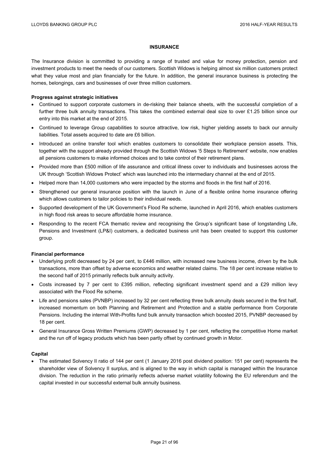## **INSURANCE**

The Insurance division is committed to providing a range of trusted and value for money protection, pension and investment products to meet the needs of our customers. Scottish Widows is helping almost six million customers protect what they value most and plan financially for the future. In addition, the general insurance business is protecting the homes, belongings, cars and businesses of over three million customers.

## **Progress against strategic initiatives**

- Continued to support corporate customers in de-risking their balance sheets, with the successful completion of a further three bulk annuity transactions. This takes the combined external deal size to over £1.25 billion since our entry into this market at the end of 2015.
- Continued to leverage Group capabilities to source attractive, low risk, higher yielding assets to back our annuity liabilities. Total assets acquired to date are £6 billion.
- Introduced an online transfer tool which enables customers to consolidate their workplace pension assets. This, together with the support already provided through the Scottish Widows '5 Steps to Retirement' website, now enables all pensions customers to make informed choices and to take control of their retirement plans.
- Provided more than £500 million of life assurance and critical illness cover to individuals and businesses across the UK through 'Scottish Widows Protect' which was launched into the intermediary channel at the end of 2015.
- Helped more than 14,000 customers who were impacted by the storms and floods in the first half of 2016.
- Strengthened our general insurance position with the launch in June of a flexible online home insurance offering which allows customers to tailor policies to their individual needs.
- Supported development of the UK Government's Flood Re scheme, launched in April 2016, which enables customers in high flood risk areas to secure affordable home insurance.
- Responding to the recent FCA thematic review and recognising the Group's significant base of longstanding Life, Pensions and Investment (LP&I) customers, a dedicated business unit has been created to support this customer group.

#### **Financial performance**

- Underlying profit decreased by 24 per cent, to £446 million, with increased new business income, driven by the bulk transactions, more than offset by adverse economics and weather related claims. The 18 per cent increase relative to the second half of 2015 primarily reflects bulk annuity activity.
- Costs increased by 7 per cent to £395 million, reflecting significant investment spend and a £29 million levy associated with the Flood Re scheme.
- Life and pensions sales (PVNBP) increased by 32 per cent reflecting three bulk annuity deals secured in the first half, increased momentum on both Planning and Retirement and Protection and a stable performance from Corporate Pensions. Including the internal With-Profits fund bulk annuity transaction which boosted 2015, PVNBP decreased by 18 per cent.
- General Insurance Gross Written Premiums (GWP) decreased by 1 per cent, reflecting the competitive Home market and the run off of legacy products which has been partly offset by continued growth in Motor.

#### **Capital**

 The estimated Solvency II ratio of 144 per cent (1 January 2016 post dividend position: 151 per cent) represents the shareholder view of Solvency II surplus, and is aligned to the way in which capital is managed within the Insurance division. The reduction in the ratio primarily reflects adverse market volatility following the EU referendum and the capital invested in our successful external bulk annuity business.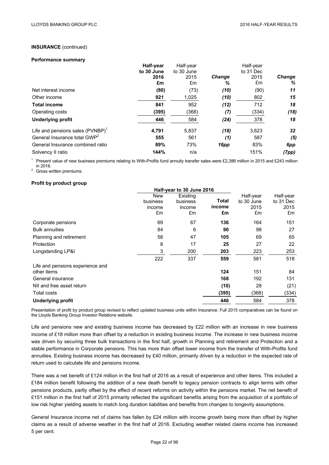## **INSURANCE** (continued)

#### **Performance summary**

|                                          | Half-year  | Half-year  |               | Half-year |               |
|------------------------------------------|------------|------------|---------------|-----------|---------------|
|                                          | to 30 June | to 30 June |               | to 31 Dec |               |
|                                          | 2016       | 2015       | <b>Change</b> | 2015      | <b>Change</b> |
|                                          | £m         | £m         | %             | £m        | %             |
| Net interest income                      | (80)       | (73)       | (10)          | (90)      | 11            |
| Other income                             | 921        | 1,025      | (10)          | 802       | 15            |
| <b>Total income</b>                      | 841        | 952        | (12)          | 712       | 18            |
| Operating costs                          | (395)      | (368)      | (7)           | (334)     | (18)          |
| <b>Underlying profit</b>                 | 446        | 584        | (24)          | 378       | 18            |
| Life and pensions sales $(PVNBP)^T$      | 4,791      | 5,837      | (18)          | 3,623     | 32            |
| General Insurance total GWP <sup>2</sup> | 555        | 561        | (1)           | 587       | (5)           |
| General Insurance combined ratio         | 89%        | 73%        | 16pp          | 83%       | 6pp           |
| Solvency II ratio                        | 144%       | n/a        |               | 151%      | (7pp)         |

<sup>1</sup> Present value of new business premiums relating to With-Profits fund annuity transfer sales were £2,386 million in 2015 and £243 million in 2016.

<sup>2</sup> Gross written premiums.

#### **Profit by product group**

|                                  | Half-year to 30 June 2016 |          |              |            |           |
|----------------------------------|---------------------------|----------|--------------|------------|-----------|
|                                  | <b>New</b>                | Existing |              | Half-year  | Half-year |
|                                  | business                  | business | <b>Total</b> | to 30 June | to 31 Dec |
|                                  | income                    | income   | income       | 2015       | 2015      |
|                                  | £m                        | £m       | £m           | £m         | £m        |
| Corporate pensions               | 69                        | 67       | 136          | 164        | 151       |
| <b>Bulk annuities</b>            | 84                        | 6        | 90           | 98         | 27        |
| Planning and retirement          | 58                        | 47       | 105          | 69         | 65        |
| Protection                       | 8                         | 17       | 25           | 27         | 22        |
| Longstanding LP&I                | 3                         | 200      | 203          | 223        | 253       |
|                                  | 222                       | 337      | 559          | 581        | 518       |
| Life and pensions experience and |                           |          |              |            |           |
| other items                      |                           |          | 124          | 151        | 84        |
| General insurance                |                           |          | 168          | 192        | 131       |
| NII and free asset return        |                           |          | (10)         | 28         | (21)      |
| Total costs                      |                           |          | (395)        | (368)      | (334)     |
| <b>Underlying profit</b>         |                           |          | 446          | 584        | 378       |

Presentation of profit by product group revised to reflect updated business units within Insurance. Full 2015 comparatives can be found on the Lloyds Banking Group Investor Relations website.

Life and pensions new and existing business income has decreased by £22 million with an increase in new business income of £18 million more than offset by a reduction in existing business income. The increase in new business income was driven by securing three bulk transactions in the first half, growth in Planning and retirement and Protection and a stable performance in Corporate pensions. This has more than offset lower income from the transfer of With-Profits fund annuities. Existing business income has decreased by £40 million, primarily driven by a reduction in the expected rate of return used to calculate life and pensions income.

There was a net benefit of £124 million in the first half of 2016 as a result of experience and other items. This included a £184 million benefit following the addition of a new death benefit to legacy pension contracts to align terms with other pensions products, partly offset by the effect of recent reforms on activity within the pensions market. The net benefit of £151 million in the first half of 2015 primarily reflected the significant benefits arising from the acquisition of a portfolio of low risk higher yielding assets to match long duration liabilities and benefits from changes to longevity assumptions.

General Insurance income net of claims has fallen by £24 million with income growth being more than offset by higher claims as a result of adverse weather in the first half of 2016. Excluding weather related claims income has increased 5 per cent.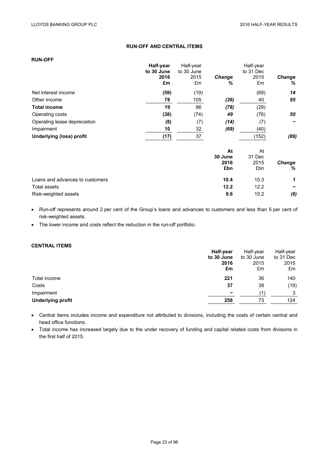# **RUN-OFF AND CENTRAL ITEMS**

| <b>RUN-OFF</b>                  |            |            |               |           |               |
|---------------------------------|------------|------------|---------------|-----------|---------------|
|                                 | Half-year  | Half-year  |               | Half-year |               |
|                                 | to 30 June | to 30 June |               | to 31 Dec |               |
|                                 | 2016       | 2015       | <b>Change</b> | 2015      | <b>Change</b> |
|                                 | £m         | £m         | %             | £m        | %             |
| Net interest income             | (59)       | (19)       |               | (69)      | 14            |
| Other income                    | 78         | 105        | (26)          | 40        | 95            |
| <b>Total income</b>             | 19         | 86         | (78)          | (29)      |               |
| Operating costs                 | (38)       | (74)       | 49            | (76)      | 50            |
| Operating lease depreciation    | (8)        | (7)        | (14)          | (7)       | -             |
| Impairment                      | 10         | 32         | (69)          | (40)      |               |
| <b>Underlying (loss) profit</b> | (17)       | 37         |               | (152)     | (89)          |
|                                 |            |            |               |           |               |

|                                 | At      | At     |                          |
|---------------------------------|---------|--------|--------------------------|
|                                 | 30 June | 31 Dec |                          |
|                                 | 2016    | 2015   | <b>Change</b>            |
|                                 | £bn     | £bn    | %                        |
| Loans and advances to customers | 10.4    | 10.3   | 1                        |
| Total assets                    | 12.2    | 12.2   | $\overline{\phantom{a}}$ |
| Risk-weighted assets            | 9.6     | 10.2   | (6)                      |

 Run-off represents around 2 per cent of the Group's loans and advances to customers and less than 5 per cent of risk-weighted assets.

The lower income and costs reflect the reduction in the run-off portfolio.

# **CENTRAL ITEMS**

|                          | Half-year  | Half-year  | Half-year |
|--------------------------|------------|------------|-----------|
|                          | to 30 June | to 30 June | to 31 Dec |
|                          | 2016       | 2015       | 2015      |
|                          | £m         | £m         | £m        |
| Total income             | 221        | 36         | 140       |
| Costs                    | 37         | 38         | (19)      |
| Impairment               | -          |            | 3         |
| <b>Underlying profit</b> | 258        | 73         | 124       |

 Central items includes income and expenditure not attributed to divisions, including the costs of certain central and head office functions.

 Total income has increased largely due to the under recovery of funding and capital related costs from divisions in the first half of 2015.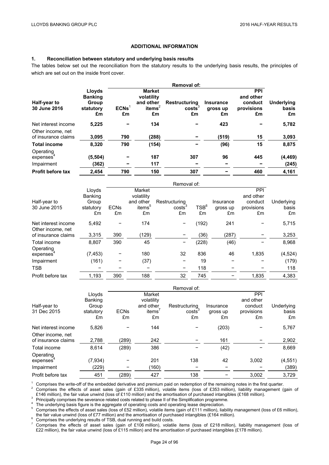# **ADDITIONAL INFORMATION**

#### **1. Reconciliation between statutory and underlying basis results**

The tables below set out the reconciliation from the statutory results to the underlying basis results, the principles of which are set out on the inside front cover.

|                                          | Lloyds<br><b>Banking</b> |             | <b>Market</b><br>volatility |                                            |                              | <b>PPI</b><br>and other |                     |
|------------------------------------------|--------------------------|-------------|-----------------------------|--------------------------------------------|------------------------------|-------------------------|---------------------|
| Half-year to<br>30 June 2016             | Group<br>statutory       | <b>ECNs</b> | and other<br>items $^2$     | <b>Restructuring</b><br>costs <sup>3</sup> | <b>Insurance</b><br>gross up | conduct<br>provisions   | Underlying<br>basis |
|                                          | £m                       | £m          | £m                          | £m                                         | £m                           | £m                      | £m                  |
| Net interest income                      | 5,225                    |             | 134                         |                                            | 423                          |                         | 5,782               |
| Other income, net<br>of insurance claims | 3,095                    | 790         | (288)                       |                                            | (519)                        | 15                      | 3,093               |
| <b>Total income</b>                      | 8.320                    | 790         | (154)                       |                                            | (96)                         | 15                      | 8,875               |
| Operating<br>expenses <sup>4</sup>       | (5, 504)                 |             | 187                         | 307                                        | 96                           | 445                     | (4, 469)            |
| Impairment                               | (362)                    |             | 117                         | -                                          |                              |                         | (245)               |
| <b>Profit before tax</b>                 | 2,454                    | 790         | 150                         | 307                                        |                              | 460                     | 4,161               |

|                                          |                                   | Removal of:       |                                   |                          |                        |                |                                    |             |
|------------------------------------------|-----------------------------------|-------------------|-----------------------------------|--------------------------|------------------------|----------------|------------------------------------|-------------|
| Half-year to                             | Lloyds<br><b>Banking</b><br>Group |                   | Market<br>volatility<br>and other | Restructuring            |                        | Insurance      | <b>PPI</b><br>and other<br>conduct | Underlying  |
| 30 June 2015                             | statutory<br>£m                   | <b>ECNs</b><br>£m | items <sup>5</sup><br>£m          | costs <sup>3</sup><br>£m | TSB <sup>6</sup><br>£m | gross up<br>£m | provisions<br>£m                   | basis<br>£m |
| Net interest income<br>Other income, net | 5,492                             |                   | 174                               |                          | (192)                  | 241            |                                    | 5,715       |
| of insurance claims                      | 3,315                             | 390               | (129)                             |                          | (36)                   | (287)          |                                    | 3,253       |
| Total income<br>Operating                | 8,807                             | 390               | 45                                |                          | (228)                  | (46)           |                                    | 8,968       |
| expenses <sup>4</sup>                    | (7,453)                           |                   | 180                               | 32                       | 836                    | 46             | 1,835                              | (4, 524)    |
| Impairment                               | (161)                             |                   | (37)                              |                          | 19                     |                |                                    | (179)       |
| <b>TSB</b>                               |                                   |                   |                                   |                          | 118                    |                |                                    | 118         |
| Profit before tax                        | 1.193                             | 390               | 188                               | 32                       | 745                    |                | 1,835                              | 4,383       |

|                                          | Removal of:              |                              |                          |                          |                |                  |             |
|------------------------------------------|--------------------------|------------------------------|--------------------------|--------------------------|----------------|------------------|-------------|
|                                          | Lloyds<br><b>Banking</b> |                              | Market<br>volatility     |                          |                | PPI<br>and other |             |
| Half-year to                             | Group                    |                              | and other                | Restructuring            | Insurance      | conduct          | Underlying  |
| 31 Dec 2015                              | statutory<br>£m          | <b>ECN<sub>s</sub></b><br>£m | items <sup>'</sup><br>£m | costs <sup>3</sup><br>£m | gross up<br>£m | provisions<br>£m | basis<br>£m |
| Net interest income                      | 5,826                    |                              | 144                      | -                        | (203)          |                  | 5,767       |
| Other income, net<br>of insurance claims | 2,788                    | (289)                        | 242                      |                          | 161            |                  | 2,902       |
| Total income                             | 8,614                    | (289)                        | 386                      |                          | (42)           |                  | 8,669       |
| Operating<br>expenses <sup>-</sup>       | (7, 934)                 |                              | 201                      | 138                      | 42             | 3,002            | (4, 551)    |
| Impairment                               | (229)                    |                              | (160)                    |                          |                |                  | (389)       |
| Profit before tax                        | 451                      | (289)                        | 427                      | 138                      |                | 3,002            | 3.729       |

<sup>1</sup> Comprises the write-off of the embedded derivative and premium paid on redemption of the remaining notes in the first quarter.<br><sup>2</sup> Comprises the effects of asset sales (gain of £335 million), volatile items (loss of £

Principally comprises the severance related costs related to phase II of the Simplification programme.<br>
The underlying basis figure is the aggregate of operating costs and operating lease depreciation.<br>
<sup>5</sup><br>
The underlying

comprises the underlying results of TSB, dual running and build costs.<br>
The comprises the underlying results of TSB, dual running and build costs.<br>
The comprises the effects of asset sales (gain of £106 million), volatile £22 million), the fair value unwind (loss of £115 million) and the amortisation of purchased intangibles (£178 million).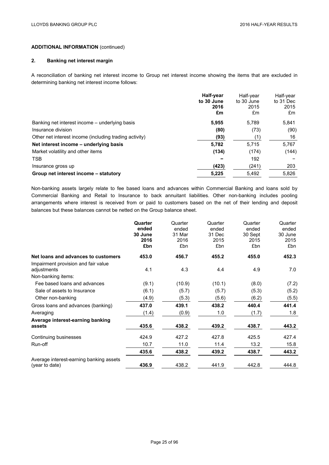# **2. Banking net interest margin**

A reconciliation of banking net interest income to Group net interest income showing the items that are excluded in determining banking net interest income follows:

|                                                        | Half-year<br>to 30 June<br>2016<br>£m | Half-year<br>to 30 June<br>2015<br>£m | Half-year<br>to 31 Dec<br>2015<br>£m |
|--------------------------------------------------------|---------------------------------------|---------------------------------------|--------------------------------------|
| Banking net interest income – underlying basis         | 5.955                                 | 5.789                                 | 5,841                                |
| Insurance division                                     | (80)                                  | (73)                                  | (90)                                 |
| Other net interest income (including trading activity) | (93)                                  | (1)                                   | 16                                   |
| Net interest income - underlying basis                 | 5,782                                 | 5,715                                 | 5,767                                |
| Market volatility and other items                      | (134)                                 | (174)                                 | (144)                                |
| TSB                                                    |                                       | 192                                   |                                      |
| Insurance gross up                                     | (423)                                 | (241)                                 | 203                                  |
| Group net interest income – statutory                  | 5,225                                 | 5,492                                 | 5,826                                |

Non-banking assets largely relate to fee based loans and advances within Commercial Banking and loans sold by Commercial Banking and Retail to Insurance to back annuitant liabilities. Other non-banking includes pooling arrangements where interest is received from or paid to customers based on the net of their lending and deposit balances but these balances cannot be netted on the Group balance sheet.

|                                         | Quarter | Quarter | Quarter | Quarter | Quarter |
|-----------------------------------------|---------|---------|---------|---------|---------|
|                                         | ended   | ended   | ended   | ended   | ended   |
|                                         | 30 June | 31 Mar  | 31 Dec  | 30 Sept | 30 June |
|                                         | 2016    | 2016    | 2015    | 2015    | 2015    |
|                                         | £bn     | £bn     | £bn     | £bn     | £bn     |
| Net loans and advances to customers     | 453.0   | 456.7   | 455.2   | 455.0   | 452.3   |
| Impairment provision and fair value     |         |         |         |         |         |
| adjustments                             | 4.1     | 4.3     | 4.4     | 4.9     | 7.0     |
| Non-banking items:                      |         |         |         |         |         |
| Fee based loans and advances            | (9.1)   | (10.9)  | (10.1)  | (8.0)   | (7.2)   |
| Sale of assets to Insurance             | (6.1)   | (5.7)   | (5.7)   | (5.3)   | (5.2)   |
| Other non-banking                       | (4.9)   | (5.3)   | (5.6)   | (6.2)   | (5.5)   |
| Gross loans and advances (banking)      | 437.0   | 439.1   | 438.2   | 440.4   | 441.4   |
| Averaging                               | (1.4)   | (0.9)   | 1.0     | (1.7)   | 1.8     |
| Average interest-earning banking        |         |         |         |         |         |
| assets                                  | 435.6   | 438.2   | 439.2   | 438.7   | 443.2   |
| Continuing businesses                   | 424.9   | 427.2   | 427.8   | 425.5   | 427.4   |
| Run-off                                 | 10.7    | 11.0    | 11.4    | 13.2    | 15.8    |
|                                         | 435.6   | 438.2   | 439.2   | 438.7   | 443.2   |
| Average interest-earning banking assets |         |         |         |         |         |
| (year to date)                          | 436.9   | 438.2   | 441.9   | 442.8   | 444.8   |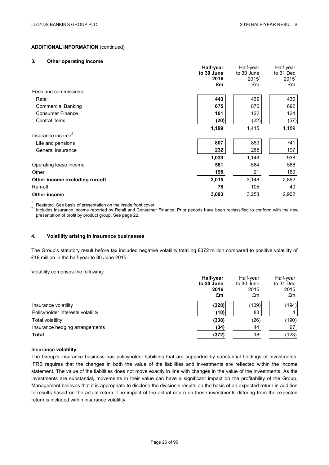#### **3. Other operating income**

|                                 | Half-year  | Half-year  | Half-year |
|---------------------------------|------------|------------|-----------|
|                                 | to 30 June | to 30 June | to 31 Dec |
|                                 | 2016       | $2015^1$   | $2015^1$  |
|                                 | £m         | £m         | £m        |
| Fees and commissions:           |            |            |           |
| Retail                          | 443        | 439        | 430       |
| <b>Commercial Banking</b>       | 675        | 876        | 692       |
| <b>Consumer Finance</b>         | 101        | 122        | 124       |
| Central items                   | (20)       | (22)       | (57)      |
|                                 | 1,199      | 1,415      | 1,189     |
| Insurance income <sup>2</sup> : |            |            |           |
| Life and pensions               | 807        | 883        | 741       |
| General insurance               | 232        | 265        | 197       |
|                                 | 1,039      | 1,148      | 938       |
| Operating lease income          | 581        | 564        | 566       |
| Other                           | 196        | 21         | 169       |
| Other income excluding run-off  | 3,015      | 3,148      | 2,862     |
| Run-off                         | 78         | 105        | 40        |
| Other income                    | 3,093      | 3,253      | 2,902     |

1

<sup>1</sup> Restated. See basis of presentation on the inside front cover.<br><sup>2</sup> Includes insurance income reported by Retail and Consumer Finance. Prior periods have been reclassified to conform with the new presentation of profit by product group. See page 22.

## **4. Volatility arising in insurance businesses**

The Group's statutory result before tax included negative volatility totalling £372 million compared to positive volatility of £18 million in the half-year to 30 June 2015.

Volatility comprises the following:

|                                   | Half-year  | Half-year  | Half-year |
|-----------------------------------|------------|------------|-----------|
|                                   | to 30 June | to 30 June | to 31 Dec |
|                                   | 2016       | 2015       | 2015      |
|                                   | £m         | £m         | £m        |
| Insurance volatility              | (328)      | (109)      | (194)     |
| Policyholder interests volatility | (10)       | 83         | 4         |
| <b>Total volatility</b>           | (338)      | (26)       | (190)     |
| Insurance hedging arrangements    | (34)       | 44         | 67        |
| Total                             | (372)      | 18         | (123)     |

#### **Insurance volatility**

The Group's insurance business has policyholder liabilities that are supported by substantial holdings of investments. IFRS requires that the changes in both the value of the liabilities and investments are reflected within the income statement. The value of the liabilities does not move exactly in line with changes in the value of the investments. As the investments are substantial, movements in their value can have a significant impact on the profitability of the Group. Management believes that it is appropriate to disclose the division's results on the basis of an expected return in addition to results based on the actual return. The impact of the actual return on these investments differing from the expected return is included within insurance volatility.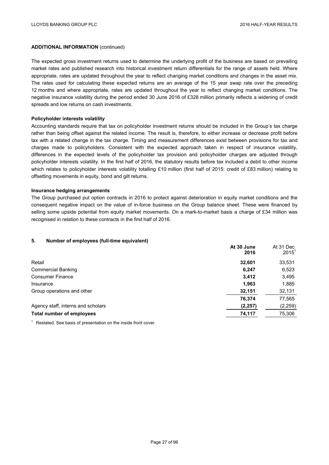The expected gross investment returns used to determine the underlying profit of the business are based on prevailing market rates and published research into historical investment return differentials for the range of assets held. Where appropriate, rates are updated throughout the year to reflect changing market conditions and changes in the asset mix. The rates used for calculating these expected returns are an average of the 15 year swap rate over the preceding 12 months and where appropriate, rates are updated throughout the year to reflect changing market conditions. The negative insurance volatility during the period ended 30 June 2016 of £328 million primarily reflects a widening of credit spreads and low returns on cash investments.

#### **Policyholder interests volatility**

Accounting standards require that tax on policyholder investment returns should be included in the Group's tax charge rather than being offset against the related income. The result is, therefore, to either increase or decrease profit before tax with a related change in the tax charge. Timing and measurement differences exist between provisions for tax and charges made to policyholders. Consistent with the expected approach taken in respect of insurance volatility, differences in the expected levels of the policyholder tax provision and policyholder charges are adjusted through policyholder interests volatility. In the first half of 2016, the statutory results before tax included a debit to other income which relates to policyholder interests volatility totalling £10 million (first half of 2015: credit of £83 million) relating to offsetting movements in equity, bond and gilt returns.

## **Insurance hedging arrangements**

The Group purchased put option contracts in 2016 to protect against deterioration in equity market conditions and the consequent negative impact on the value of in-force business on the Group balance sheet. These were financed by selling some upside potential from equity market movements. On a mark-to-market basis a charge of £34 million was recognised in relation to these contracts in the first half of 2016.

# **5. Number of employees (full-time equivalent)**

|                                    | At 30 June<br>2016 | At 31 Dec<br>$2015^1$ |
|------------------------------------|--------------------|-----------------------|
| Retail                             | 32,601             | 33,531                |
| <b>Commercial Banking</b>          | 6,247              | 6,523                 |
| <b>Consumer Finance</b>            | 3.412              | 3,495                 |
| Insurance                          | 1,963              | 1,885                 |
| Group operations and other         | 32,151             | 32,131                |
|                                    | 76,374             | 77,565                |
| Agency staff, interns and scholars | (2, 257)           | (2, 259)              |
| Total number of employees          | 74,117             | 75,306                |

 $1$  Restated. See basis of presentation on the inside front cover.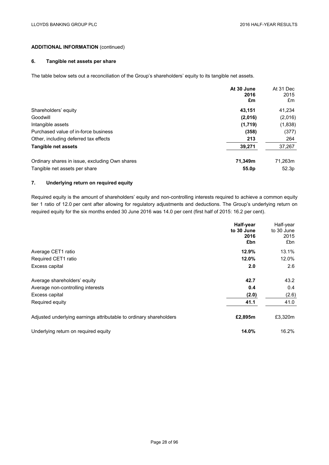# **6. Tangible net assets per share**

The table below sets out a reconciliation of the Group's shareholders' equity to its tangible net assets.

|                                                | At 30 June<br>2016<br>£m | At 31 Dec<br>2015<br>£m |
|------------------------------------------------|--------------------------|-------------------------|
| Shareholders' equity                           | 43,151                   | 41,234                  |
| Goodwill                                       | (2,016)                  | (2,016)                 |
| Intangible assets                              | (1,719)                  | (1,838)                 |
| Purchased value of in-force business           | (358)                    | (377)                   |
| Other, including deferred tax effects          | 213                      | 264                     |
| Tangible net assets                            | 39,271                   | 37,267                  |
| Ordinary shares in issue, excluding Own shares | 71,349m                  | 71,263m                 |
| Tangible net assets per share                  | 55.0p                    | 52.3p                   |

# **7. Underlying return on required equity**

Required equity is the amount of shareholders' equity and non-controlling interests required to achieve a common equity tier 1 ratio of 12.0 per cent after allowing for regulatory adjustments and deductions. The Group's underlying return on required equity for the six months ended 30 June 2016 was 14.0 per cent (first half of 2015: 16.2 per cent).

|                                                                    | Half-year<br>to 30 June<br>2016<br>£bn | Half-year<br>to 30 June<br>2015<br>£bn |
|--------------------------------------------------------------------|----------------------------------------|----------------------------------------|
| Average CET1 ratio                                                 | 12.9%                                  | 13.1%                                  |
| Required CET1 ratio                                                | 12.0%                                  | 12.0%                                  |
| Excess capital                                                     | 2.0                                    | 2.6                                    |
| Average shareholders' equity                                       | 42.7                                   | 43.2                                   |
| Average non-controlling interests                                  | 0.4                                    | 0.4                                    |
| Excess capital                                                     | (2.0)                                  | (2.6)                                  |
| Required equity                                                    | 41.1                                   | 41.0                                   |
| Adjusted underlying earnings attributable to ordinary shareholders | £2,895m                                | £3,320m                                |
| Underlying return on required equity                               | 14.0%                                  | 16.2%                                  |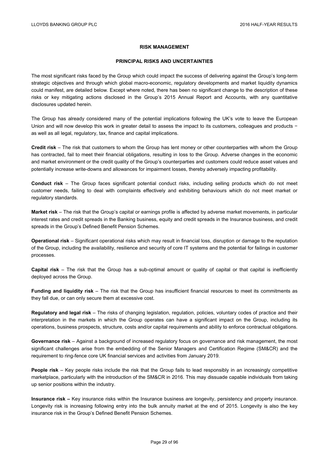# **RISK MANAGEMENT**

## **PRINCIPAL RISKS AND UNCERTAINTIES**

The most significant risks faced by the Group which could impact the success of delivering against the Group's long-term strategic objectives and through which global macro-economic, regulatory developments and market liquidity dynamics could manifest, are detailed below. Except where noted, there has been no significant change to the description of these risks or key mitigating actions disclosed in the Group's 2015 Annual Report and Accounts, with any quantitative disclosures updated herein.

The Group has already considered many of the potential implications following the UK's vote to leave the European Union and will now develop this work in greater detail to assess the impact to its customers, colleagues and products − as well as all legal, regulatory, tax, finance and capital implications.

**Credit risk** – The risk that customers to whom the Group has lent money or other counterparties with whom the Group has contracted, fail to meet their financial obligations, resulting in loss to the Group. Adverse changes in the economic and market environment or the credit quality of the Group's counterparties and customers could reduce asset values and potentially increase write-downs and allowances for impairment losses, thereby adversely impacting profitability.

**Conduct risk** – The Group faces significant potential conduct risks, including selling products which do not meet customer needs, failing to deal with complaints effectively and exhibiting behaviours which do not meet market or regulatory standards.

**Market risk** – The risk that the Group's capital or earnings profile is affected by adverse market movements, in particular interest rates and credit spreads in the Banking business, equity and credit spreads in the Insurance business, and credit spreads in the Group's Defined Benefit Pension Schemes.

**Operational risk** – Significant operational risks which may result in financial loss, disruption or damage to the reputation of the Group, including the availability, resilience and security of core IT systems and the potential for failings in customer processes.

**Capital risk** – The risk that the Group has a sub-optimal amount or quality of capital or that capital is inefficiently deployed across the Group.

**Funding and liquidity risk** – The risk that the Group has insufficient financial resources to meet its commitments as they fall due, or can only secure them at excessive cost.

**Regulatory and legal risk** – The risks of changing legislation, regulation, policies, voluntary codes of practice and their interpretation in the markets in which the Group operates can have a significant impact on the Group, including its operations, business prospects, structure, costs and/or capital requirements and ability to enforce contractual obligations.

**Governance risk** – Against a background of increased regulatory focus on governance and risk management, the most significant challenges arise from the embedding of the Senior Managers and Certification Regime (SM&CR) and the requirement to ring-fence core UK financial services and activities from January 2019.

**People risk** – Key people risks include the risk that the Group fails to lead responsibly in an increasingly competitive marketplace, particularly with the introduction of the SM&CR in 2016. This may dissuade capable individuals from taking up senior positions within the industry.

**Insurance risk –** Key insurance risks within the Insurance business are longevity, persistency and property insurance. Longevity risk is increasing following entry into the bulk annuity market at the end of 2015. Longevity is also the key insurance risk in the Group's Defined Benefit Pension Schemes.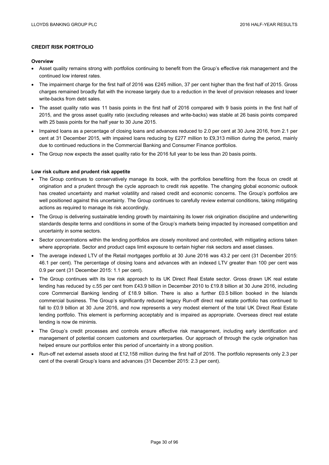# **CREDIT RISK PORTFOLIO**

#### **Overview**

- Asset quality remains strong with portfolios continuing to benefit from the Group's effective risk management and the continued low interest rates.
- The impairment charge for the first half of 2016 was £245 million, 37 per cent higher than the first half of 2015. Gross charges remained broadly flat with the increase largely due to a reduction in the level of provision releases and lower write-backs from debt sales.
- The asset quality ratio was 11 basis points in the first half of 2016 compared with 9 basis points in the first half of 2015, and the gross asset quality ratio (excluding releases and write-backs) was stable at 26 basis points compared with 25 basis points for the half year to 30 June 2015.
- Impaired loans as a percentage of closing loans and advances reduced to 2.0 per cent at 30 June 2016, from 2.1 per cent at 31 December 2015, with impaired loans reducing by £277 million to £9,313 million during the period, mainly due to continued reductions in the Commercial Banking and Consumer Finance portfolios.
- The Group now expects the asset quality ratio for the 2016 full year to be less than 20 basis points.

#### **Low risk culture and prudent risk appetite**

- The Group continues to conservatively manage its book, with the portfolios benefiting from the focus on credit at origination and a prudent through the cycle approach to credit risk appetite. The changing global economic outlook has created uncertainty and market volatility and raised credit and economic concerns. The Group's portfolios are well positioned against this uncertainty. The Group continues to carefully review external conditions, taking mitigating actions as required to manage its risk accordingly.
- The Group is delivering sustainable lending growth by maintaining its lower risk origination discipline and underwriting standards despite terms and conditions in some of the Group's markets being impacted by increased competition and uncertainty in some sectors.
- Sector concentrations within the lending portfolios are closely monitored and controlled, with mitigating actions taken where appropriate. Sector and product caps limit exposure to certain higher risk sectors and asset classes.
- The average indexed LTV of the Retail mortgages portfolio at 30 June 2016 was 43.2 per cent (31 December 2015: 46.1 per cent). The percentage of closing loans and advances with an indexed LTV greater than 100 per cent was 0.9 per cent (31 December 2015: 1.1 per cent).
- The Group continues with its low risk approach to its UK Direct Real Estate sector. Gross drawn UK real estate lending has reduced by c.55 per cent from £43.9 billion in December 2010 to £19.8 billion at 30 June 2016, including core Commercial Banking lending of £18.9 billion. There is also a further £0.5 billion booked in the Islands commercial business. The Group's significantly reduced legacy Run-off direct real estate portfolio has continued to fall to £0.9 billion at 30 June 2016, and now represents a very modest element of the total UK Direct Real Estate lending portfolio. This element is performing acceptably and is impaired as appropriate. Overseas direct real estate lending is now de minimis.
- The Group's credit processes and controls ensure effective risk management, including early identification and management of potential concern customers and counterparties. Our approach of through the cycle origination has helped ensure our portfolios enter this period of uncertainty in a strong position.
- Run-off net external assets stood at £12,158 million during the first half of 2016. The portfolio represents only 2.3 per cent of the overall Group's loans and advances (31 December 2015: 2.3 per cent).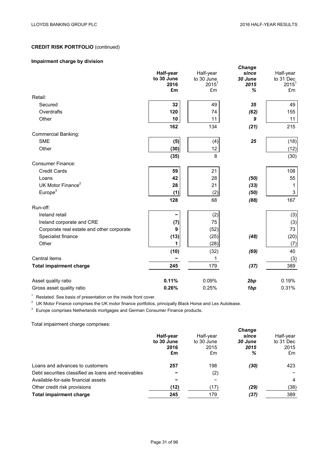# **CREDIT RISK PORTFOLIO** (continued)

# **Impairment charge by division**

|                                           |            |            | Change          |                           |
|-------------------------------------------|------------|------------|-----------------|---------------------------|
|                                           | Half-year  | Half-year  | since           | Half-year                 |
|                                           | to 30 June | to 30 June | 30 June         | to 31 Dec                 |
|                                           | 2016       | $2015^1$   | 2015            | $2015^1$                  |
|                                           | £m         | £m         | %               | £m                        |
| Retail:                                   |            |            |                 |                           |
| Secured                                   | 32         | 49         | 35              | 49                        |
| Overdrafts                                | 120        | 74         | (62)            | 155                       |
| Other                                     | 10         | 11         | 9               | 11                        |
|                                           | 162        | 134        | (21)            | 215                       |
| <b>Commercial Banking:</b>                |            |            |                 |                           |
| <b>SME</b>                                | (5)        | (4)        | 25              | (18)                      |
| Other                                     | (30)       | 12         |                 | (12)                      |
|                                           | (35)       | 8          |                 | (30)                      |
| <b>Consumer Finance:</b>                  |            |            |                 |                           |
| <b>Credit Cards</b>                       | 59         | 21         |                 | 108                       |
| Loans                                     | 42         | 28         | (50)            | 55                        |
| UK Motor Finance <sup>2</sup>             | 28         | 21         | (33)            | 1                         |
| Europe <sup>3</sup>                       | (1)        | (2)        | (50)            | $\ensuremath{\mathsf{3}}$ |
|                                           | 128        | 68         | (88)            | 167                       |
| Run-off:                                  |            |            |                 |                           |
| Ireland retail                            | -          | (2)        |                 | (3)                       |
| Ireland corporate and CRE                 | (7)        | 75         |                 | (3)                       |
| Corporate real estate and other corporate | 9          | (52)       |                 | 73                        |
| Specialist finance                        | (13)       | (25)       | (48)            | (20)                      |
| Other                                     | 1          | (28)       |                 | (7)                       |
|                                           | (10)       | (32)       | (69)            | 40                        |
| Central items                             |            | 1          |                 | (3)                       |
| <b>Total impairment charge</b>            | 245        | 179        | (37)            | 389                       |
| Asset quality ratio                       | 0.11%      | 0.09%      | 2bp             | 0.19%                     |
| Gross asset quality ratio                 | 0.26%      | 0.25%      | 1 <sub>bp</sub> | 0.31%                     |

<sup>1</sup> Restated. See basis of presentation on the inside front cover.

<sup>2</sup> UK Motor Finance comprises the UK motor finance portfolios, principally Black Horse and Lex Autolease.

<sup>3</sup> Europe comprises Netherlands mortgages and German Consumer Finance products.

Total impairment charge comprises:

|                                                                                        | Half-year<br>to 30 June<br>2016<br>£m | Half-year<br>to 30 June<br>2015<br>£m | <b>Change</b><br>since<br>30 June<br>2015<br>% | Half-year<br>to 31 Dec<br>2015<br>£m |
|----------------------------------------------------------------------------------------|---------------------------------------|---------------------------------------|------------------------------------------------|--------------------------------------|
| Loans and advances to customers<br>Debt securities classified as loans and receivables | 257                                   | 198<br>(2)                            | (30)                                           | 423                                  |
| Available-for-sale financial assets                                                    |                                       |                                       |                                                | 4                                    |
| Other credit risk provisions<br><b>Total impairment charge</b>                         | (12)<br>245                           | (17)<br>179                           | (29)<br>(37)                                   | (38)<br>389                          |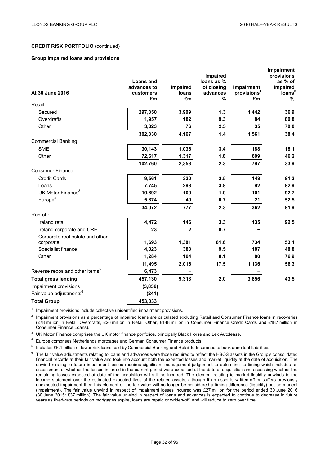## **CREDIT RISK PORTFOLIO** (continued)

#### **Group impaired loans and provisions**

| At 30 June 2016                            | <b>Loans and</b><br>advances to<br>customers | Impaired<br>loans | Impaired<br>loans as %<br>of closing<br>advances | Impairment<br>provisions <sup>1</sup> | Impairment<br>provisions<br>as % of<br>impaired<br>loans <sup>2</sup> |
|--------------------------------------------|----------------------------------------------|-------------------|--------------------------------------------------|---------------------------------------|-----------------------------------------------------------------------|
| Retail:                                    | £m                                           | £m                | %                                                | £m                                    | %                                                                     |
| Secured                                    | 297,350                                      | 3,909             | 1.3                                              | 1,442                                 | 36.9                                                                  |
| Overdrafts                                 | 1,957                                        | 182               | 9.3                                              | 84                                    | 80.8                                                                  |
| Other                                      | 3,023                                        | 76                | 2.5                                              | 35                                    | 70.0                                                                  |
|                                            | 302,330                                      | 4,167             | 1.4                                              | 1,561                                 | 38.4                                                                  |
| <b>Commercial Banking:</b>                 |                                              |                   |                                                  |                                       |                                                                       |
| <b>SME</b>                                 | 30,143                                       | 1,036             | 3.4                                              | 188                                   | 18.1                                                                  |
| Other                                      | 72,617                                       | 1,317             | 1.8                                              | 609                                   | 46.2                                                                  |
|                                            | 102,760                                      | 2,353             | 2.3                                              | 797                                   | 33.9                                                                  |
| Consumer Finance:                          |                                              |                   |                                                  |                                       |                                                                       |
| <b>Credit Cards</b>                        | 9,561                                        | 330               | 3.5                                              | 148                                   | 81.3                                                                  |
| Loans                                      | 7,745                                        | 298               | 3.8                                              | 92                                    | 82.9                                                                  |
| UK Motor Finance <sup>3</sup>              | 10,892                                       | 109               | 1.0                                              | 101                                   | 92.7                                                                  |
|                                            |                                              |                   |                                                  |                                       |                                                                       |
| Europe <sup>4</sup>                        | 5,874                                        | 40                | 0.7                                              | 21                                    | 52.5                                                                  |
|                                            | 34,072                                       | 777               | 2.3                                              | 362                                   | 81.9                                                                  |
| Run-off:                                   |                                              |                   |                                                  |                                       |                                                                       |
| Ireland retail                             | 4,472                                        | 146               | 3.3                                              | 135                                   | 92.5                                                                  |
| Ireland corporate and CRE                  | 23                                           | $\overline{2}$    | 8.7                                              |                                       |                                                                       |
| Corporate real estate and other            |                                              |                   | 81.6                                             | 734                                   | 53.1                                                                  |
| corporate<br>Specialist finance            | 1,693<br>4,023                               | 1,381<br>383      | 9.5                                              | 187                                   | 48.8                                                                  |
| Other                                      |                                              |                   | 8.1                                              | 80                                    | 76.9                                                                  |
|                                            | 1,284                                        | 104               |                                                  |                                       |                                                                       |
|                                            | 11,495                                       | 2,016             | 17.5                                             | 1,136                                 | 56.3                                                                  |
| Reverse repos and other items <sup>5</sup> | 6,473                                        |                   |                                                  |                                       |                                                                       |
| <b>Total gross lending</b>                 | 457,130                                      | 9,313             | 2.0                                              | 3,856                                 | 43.5                                                                  |
| Impairment provisions                      | (3, 856)                                     |                   |                                                  |                                       |                                                                       |
| Fair value adjustments <sup>6</sup>        | (241)                                        |                   |                                                  |                                       |                                                                       |
| <b>Total Group</b>                         | 453,033                                      |                   |                                                  |                                       |                                                                       |

 $1$  Impairment provisions include collective unidentified impairment provisions.

<sup>2</sup> Impairment provisions as a percentage of impaired loans are calculated excluding Retail and Consumer Finance loans in recoveries (£78 million in Retail Overdrafts, £26 million in Retail Other, £148 million in Consumer Finance Credit Cards and £187 million in Consumer Finance Loans).

<sup>3</sup> UK Motor Finance comprises the UK motor finance portfolios, principally Black Horse and Lex Autolease.

- <sup>4</sup> Europe comprises Netherlands mortgages and German Consumer Finance products.
- <sup>5</sup> Includes £6.1 billion of lower risk loans sold by Commercial Banking and Retail to Insurance to back annuitant liabilities.
- <sup>6</sup> The fair value adjustments relating to loans and advances were those required to reflect the HBOS assets in the Group's consolidated financial records at their fair value and took into account both the expected losses and market liquidity at the date of acquisition. The unwind relating to future impairment losses requires significant management judgement to determine its timing which includes an assessment of whether the losses incurred in the current period were expected at the date of acquisition and assessing whether the remaining losses expected at date of the acquisition will still be incurred. The element relating to market liquidity unwinds to the income statement over the estimated expected lives of the related assets, although if an asset is written-off or suffers previously unexpected impairment then this element of the fair value will no longer be considered a timing difference (liquidity) but permanent (impairment). The fair value unwind in respect of impairment losses incurred was £27 million for the period ended 30 June 2016 (30 June 2015: £37 million). The fair value unwind in respect of loans and advances is expected to continue to decrease in future years as fixed-rate periods on mortgages expire, loans are repaid or written-off, and will reduce to zero over time.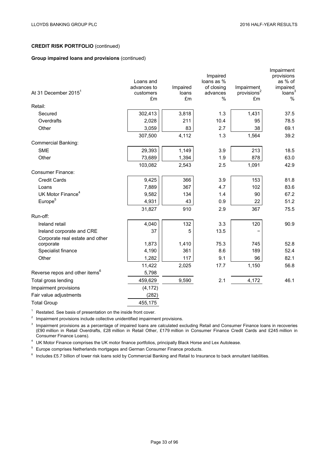# **CREDIT RISK PORTFOLIO** (continued)

# **Group impaired loans and provisions** (continued)

|                                            | Loans and                      |                         | Impaired<br>loans as %         |                                             | Impairment<br>provisions<br>as % of    |
|--------------------------------------------|--------------------------------|-------------------------|--------------------------------|---------------------------------------------|----------------------------------------|
| At 31 December 2015 <sup>1</sup>           | advances to<br>customers<br>£m | Impaired<br>loans<br>£m | of closing<br>advances<br>$\%$ | Impairment<br>provisions <sup>2</sup><br>£m | impaired<br>loans <sup>3</sup><br>$\%$ |
| Retail:                                    |                                |                         |                                |                                             |                                        |
| Secured                                    | 302,413                        | 3,818                   | 1.3                            | 1,431                                       | 37.5                                   |
| Overdrafts                                 | 2,028                          | 211                     | 10.4                           | 95                                          | 78.5                                   |
| Other                                      | 3,059                          | 83                      | 2.7                            | 38                                          | 69.1                                   |
|                                            | 307,500                        | 4,112                   | 1.3                            | 1,564                                       | 39.2                                   |
| <b>Commercial Banking:</b>                 |                                |                         |                                |                                             |                                        |
| <b>SME</b>                                 | 29,393                         | 1,149                   | 3.9                            | 213                                         | 18.5                                   |
| Other                                      | 73,689                         | 1,394                   | 1.9                            | 878                                         | 63.0                                   |
|                                            | 103,082                        | 2,543                   | 2.5                            | 1,091                                       | 42.9                                   |
| <b>Consumer Finance:</b>                   |                                |                         |                                |                                             |                                        |
| <b>Credit Cards</b>                        | 9,425                          | 366                     | 3.9                            | 153                                         | 81.8                                   |
| Loans                                      | 7,889                          | 367                     | 4.7                            | 102                                         | 83.6                                   |
| UK Motor Finance <sup>4</sup>              | 9,582                          | 134                     | 1.4                            | 90                                          | 67.2                                   |
| Europe <sup>5</sup>                        | 4,931                          | 43                      | 0.9                            | 22                                          | 51.2                                   |
|                                            | 31,827                         | 910                     | 2.9                            | 367                                         | 75.5                                   |
| Run-off:                                   |                                |                         |                                |                                             |                                        |
| Ireland retail                             | 4,040                          | 132                     | 3.3                            | 120                                         | 90.9                                   |
| Ireland corporate and CRE                  | 37                             | 5                       | 13.5                           |                                             |                                        |
| Corporate real estate and other            |                                |                         |                                |                                             |                                        |
| corporate                                  | 1,873                          | 1,410                   | 75.3                           | 745                                         | 52.8                                   |
| Specialist finance                         | 4,190                          | 361                     | 8.6                            | 189                                         | 52.4                                   |
| Other                                      | 1,282                          | 117                     | 9.1                            | 96                                          | 82.1                                   |
|                                            | 11,422                         | 2,025                   | 17.7                           | 1,150                                       | 56.8                                   |
| Reverse repos and other items <sup>6</sup> | 5,798                          |                         |                                |                                             |                                        |
| Total gross lending                        | 459,629                        | 9,590                   | 2.1                            | 4,172                                       | 46.1                                   |
| Impairment provisions                      | (4, 172)                       |                         |                                |                                             |                                        |
| Fair value adjustments                     | (282)                          |                         |                                |                                             |                                        |
| <b>Total Group</b>                         | 455,175                        |                         |                                |                                             |                                        |

 $1$  Restated. See basis of presentation on the inside front cover.

<sup>2</sup> Impairment provisions include collective unidentified impairment provisions.

<sup>3</sup> Impairment provisions as a percentage of impaired loans are calculated excluding Retail and Consumer Finance loans in recoveries (£90 million in Retail Overdrafts, £28 million in Retail Other, £179 million in Consumer Finance Credit Cards and £245 million in Consumer Finance Loans).

<sup>4</sup> UK Motor Finance comprises the UK motor finance portfolios, principally Black Horse and Lex Autolease.

<sup>5</sup> Europe comprises Netherlands mortgages and German Consumer Finance products.

<sup>6</sup> Includes £5.7 billion of lower risk loans sold by Commercial Banking and Retail to Insurance to back annuitant liabilities.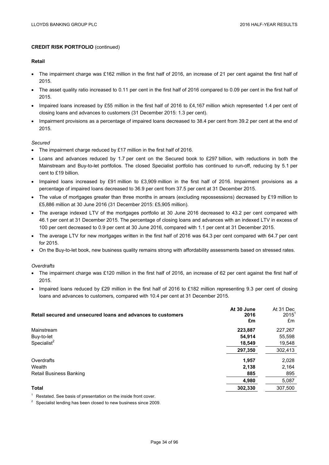#### **Retail**

- The impairment charge was £162 million in the first half of 2016, an increase of 21 per cent against the first half of 2015.
- The asset quality ratio increased to 0.11 per cent in the first half of 2016 compared to 0.09 per cent in the first half of 2015.
- Impaired loans increased by £55 million in the first half of 2016 to £4,167 million which represented 1.4 per cent of closing loans and advances to customers (31 December 2015: 1.3 per cent).
- Impairment provisions as a percentage of impaired loans decreased to 38.4 per cent from 39.2 per cent at the end of 2015.

## *Secured*

- The impairment charge reduced by £17 million in the first half of 2016.
- Loans and advances reduced by 1.7 per cent on the Secured book to £297 billion, with reductions in both the Mainstream and Buy-to-let portfolios. The closed Specialist portfolio has continued to run-off, reducing by 5.1 per cent to £19 billion.
- Impaired loans increased by £91 million to £3,909 million in the first half of 2016. Impairment provisions as a percentage of impaired loans decreased to 36.9 per cent from 37.5 per cent at 31 December 2015.
- The value of mortgages greater than three months in arrears (excluding repossessions) decreased by £19 million to £5,886 million at 30 June 2016 (31 December 2015: £5,905 million).
- The average indexed LTV of the mortgages portfolio at 30 June 2016 decreased to 43.2 per cent compared with 46.1 per cent at 31 December 2015. The percentage of closing loans and advances with an indexed LTV in excess of 100 per cent decreased to 0.9 per cent at 30 June 2016, compared with 1.1 per cent at 31 December 2015.
- The average LTV for new mortgages written in the first half of 2016 was 64.3 per cent compared with 64.7 per cent for 2015.
- On the Buy-to-let book, new business quality remains strong with affordability assessments based on stressed rates.

#### *Overdrafts*

- The impairment charge was £120 million in the first half of 2016, an increase of 62 per cent against the first half of 2015.
- Impaired loans reduced by £29 million in the first half of 2016 to £182 million representing 9.3 per cent of closing loans and advances to customers, compared with 10.4 per cent at 31 December 2015.

| Retail secured and unsecured loans and advances to customers | At 30 June<br>2016<br>£m | At 31 Dec<br>$2015^1$<br>£m |
|--------------------------------------------------------------|--------------------------|-----------------------------|
| Mainstream                                                   | 223,887                  | 227,267                     |
| Buy-to-let                                                   | 54,914                   | 55,598                      |
| Specialist <sup>2</sup>                                      | 18,549                   | 19,548                      |
|                                                              | 297,350                  | 302,413                     |
| Overdrafts                                                   | 1,957                    | 2,028                       |
| Wealth                                                       | 2,138                    | 2,164                       |
| <b>Retail Business Banking</b>                               | 885                      | 895                         |
|                                                              | 4,980                    | 5,087                       |
| <b>Total</b>                                                 | 302,330                  | 307,500                     |

 $1$  Restated. See basis of presentation on the inside front cover.

 $2^2$  Specialist lending has been closed to new business since 2009.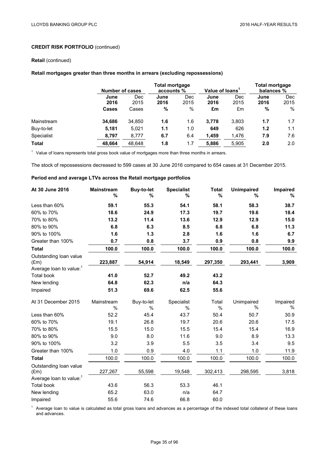### **Retail** (continued)

## **Retail mortgages greater than three months in arrears (excluding repossessions)**

|              |              | Number of cases |              | <b>Total mortgage</b><br>accounts % |              | Value of Ioans |              | Total mortgage<br>balances % |  |
|--------------|--------------|-----------------|--------------|-------------------------------------|--------------|----------------|--------------|------------------------------|--|
|              | June<br>2016 | Dec<br>2015     | June<br>2016 | Dec<br>2015                         | June<br>2016 | Dec<br>2015    | June<br>2016 | <b>Dec</b><br>2015           |  |
|              | <b>Cases</b> | Cases           | %            | $\%$                                | £m           | £m             | %            | $\%$                         |  |
| Mainstream   | 34,686       | 34,850          | 1.6          | 1.6                                 | 3.778        | 3,803          | 1.7          | 1.7                          |  |
| Buy-to-let   | 5,181        | 5.021           | 1.1          | 1.0                                 | 649          | 626            | 1.2          | 1.1                          |  |
| Specialist   | 8,797        | 8,777           | 6.7          | 6.4                                 | 1,459        | 1,476          | 7.9          | 7.6                          |  |
| <b>Total</b> | 48.664       | 48.648          | 1.8          | 1.7                                 | 5,886        | 5.905          | 2.0          | 2.0                          |  |

<sup>1</sup> Value of loans represents total gross book value of mortgages more than three months in arrears.

The stock of repossessions decreased to 599 cases at 30 June 2016 compared to 654 cases at 31 December 2015.

# **Period end and average LTVs across the Retail mortgage portfolios**

| At 30 June 2016                         | <b>Mainstream</b><br>% | <b>Buy-to-let</b><br>% | <b>Specialist</b><br>% | <b>Total</b><br>% | <b>Unimpaired</b><br>% | Impaired<br>%    |
|-----------------------------------------|------------------------|------------------------|------------------------|-------------------|------------------------|------------------|
| Less than 60%                           | 59.1                   | 55.3                   | 54.1                   | 58.1              | 58.3                   | 38.7             |
| 60% to 70%                              | 18.6                   | 24.9                   | 17.3                   | 19.7              | 19.6                   | 18.4             |
| 70% to 80%                              | 13.2                   | 11.4                   | 13.6                   | 12.9              | 12.9                   | 15.0             |
| 80% to 90%                              | 6.8                    | 6.3                    | 8.5                    | 6.8               | 6.8                    | 11.3             |
| 90% to 100%                             | 1.6                    | 1.3                    | 2.8                    | 1.6               | 1.6                    | 6.7              |
| Greater than 100%                       | 0.7                    | 0.8                    | 3.7                    | 0.9               | 0.8                    | 9.9              |
| <b>Total</b>                            | 100.0                  | 100.0                  | 100.0                  | 100.0             | 100.0                  | 100.0            |
| Outstanding loan value<br>(Em)          | 223,887                | 54,914                 | 18,549                 | 297,350           | 293,441                | 3,909            |
| Average loan to value: <sup>1</sup>     |                        |                        |                        |                   |                        |                  |
| <b>Total book</b>                       | 41.0                   | 52.7                   | 49.2                   | 43.2              |                        |                  |
| New lending                             | 64.8                   | 62.3                   | n/a                    | 64.3              |                        |                  |
| Impaired                                | 51.3                   | 69.6                   | 62.5                   | 55.6              |                        |                  |
| At 31 December 2015                     | Mainstream             | Buy-to-let<br>$\%$     | Specialist             | Total             | Unimpaired<br>%        | Impaired<br>$\%$ |
| Less than 60%                           | %<br>52.2              | 45.4                   | %<br>43.7              | %<br>50.4         | 50.7                   | 30.9             |
| 60% to 70%                              | 19.1                   | 26.8                   | 19.7                   | 20.6              | 20.6                   | 17.5             |
| 70% to 80%                              | 15.5                   | 15.0                   | 15.5                   | 15.4              | 15.4                   | 16.9             |
| 80% to 90%                              | 9.0                    | 8.0                    | 11.6                   | 9.0               | 8.9                    | 13.3             |
| 90% to 100%                             | 3.2                    | 3.9                    | 5.5                    | 3.5               | 3.4                    | 9.5              |
| Greater than 100%                       | 1.0                    | 0.9                    | 4.0                    | 1.1               | 1.0                    | 11.9             |
| <b>Total</b>                            | 100.0                  | 100.0                  | 100.0                  | 100.0             | 100.0                  | 100.0            |
| Outstanding loan value<br>$(\text{Em})$ | 227,267                | 55,598                 | 19,548                 | 302,413           | 298,595                | 3,818            |
| Average loan to value: <sup>1</sup>     |                        |                        |                        |                   |                        |                  |
| <b>Total book</b>                       | 43.6                   | 56.3                   | 53.3                   | 46.1              |                        |                  |
| New lending                             | 65.2                   | 63.0                   | n/a                    | 64.7              |                        |                  |
| Impaired                                | 55.6                   | 74.6                   | 66.8                   | 60.0              |                        |                  |

 $1$  Average loan to value is calculated as total gross loans and advances as a percentage of the indexed total collateral of these loans and advances.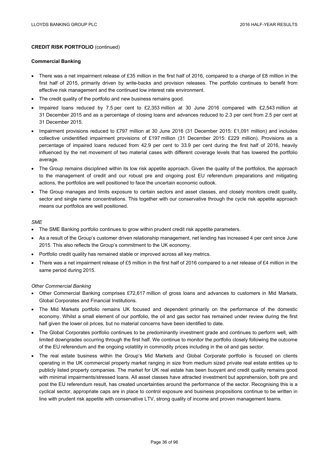#### **Commercial Banking**

- There was a net impairment release of £35 million in the first half of 2016, compared to a charge of £8 million in the first half of 2015, primarily driven by write-backs and provision releases. The portfolio continues to benefit from effective risk management and the continued low interest rate environment.
- The credit quality of the portfolio and new business remains good.
- Impaired loans reduced by 7.5 per cent to £2,353 million at 30 June 2016 compared with £2,543 million at 31 December 2015 and as a percentage of closing loans and advances reduced to 2.3 per cent from 2.5 per cent at 31 December 2015.
- Impairment provisions reduced to £797 million at 30 June 2016 (31 December 2015: £1,091 million) and includes collective unidentified impairment provisions of £197 million (31 December 2015: £229 million). Provisions as a percentage of impaired loans reduced from 42.9 per cent to 33.9 per cent during the first half of 2016, heavily influenced by the net movement of two material cases with different coverage levels that has lowered the portfolio average.
- The Group remains disciplined within its low risk appetite approach. Given the quality of the portfolios, the approach to the management of credit and our robust pre and ongoing post EU referendum preparations and mitigating actions, the portfolios are well positioned to face the uncertain economic outlook.
- The Group manages and limits exposure to certain sectors and asset classes, and closely monitors credit quality, sector and single name concentrations. This together with our conservative through the cycle risk appetite approach means our portfolios are well positioned.

#### *SME*

- The SME Banking portfolio continues to grow within prudent credit risk appetite parameters.
- As a result of the Group's customer driven relationship management, net lending has increased 4 per cent since June 2015. This also reflects the Group's commitment to the UK economy.
- Portfolio credit quality has remained stable or improved across all key metrics.
- There was a net impairment release of £5 million in the first half of 2016 compared to a net release of £4 million in the same period during 2015.

#### *Other Commercial Banking*

- Other Commercial Banking comprises £72,617 million of gross loans and advances to customers in Mid Markets, Global Corporates and Financial Institutions.
- The Mid Markets portfolio remains UK focused and dependent primarily on the performance of the domestic economy. Whilst a small element of our portfolio, the oil and gas sector has remained under review during the first half given the lower oil prices, but no material concerns have been identified to date.
- The Global Corporates portfolio continues to be predominantly investment grade and continues to perform well, with limited downgrades occurring through the first half. We continue to monitor the portfolio closely following the outcome of the EU referendum and the ongoing volatility in commodity prices including in the oil and gas sector.
- The real estate business within the Group's Mid Markets and Global Corporate portfolio is focused on clients operating in the UK commercial property market ranging in size from medium sized private real estate entities up to publicly listed property companies. The market for UK real estate has been buoyant and credit quality remains good with minimal impairments/stressed loans. All asset classes have attracted investment but apprehension, both pre and post the EU referendum result, has created uncertainties around the performance of the sector. Recognising this is a cyclical sector, appropriate caps are in place to control exposure and business propositions continue to be written in line with prudent risk appetite with conservative LTV, strong quality of income and proven management teams.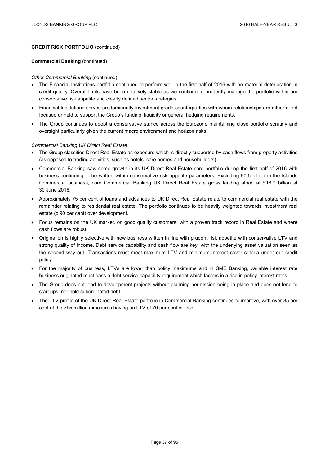#### **Commercial Banking** (continued)

#### *Other Commercial Banking* (continued)

- The Financial Institutions portfolio continued to perform well in the first half of 2016 with no material deterioration in credit quality. Overall limits have been relatively stable as we continue to prudently manage the portfolio within our conservative risk appetite and clearly defined sector strategies.
- Financial Institutions serves predominantly investment grade counterparties with whom relationships are either client focused or held to support the Group's funding, liquidity or general hedging requirements.
- The Group continues to adopt a conservative stance across the Eurozone maintaining close portfolio scrutiny and oversight particularly given the current macro environment and horizon risks.

#### *Commercial Banking UK Direct Real Estate*

- The Group classifies Direct Real Estate as exposure which is directly supported by cash flows from property activities (as opposed to trading activities, such as hotels, care homes and housebuilders).
- Commercial Banking saw some growth in its UK Direct Real Estate core portfolio during the first half of 2016 with business continuing to be written within conservative risk appetite parameters. Excluding £0.5 billion in the Islands Commercial business, core Commercial Banking UK Direct Real Estate gross lending stood at £18.9 billion at 30 June 2016.
- Approximately 75 per cent of loans and advances to UK Direct Real Estate relate to commercial real estate with the remainder relating to residential real estate. The portfolio continues to be heavily weighted towards investment real estate (c.90 per cent) over development.
- Focus remains on the UK market, on good quality customers, with a proven track record in Real Estate and where cash flows are robust.
- Origination is highly selective with new business written in line with prudent risk appetite with conservative LTV and strong quality of income. Debt service capability and cash flow are key, with the underlying asset valuation seen as the second way out. Transactions must meet maximum LTV and minimum interest cover criteria under our credit policy.
- For the majority of business, LTVs are lower than policy maximums and in SME Banking, variable interest rate business originated must pass a debt service capability requirement which factors in a rise in policy interest rates.
- The Group does not lend to development projects without planning permission being in place and does not lend to start ups, nor hold subordinated debt.
- The LTV profile of the UK Direct Real Estate portfolio in Commercial Banking continues to improve, with over 85 per cent of the >£5 million exposures having an LTV of 70 per cent or less.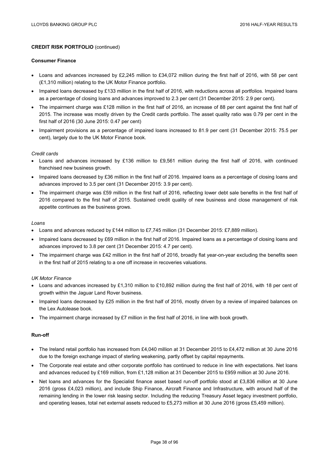#### **Consumer Finance**

- Loans and advances increased by £2,245 million to £34,072 million during the first half of 2016, with 58 per cent (£1,310 million) relating to the UK Motor Finance portfolio.
- Impaired loans decreased by £133 million in the first half of 2016, with reductions across all portfolios. Impaired loans as a percentage of closing loans and advances improved to 2.3 per cent (31 December 2015: 2.9 per cent).
- The impairment charge was £128 million in the first half of 2016, an increase of 88 per cent against the first half of 2015. The increase was mostly driven by the Credit cards portfolio. The asset quality ratio was 0.79 per cent in the first half of 2016 (30 June 2015: 0.47 per cent)
- Impairment provisions as a percentage of impaired loans increased to 81.9 per cent (31 December 2015: 75.5 per cent), largely due to the UK Motor Finance book.

## *Credit cards*

- Loans and advances increased by £136 million to £9,561 million during the first half of 2016, with continued franchised new business growth.
- Impaired loans decreased by £36 million in the first half of 2016. Impaired loans as a percentage of closing loans and advances improved to 3.5 per cent (31 December 2015: 3.9 per cent).
- The impairment charge was £59 million in the first half of 2016, reflecting lower debt sale benefits in the first half of 2016 compared to the first half of 2015. Sustained credit quality of new business and close management of risk appetite continues as the business grows.

#### *Loans*

- Loans and advances reduced by £144 million to £7,745 million (31 December 2015: £7,889 million).
- Impaired loans decreased by £69 million in the first half of 2016. Impaired loans as a percentage of closing loans and advances improved to 3.8 per cent (31 December 2015: 4.7 per cent).
- The impairment charge was £42 million in the first half of 2016, broadly flat year-on-year excluding the benefits seen in the first half of 2015 relating to a one off increase in recoveries valuations.

#### *UK Motor Finance*

- Loans and advances increased by £1,310 million to £10,892 million during the first half of 2016, with 18 per cent of growth within the Jaguar Land Rover business.
- Impaired loans decreased by £25 million in the first half of 2016, mostly driven by a review of impaired balances on the Lex Autolease book.
- The impairment charge increased by  $£7$  million in the first half of 2016, in line with book growth.

### **Run-off**

- The Ireland retail portfolio has increased from £4,040 million at 31 December 2015 to £4,472 million at 30 June 2016 due to the foreign exchange impact of sterling weakening, partly offset by capital repayments.
- The Corporate real estate and other corporate portfolio has continued to reduce in line with expectations. Net loans and advances reduced by £169 million, from £1,128 million at 31 December 2015 to £959 million at 30 June 2016.
- Net loans and advances for the Specialist finance asset based run-off portfolio stood at £3,836 million at 30 June 2016 (gross £4,023 million), and include Ship Finance, Aircraft Finance and Infrastructure, with around half of the remaining lending in the lower risk leasing sector. Including the reducing Treasury Asset legacy investment portfolio, and operating leases, total net external assets reduced to £5,273 million at 30 June 2016 (gross £5,459 million).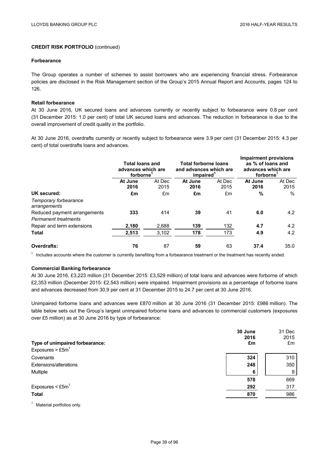#### **Forbearance**

The Group operates a number of schemes to assist borrowers who are experiencing financial stress. Forbearance policies are disclosed in the Risk Management section of the Group's 2015 Annual Report and Accounts, pages 124 to 126.

#### **Retail forbearance**

At 30 June 2016, UK secured loans and advances currently or recently subject to forbearance were 0.8 per cent (31 December 2015: 1.0 per cent) of total UK secured loans and advances. The reduction in forbearance is due to the overall improvement of credit quality in the portfolio.

At 30 June 2016, overdrafts currently or recently subject to forbearance were 3.9 per cent (31 December 2015: 4.3 per cent) of total overdrafts loans and advances.

|                                                             | <b>Total loans and</b><br>advances which are<br>forborne |                | <b>Total forborne loans</b><br>and advances which are<br>impaired <sup>1</sup> |                | <b>Impairment provisions</b><br>as % of loans and<br>advances which are<br>forborne |                |  |
|-------------------------------------------------------------|----------------------------------------------------------|----------------|--------------------------------------------------------------------------------|----------------|-------------------------------------------------------------------------------------|----------------|--|
|                                                             | At June<br>2016                                          | At Dec<br>2015 | At June<br>2016                                                                | At Dec<br>2015 | At June<br>2016                                                                     | At Dec<br>2015 |  |
| UK secured:                                                 | £m                                                       | £m             | £m                                                                             | £m             | %                                                                                   | %              |  |
| Temporary forbearance<br>arrangements                       |                                                          |                |                                                                                |                |                                                                                     |                |  |
| Reduced payment arrangements<br><b>Permanent treatments</b> | 333                                                      | 414            | 39                                                                             | 41             | 6.0                                                                                 | 4.2            |  |
| Repair and term extensions                                  | 2,180                                                    | 2,688          | 139                                                                            | 132            | 4.7                                                                                 | 4.2            |  |
| <b>Total</b>                                                | 2,513                                                    | 3,102          | 178                                                                            | 173            | 4.9                                                                                 | 4.2            |  |
| <b>Overdrafts:</b>                                          | 76                                                       | 87             | 59                                                                             | 63             | 37.4                                                                                | 35.0           |  |

<sup>1</sup> Includes accounts where the customer is currently benefiting from a forbearance treatment or the treatment has recently ended.

## **Commercial Banking forbearance**

At 30 June 2016, £3,223 million (31 December 2015: £3,529 million) of total loans and advances were forborne of which £2,353 million (December 2015: £2,543 million) were impaired. Impairment provisions as a percentage of forborne loans and advances decreased from 30.9 per cent at 31 December 2015 to 24.7 per cent at 30 June 2016.

Unimpaired forborne loans and advances were £870 million at 30 June 2016 (31 December 2015: £986 million). The table below sets out the Group's largest unimpaired forborne loans and advances to commercial customers (exposures over £5 million) as at 30 June 2016 by type of forbearance:

|                                                                                                                 | 30 June<br>2016 | 31 Dec<br>2015 |
|-----------------------------------------------------------------------------------------------------------------|-----------------|----------------|
| Type of unimpaired forbearance:                                                                                 | £m              | £m             |
| Exposures $>$ £5m <sup>1</sup>                                                                                  |                 |                |
| Covenants                                                                                                       | 324             | 310            |
| Extensions/alterations                                                                                          | 248             | 350            |
| Multiple                                                                                                        | 6               | 9              |
|                                                                                                                 | 578             | 669            |
| Exposures $\leq$ £5m <sup>1</sup>                                                                               | 292             | 317            |
| <b>Total</b>                                                                                                    | 870             | 986            |
| the second contract of the second second second and second the second second second second second second second |                 |                |

Material portfolios only.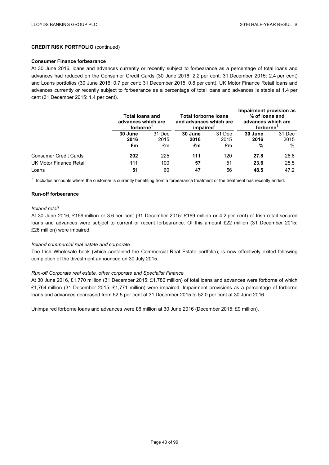#### **Consumer Finance forbearance**

At 30 June 2016, loans and advances currently or recently subject to forbearance as a percentage of total loans and advances had reduced on the Consumer Credit Cards (30 June 2016: 2.2 per cent; 31 December 2015: 2.4 per cent) and Loans portfolios (30 June 2016: 0.7 per cent; 31 December 2015: 0.8 per cent). UK Motor Finance Retail loans and advances currently or recently subject to forbearance as a percentage of total loans and advances is stable at 1.4 per cent (31 December 2015: 1.4 per cent).

|                              | <b>Total loans and</b><br>advances which are<br>forborne' |                | <b>Total forborne loans</b><br>and advances which are<br><i>impaired</i> |                | Impairment provision as<br>% of loans and<br>advances which are<br>forborne <sup>'</sup> |                |
|------------------------------|-----------------------------------------------------------|----------------|--------------------------------------------------------------------------|----------------|------------------------------------------------------------------------------------------|----------------|
|                              | 30 June<br>2016                                           | 31 Dec<br>2015 | 30 June<br>2016                                                          | 31 Dec<br>2015 | 30 June<br>2016                                                                          | 31 Dec<br>2015 |
|                              | £m                                                        | £m             | £m                                                                       | £m             | $\frac{9}{6}$                                                                            | $\%$           |
| <b>Consumer Credit Cards</b> | 202                                                       | 225            | 111                                                                      | 120            | 27.8                                                                                     | 26.8           |
| UK Motor Finance Retail      | 111                                                       | 100            | 57                                                                       | 51             | 23.6                                                                                     | 25.5           |
| Loans                        | 51                                                        | 60             | 47                                                                       | 56             | 48.5                                                                                     | 47.2           |

 $<sup>1</sup>$  Includes accounts where the customer is currently benefiting from a forbearance treatment or the treatment has recently ended.</sup>

#### **Run-off forbearance**

### *Ireland retail*

At 30 June 2016, £159 million or 3.6 per cent (31 December 2015: £169 million or 4.2 per cent) of Irish retail secured loans and advances were subject to current or recent forbearance. Of this amount £22 million (31 December 2015: £26 million) were impaired.

#### *Ireland commercial real estate and corporate*

The Irish Wholesale book (which contained the Commercial Real Estate portfolio), is now effectively exited following completion of the divestment announced on 30 July 2015.

#### *Run-off Corporate real estate, other corporate and Specialist Finance*

At 30 June 2016, £1,770 million (31 December 2015: £1,780 million) of total loans and advances were forborne of which £1,764 million (31 December 2015: £1,771 million) were impaired. Impairment provisions as a percentage of forborne loans and advances decreased from 52.5 per cent at 31 December 2015 to 52.0 per cent at 30 June 2016.

Unimpaired forborne loans and advances were £6 million at 30 June 2016 (December 2015: £9 million).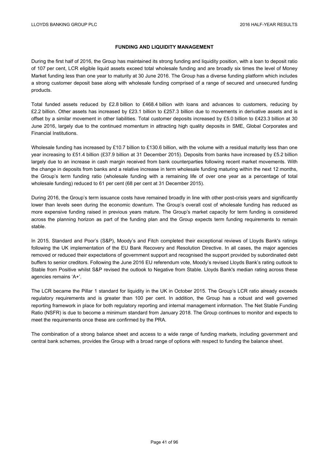## **FUNDING AND LIQUIDITY MANAGEMENT**

During the first half of 2016, the Group has maintained its strong funding and liquidity position, with a loan to deposit ratio of 107 per cent, LCR eligible liquid assets exceed total wholesale funding and are broadly six times the level of Money Market funding less than one year to maturity at 30 June 2016. The Group has a diverse funding platform which includes a strong customer deposit base along with wholesale funding comprised of a range of secured and unsecured funding products.

Total funded assets reduced by £2.8 billion to £468.4 billion with loans and advances to customers, reducing by £2.2 billion. Other assets has increased by £23.1 billion to £257.3 billion due to movements in derivative assets and is offset by a similar movement in other liabilities. Total customer deposits increased by £5.0 billion to £423.3 billion at 30 June 2016, largely due to the continued momentum in attracting high quality deposits in SME, Global Corporates and Financial Institutions.

Wholesale funding has increased by £10.7 billion to £130.6 billion, with the volume with a residual maturity less than one year increasing to £51.4 billion (£37.9 billion at 31 December 2015). Deposits from banks have increased by £5.2 billion largely due to an increase in cash margin received from bank counterparties following recent market movements. With the change in deposits from banks and a relative increase in term wholesale funding maturing within the next 12 months, the Group's term funding ratio (wholesale funding with a remaining life of over one year as a percentage of total wholesale funding) reduced to 61 per cent (68 per cent at 31 December 2015).

During 2016, the Group's term issuance costs have remained broadly in line with other post-crisis years and significantly lower than levels seen during the economic downturn. The Group's overall cost of wholesale funding has reduced as more expensive funding raised in previous years mature. The Group's market capacity for term funding is considered across the planning horizon as part of the funding plan and the Group expects term funding requirements to remain stable.

In 2015, Standard and Poor's (S&P), Moody's and Fitch completed their exceptional reviews of Lloyds Bank's ratings following the UK implementation of the EU Bank Recovery and Resolution Directive. In all cases, the major agencies removed or reduced their expectations of government support and recognised the support provided by subordinated debt buffers to senior creditors. Following the June 2016 EU referendum vote, Moody's revised Lloyds Bank's rating outlook to Stable from Positive whilst S&P revised the outlook to Negative from Stable. Lloyds Bank's median rating across these agencies remains 'A+'.

The LCR became the Pillar 1 standard for liquidity in the UK in October 2015. The Group's LCR ratio already exceeds regulatory requirements and is greater than 100 per cent. In addition, the Group has a robust and well governed reporting framework in place for both regulatory reporting and internal management information. The Net Stable Funding Ratio (NSFR) is due to become a minimum standard from January 2018. The Group continues to monitor and expects to meet the requirements once these are confirmed by the PRA.

The combination of a strong balance sheet and access to a wide range of funding markets, including government and central bank schemes, provides the Group with a broad range of options with respect to funding the balance sheet.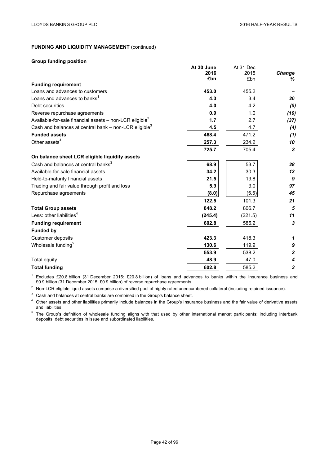$AB = 3$ 

# **FUNDING AND LIQUIDITY MANAGEMENT** (continued)

## **Group funding position**

|                                                                     | At 30 June | At 31 Dec |                         |
|---------------------------------------------------------------------|------------|-----------|-------------------------|
|                                                                     | 2016       | 2015      | Change                  |
|                                                                     | £bn        | £bn       | ℅                       |
| <b>Funding requirement</b>                                          |            |           |                         |
| Loans and advances to customers                                     | 453.0      | 455.2     |                         |
| Loans and advances to banks <sup>1</sup>                            | 4.3        | 3.4       | 26                      |
| Debt securities                                                     | 4.0        | 4.2       | (5)                     |
| Reverse repurchase agreements                                       | 0.9        | 1.0       | (10)                    |
| Available-for-sale financial assets - non-LCR eligible <sup>2</sup> | 1.7        | 2.7       | (37)                    |
| Cash and balances at central bank $-$ non-LCR eligible <sup>3</sup> | 4.5        | 4.7       | (4)                     |
| <b>Funded assets</b>                                                | 468.4      | 471.2     | (1)                     |
| Other assets <sup>4</sup>                                           | 257.3      | 234.2     | 10                      |
|                                                                     | 725.7      | 705.4     | 3                       |
| On balance sheet LCR eligible liquidity assets                      |            |           |                         |
| Cash and balances at central banks <sup>3</sup>                     | 68.9       | 53.7      | 28                      |
| Available-for-sale financial assets                                 | 34.2       | 30.3      | 13                      |
| Held-to-maturity financial assets                                   | 21.5       | 19.8      | 9                       |
| Trading and fair value through profit and loss                      | 5.9        | 3.0       | 97                      |
| Repurchase agreements                                               | (8.0)      | (5.5)     | 45                      |
|                                                                     | 122.5      | 101.3     | 21                      |
| <b>Total Group assets</b>                                           | 848.2      | 806.7     | $\overline{\mathbf{5}}$ |
| Less: other liabilities <sup>4</sup>                                | (245.4)    | (221.5)   | 11                      |
| <b>Funding requirement</b>                                          | 602.8      | 585.2     | 3                       |
| <b>Funded by</b>                                                    |            |           |                         |
| Customer deposits                                                   | 423.3      | 418.3     | 1                       |
| Wholesale funding <sup>5</sup>                                      | 130.6      | 119.9     | 9                       |
|                                                                     | 553.9      | 538.2     | 3                       |
| Total equity                                                        | 48.9       | 47.0      | 4                       |
| <b>Total funding</b>                                                | 602.8      | 585.2     | 3                       |

**At 30 June** 

<sup>1</sup> Excludes £20.8 billion (31 December 2015: £20.8 billion) of loans and advances to banks within the Insurance business and £0.9 billion (31 December 2015: £0.9 billion) of reverse repurchase agreements.

 $2$  Non-LCR eligible liquid assets comprise a diversified pool of highly rated unencumbered collateral (including retained issuance).

 $3 \text{ Cash}$  and balances at central banks are combined in the Group's balance sheet.<br> $4 \text{ Other}$  contracts and other linkilities primarily include balances in the Group's Insur-

<sup>4</sup> Other assets and other liabilities primarily include balances in the Group's Insurance business and the fair value of derivative assets and liabilities.

<sup>5</sup> The Group's definition of wholesale funding aligns with that used by other international market participants; including interbank deposits, debt securities in issue and subordinated liabilities.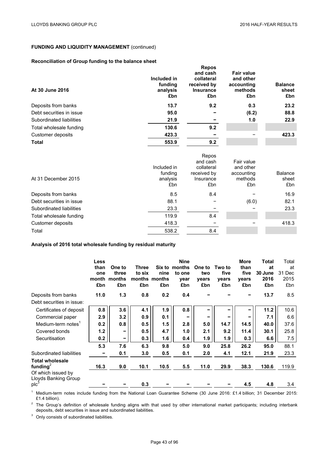# **FUNDING AND LIQUIDITY MANAGEMENT** (continued)

# **Reconciliation of Group funding to the balance sheet**

| At 30 June 2016          | Included in<br>funding<br>analysis<br>£bn | <b>Repos</b><br>and cash<br>collateral<br>received by<br><b>Insurance</b><br>£bn | <b>Fair value</b><br>and other<br>accounting<br>methods<br>£bn | <b>Balance</b><br>sheet<br>£bn |
|--------------------------|-------------------------------------------|----------------------------------------------------------------------------------|----------------------------------------------------------------|--------------------------------|
| Deposits from banks      | 13.7                                      | 9.2                                                                              | 0.3                                                            | 23.2                           |
| Debt securities in issue | 95.0                                      |                                                                                  | (6.2)                                                          | 88.8                           |
| Subordinated liabilities | 21.9                                      |                                                                                  | 1.0                                                            | 22.9                           |
| Total wholesale funding  | 130.6                                     | 9.2                                                                              |                                                                |                                |
| Customer deposits        | 423.3                                     |                                                                                  |                                                                | 423.3                          |
| <b>Total</b>             | 553.9                                     | 9.2                                                                              |                                                                |                                |

| At 31 December 2015      | Included in<br>funding<br>analysis<br>£bn | Repos<br>and cash<br>collateral<br>received by<br>Insurance<br>£bn | Fair value<br>and other<br>accounting<br>methods<br>£bn | <b>Balance</b><br>sheet<br>£bn |
|--------------------------|-------------------------------------------|--------------------------------------------------------------------|---------------------------------------------------------|--------------------------------|
| Deposits from banks      | 8.5                                       | 8.4                                                                |                                                         | 16.9                           |
| Debt securities in issue | 88.1                                      |                                                                    | (6.0)                                                   | 82.1                           |
| Subordinated liabilities | 23.3                                      |                                                                    |                                                         | 23.3                           |
| Total wholesale funding  | 119.9                                     | 8.4                                                                |                                                         |                                |
| Customer deposits        | 418.3                                     |                                                                    |                                                         | 418.3                          |
| Total                    | 538.2                                     | 8.4                                                                |                                                         |                                |

# **Analysis of 2016 total wholesale funding by residual maturity**

|                                                                                      | Less<br>than<br>one<br>month<br>£bn | One to<br>three<br>months<br>£bn | <b>Three</b><br>to six<br>months months<br>£bn | nine<br>£bn | <b>Nine</b><br>Six to months<br>to one<br>year<br>£bn | One to<br>two<br>years<br>£bn | Two to<br>five<br>years<br>£bn | <b>More</b><br>than<br>five<br>years<br>£bn | <b>Total</b><br>at<br>30 June<br>2016<br>£bn | Total<br>at<br>31 Dec<br>2015<br>£bn |
|--------------------------------------------------------------------------------------|-------------------------------------|----------------------------------|------------------------------------------------|-------------|-------------------------------------------------------|-------------------------------|--------------------------------|---------------------------------------------|----------------------------------------------|--------------------------------------|
| Deposits from banks                                                                  | 11.0                                | 1.3                              | 0.8                                            | 0.2         | 0.4                                                   |                               |                                |                                             | 13.7                                         | 8.5                                  |
| Debt securities in issue:                                                            |                                     |                                  |                                                |             |                                                       |                               |                                |                                             |                                              |                                      |
| Certificates of deposit                                                              | 0.8                                 | 3.6                              | 4.1                                            | 1.9         | 0.8                                                   |                               |                                |                                             | 11.2                                         | 10.6                                 |
| Commercial paper                                                                     | 2.9                                 | 3.2                              | 0.9                                            | 0.1         | -                                                     |                               |                                |                                             | 7.1                                          | 6.6                                  |
| Medium-term notes <sup>1</sup>                                                       | 0.2                                 | 0.8                              | 0.5                                            | 1.5         | 2.8                                                   | 5.0                           | 14.7                           | 14.5                                        | 40.0                                         | 37.6                                 |
| Covered bonds                                                                        | 1.2                                 | -                                | 0.5                                            | 4.7         | 1.0                                                   | 2.1                           | 9.2                            | 11.4                                        | 30.1                                         | 25.8                                 |
| Securitisation                                                                       | 0.2                                 | $\overline{a}$                   | 0.3                                            | 1.6         | 0.4                                                   | 1.9                           | 1.9                            | 0.3                                         | 6.6                                          | 7.5                                  |
|                                                                                      | 5.3                                 | 7.6                              | 6.3                                            | 9.8         | 5.0                                                   | 9.0                           | 25.8                           | 26.2                                        | 95.0                                         | 88.1                                 |
| Subordinated liabilities                                                             | -                                   | 0.1                              | 3.0                                            | 0.5         | 0.1                                                   | 2.0                           | 4.1                            | 12.1                                        | 21.9                                         | 23.3                                 |
| <b>Total wholesale</b><br>funding $^2$<br>Of which issued by<br>Lloyds Banking Group | 16.3                                | 9.0                              | 10.1                                           | 10.5        | 5.5                                                   | 11.0                          | 29.9                           | 38.3                                        | 130.6                                        | 119.9                                |
| plc <sup>3</sup>                                                                     |                                     |                                  | 0.3                                            |             |                                                       |                               |                                | 4.5                                         | 4.8                                          | 3.4                                  |

<sup>1</sup> Medium-term notes include funding from the National Loan Guarantee Scheme (30 June 2016: £1.4 billion; 31 December 2015: £1.4 billion).

 $2$  The Group's definition of wholesale funding aligns with that used by other international market participants; including interbank deposits, debt securities in issue and subordinated liabilities.

<sup>3</sup> Only consists of subordinated liabilities.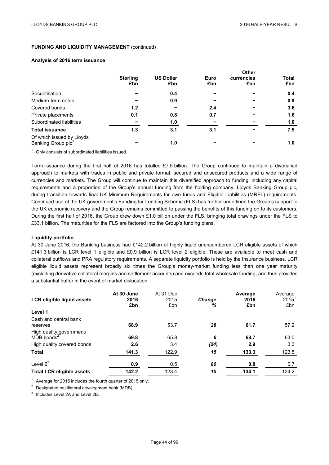# **FUNDING AND LIQUIDITY MANAGEMENT** (continued)

### **Analysis of 2016 term issuance**

|                        |                         |             | <b>Other</b>      |                     |  |
|------------------------|-------------------------|-------------|-------------------|---------------------|--|
| <b>Sterling</b><br>£bn | <b>US Dollar</b><br>£bn | Euro<br>£bn | currencies<br>£bn | <b>Total</b><br>£bn |  |
|                        | 0.4                     |             |                   | 0.4                 |  |
|                        | 0.9                     |             |                   | 0.9                 |  |
| 1.2                    |                         | 2.4         |                   | 3.6                 |  |
| 0.1                    | 0.8                     | 0.7         |                   | 1.6                 |  |
|                        | 1.0                     |             |                   | 1.0                 |  |
| 1.3                    | 3.1                     | 3.1         |                   | 7.5                 |  |
|                        | 1.0                     |             |                   | 1.0                 |  |
|                        |                         |             |                   |                     |  |

<sup>1</sup> Only consists of subordinated liabilities issued.

Term issuance during the first half of 2016 has totalled £7.5 billion. The Group continued to maintain a diversified approach to markets with trades in public and private format, secured and unsecured products and a wide range of currencies and markets. The Group will continue to maintain this diversified approach to funding, including any capital requirements and a proportion of the Group's annual funding from the holding company, Lloyds Banking Group plc, during transition towards final UK Minimum Requirements for own funds and Eligible Liabilities (MREL) requirements. Continued use of the UK government's Funding for Lending Scheme (FLS) has further underlined the Group's support to the UK economic recovery and the Group remains committed to passing the benefits of this funding on to its customers. During the first half of 2016, the Group drew down £1.0 billion under the FLS, bringing total drawings under the FLS to £33.1 billion. The maturities for the FLS are factored into the Group's funding plans.

#### **Liquidity portfolio**

At 30 June 2016, the Banking business had £142.2 billion of highly liquid unencumbered LCR eligible assets of which £141.3 billion is LCR level 1 eligible and £0.9 billion is LCR level 2 eligible. These are available to meet cash and collateral outflows and PRA regulatory requirements. A separate liquidity portfolio is held by the Insurance business. LCR eligible liquid assets represent broadly six times the Group's money-market funding less than one year maturity (excluding derivative collateral margins and settlement accounts) and exceeds total wholesale funding, and thus provides a substantial buffer in the event of market dislocation.

| <b>LCR eligible liquid assets</b>                    | At 30 June<br>2016<br>£bn | At 31 Dec<br>2015<br>£bn | <b>Change</b><br>% | Average<br>2016<br>£bn | Average<br>$2015^1$<br>£bn |
|------------------------------------------------------|---------------------------|--------------------------|--------------------|------------------------|----------------------------|
| Level 1                                              |                           |                          |                    |                        |                            |
| Cash and central bank<br>reserves                    | 68.9                      | 53.7                     | 28                 | 61.7                   | 57.2                       |
| High quality government/<br>$MDB$ bonds <sup>2</sup> | 69.8                      | 65.8                     | 6                  | 68.7                   | 63.0                       |
| High quality covered bonds                           | 2.6                       | 3.4                      | (24)               | 2.9                    | 3.3                        |
| <b>Total</b>                                         | 141.3                     | 122.9                    | 15                 | 133.3                  | 123.5                      |
| Level $2^3$                                          | 0.9                       | 0.5                      | 80                 | 0.8                    | 0.7                        |
| <b>Total LCR eligible assets</b>                     | 142.2                     | 123.4                    | 15                 | 134.1                  | 124.2                      |

 $1$  Average for 2015 includes the fourth quarter of 2015 only.

 $2^2$  Designated multilateral development bank (MDB).

<sup>3</sup> Includes Level 2A and Level 2B.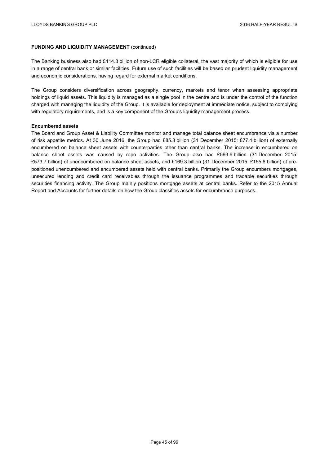## **FUNDING AND LIQUIDITY MANAGEMENT (continued)**

The Banking business also had £114.3 billion of non-LCR eligible collateral, the vast majority of which is eligible for use in a range of central bank or similar facilities. Future use of such facilities will be based on prudent liquidity management and economic considerations, having regard for external market conditions.

The Group considers diversification across geography, currency, markets and tenor when assessing appropriate holdings of liquid assets. This liquidity is managed as a single pool in the centre and is under the control of the function charged with managing the liquidity of the Group. It is available for deployment at immediate notice, subject to complying with regulatory requirements, and is a key component of the Group's liquidity management process.

#### **Encumbered assets**

The Board and Group Asset & Liability Committee monitor and manage total balance sheet encumbrance via a number of risk appetite metrics. At 30 June 2016, the Group had £85.3 billion (31 December 2015: £77.4 billion) of externally encumbered on balance sheet assets with counterparties other than central banks. The increase in encumbered on balance sheet assets was caused by repo activities. The Group also had £593.6 billion (31 December 2015: £573.7 billion) of unencumbered on balance sheet assets, and £169.3 billion (31 December 2015: £155.6 billion) of prepositioned unencumbered and encumbered assets held with central banks. Primarily the Group encumbers mortgages, unsecured lending and credit card receivables through the issuance programmes and tradable securities through securities financing activity. The Group mainly positions mortgage assets at central banks. Refer to the 2015 Annual Report and Accounts for further details on how the Group classifies assets for encumbrance purposes.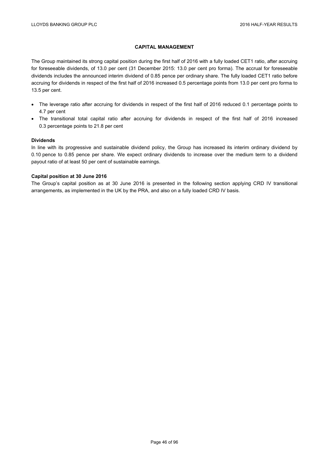## **CAPITAL MANAGEMENT**

The Group maintained its strong capital position during the first half of 2016 with a fully loaded CET1 ratio, after accruing for foreseeable dividends, of 13.0 per cent (31 December 2015: 13.0 per cent pro forma). The accrual for foreseeable dividends includes the announced interim dividend of 0.85 pence per ordinary share. The fully loaded CET1 ratio before accruing for dividends in respect of the first half of 2016 increased 0.5 percentage points from 13.0 per cent pro forma to 13.5 per cent.

- The leverage ratio after accruing for dividends in respect of the first half of 2016 reduced 0.1 percentage points to 4.7 per cent
- The transitional total capital ratio after accruing for dividends in respect of the first half of 2016 increased 0.3 percentage points to 21.8 per cent

## **Dividends**

In line with its progressive and sustainable dividend policy, the Group has increased its interim ordinary dividend by 0.10 pence to 0.85 pence per share. We expect ordinary dividends to increase over the medium term to a dividend payout ratio of at least 50 per cent of sustainable earnings.

#### **Capital position at 30 June 2016**

The Group's capital position as at 30 June 2016 is presented in the following section applying CRD IV transitional arrangements, as implemented in the UK by the PRA, and also on a fully loaded CRD IV basis.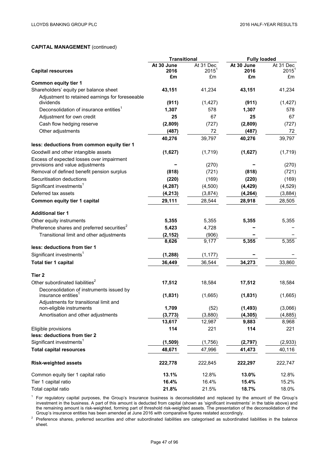| <b>Transitional</b>                                                            |                    |                       | <b>Fully loaded</b> |                       |  |  |
|--------------------------------------------------------------------------------|--------------------|-----------------------|---------------------|-----------------------|--|--|
|                                                                                | At 30 June<br>2016 | At 31 Dec<br>$2015^1$ | At 30 June<br>2016  | At 31 Dec<br>$2015^1$ |  |  |
| <b>Capital resources</b>                                                       | £m                 | £m                    | £m                  | £m                    |  |  |
| <b>Common equity tier 1</b>                                                    |                    |                       |                     |                       |  |  |
| Shareholders' equity per balance sheet                                         | 43,151             | 41,234                | 43,151              | 41,234                |  |  |
| Adjustment to retained earnings for foreseeable<br>dividends                   | (911)              | (1, 427)              | (911)               | (1, 427)              |  |  |
| Deconsolidation of insurance entities <sup>1</sup>                             | 1,307              | 578                   | 1,307               | 578                   |  |  |
| Adjustment for own credit                                                      | 25                 | 67                    | 25                  | 67                    |  |  |
| Cash flow hedging reserve                                                      | (2,809)            | (727)                 | (2,809)             | (727)                 |  |  |
| Other adjustments                                                              | (487)              | 72                    | (487)               | 72                    |  |  |
|                                                                                | 40,276             | 39,797                | 40,276              | 39,797                |  |  |
| less: deductions from common equity tier 1                                     |                    |                       |                     |                       |  |  |
| Goodwill and other intangible assets                                           | (1,627)            | (1,719)               | (1,627)             | (1,719)               |  |  |
| Excess of expected losses over impairment                                      |                    |                       |                     |                       |  |  |
| provisions and value adjustments<br>Removal of defined benefit pension surplus | (818)              | (270)<br>(721)        |                     | (270)<br>(721)        |  |  |
| Securitisation deductions                                                      |                    | (169)                 | (818)               | (169)                 |  |  |
|                                                                                | (220)              |                       | (220)               |                       |  |  |
| Significant investments <sup>1</sup>                                           | (4, 287)           | (4,500)               | (4, 429)            | (4, 529)              |  |  |
| Deferred tax assets                                                            | (4, 213)           | (3,874)               | (4, 264)            | (3,884)               |  |  |
| Common equity tier 1 capital                                                   | 29,111             | 28,544                | 28,918              | 28,505                |  |  |
| <b>Additional tier 1</b>                                                       |                    |                       |                     |                       |  |  |
| Other equity instruments                                                       | 5,355              | 5,355                 | 5,355               | 5,355                 |  |  |
| Preference shares and preferred securities <sup>2</sup>                        | 5,423              | 4,728                 |                     |                       |  |  |
| Transitional limit and other adjustments                                       | (2, 152)           | (906)                 |                     |                       |  |  |
|                                                                                | 8,626              | 9,177                 | 5,355               | 5,355                 |  |  |
| less: deductions from tier 1                                                   |                    |                       |                     |                       |  |  |
| Significant investments <sup>1</sup>                                           | (1, 288)           | (1, 177)              |                     |                       |  |  |
| Total tier 1 capital                                                           | 36,449             | 36,544                | 34,273              | 33,860                |  |  |
| Tier <sub>2</sub>                                                              |                    |                       |                     |                       |  |  |
| Other subordinated liabilities <sup>2</sup>                                    | 17,512             | 18,584                | 17,512              | 18,584                |  |  |
| Deconsolidation of instruments issued by<br>insurance entities <sup>1</sup>    |                    |                       |                     |                       |  |  |
|                                                                                | (1,831)            | (1,665)               | (1,831)             | (1,665)               |  |  |
| Adjustments for transitional limit and<br>non-eligible instruments             | 1,709              | (52)                  | (1, 493)            | (3,066)               |  |  |
| Amortisation and other adjustments                                             | (3, 773)           | (3,880)               | (4, 305)            | (4, 885)              |  |  |
|                                                                                | 13,617             | 12,987                | 9,883               | 8,968                 |  |  |
| Eligible provisions                                                            | 114                | 221                   | 114                 | 221                   |  |  |
| less: deductions from tier 2                                                   |                    |                       |                     |                       |  |  |
| Significant investments <sup>1</sup>                                           | (1, 509)           | (1,756)               | (2,797)             | (2,933)               |  |  |
| <b>Total capital resources</b>                                                 | 48,671             | 47,996                | 41,473              | 40,116                |  |  |
| <b>Risk-weighted assets</b>                                                    | 222,778            | 222,845               | 222,297             | 222,747               |  |  |
| Common equity tier 1 capital ratio                                             | 13.1%              | 12.8%                 | 13.0%               | 12.8%                 |  |  |
| Tier 1 capital ratio                                                           | 16.4%              | 16.4%                 | 15.4%               | 15.2%                 |  |  |
| Total capital ratio                                                            | 21.8%              | 21.5%                 | 18.7%               | 18.0%                 |  |  |

 $<sup>1</sup>$  For regulatory capital purposes, the Group's Insurance business is deconsolidated and replaced by the amount of the Group's</sup> investment in the business. A part of this amount is deducted from capital (shown as 'significant investments' in the table above) and the remaining amount is risk-weighted, forming part of threshold risk-weighted assets. The presentation of the deconsolidation of the Group's insurance entities has been amended at June 2016 with comparative figures restat

<sup>2</sup> Preference shares, preferred securities and other subordinated liabilities are categorised as subordinated liabilities in the balance sheet.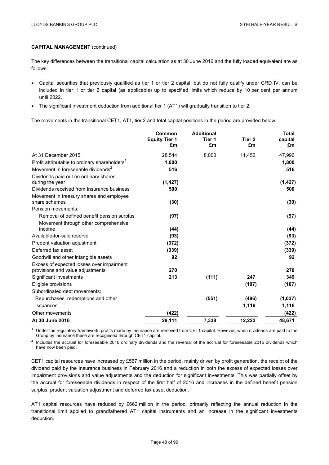The key differences between the transitional capital calculation as at 30 June 2016 and the fully loaded equivalent are as follows:

- Capital securities that previously qualified as tier 1 or tier 2 capital, but do not fully qualify under CRD IV, can be included in tier 1 or tier 2 capital (as applicable) up to specified limits which reduce by 10 per cent per annum until 2022.
- The significant investment deduction from additional tier 1 (AT1) will gradually transition to tier 2.

The movements in the transitional CET1, AT1, tier 2 and total capital positions in the period are provided below.

|                                                           | Common<br><b>Equity Tier 1</b><br>£m | <b>Additional</b><br>Tier 1<br>£m | Tier 2<br>£m | <b>Total</b><br>capital<br>£m |
|-----------------------------------------------------------|--------------------------------------|-----------------------------------|--------------|-------------------------------|
| At 31 December 2015                                       | 28,544                               | 8,000                             | 11,452       | 47,996                        |
| Profit attributable to ordinary shareholders <sup>1</sup> | 1,800                                |                                   |              | 1,800                         |
| Movement in foreseeable dividends <sup>2</sup>            | 516                                  |                                   |              | 516                           |
| Dividends paid out on ordinary shares<br>during the year  | (1, 427)                             |                                   |              | (1, 427)                      |
| Dividends received from Insurance business                | 500                                  |                                   |              | 500                           |
| Movement in treasury shares and employee<br>share schemes | (30)                                 |                                   |              | (30)                          |
| Pension movements:                                        |                                      |                                   |              |                               |
| Removal of defined benefit pension surplus                | (97)                                 |                                   |              | (97)                          |
| Movement through other comprehensive<br>income            | (44)                                 |                                   |              | (44)                          |
| Available-for-sale reserve                                | (93)                                 |                                   |              | (93)                          |
| Prudent valuation adjustment                              | (372)                                |                                   |              | (372)                         |
| Deferred tax asset                                        | (339)                                |                                   |              | (339)                         |
| Goodwill and other intangible assets                      | 92                                   |                                   |              | 92                            |
| Excess of expected losses over impairment                 |                                      |                                   |              |                               |
| provisions and value adjustments                          | 270                                  |                                   |              | 270                           |
| Significant investments                                   | 213                                  | (111)                             | 247          | 349                           |
| Eligible provisions                                       |                                      |                                   | (107)        | (107)                         |
| Subordinated debt movements:                              |                                      |                                   |              |                               |
| Repurchases, redemptions and other                        |                                      | (551)                             | (486)        | (1,037)                       |
| <b>Issuances</b>                                          |                                      |                                   | 1,116        | 1,116                         |
| Other movements                                           | (422)                                |                                   |              | (422)                         |
| At 30 June 2016                                           | 29,111                               | 7,338                             | 12,222       | 48,671                        |

 $1$  Under the regulatory framework, profits made by Insurance are removed from CET1 capital. However, when dividends are paid to the Group by Insurance these are recognised through CET1 capital.

<sup>2</sup> Includes the accrual for foreseeable 2016 ordinary dividends and the reversal of the accrual for foreseeable 2015 dividends which have now been paid.

CET1 capital resources have increased by £567 million in the period, mainly driven by profit generation, the receipt of the dividend paid by the Insurance business in February 2016 and a reduction in both the excess of expected losses over impairment provisions and value adjustments and the deduction for significant investments. This was partially offset by the accrual for foreseeable dividends in respect of the first half of 2016 and increases in the defined benefit pension surplus, prudent valuation adjustment and deferred tax asset deduction.

AT1 capital resources have reduced by £662 million in the period, primarily reflecting the annual reduction in the transitional limit applied to grandfathered AT1 capital instruments and an increase in the significant investments deduction.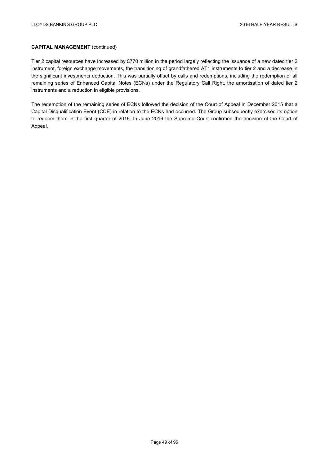Tier 2 capital resources have increased by £770 million in the period largely reflecting the issuance of a new dated tier 2 instrument, foreign exchange movements, the transitioning of grandfathered AT1 instruments to tier 2 and a decrease in the significant investments deduction. This was partially offset by calls and redemptions, including the redemption of all remaining series of Enhanced Capital Notes (ECNs) under the Regulatory Call Right, the amortisation of dated tier 2 instruments and a reduction in eligible provisions.

The redemption of the remaining series of ECNs followed the decision of the Court of Appeal in December 2015 that a Capital Disqualification Event (CDE) in relation to the ECNs had occurred. The Group subsequently exercised its option to redeem them in the first quarter of 2016. In June 2016 the Supreme Court confirmed the decision of the Court of Appeal.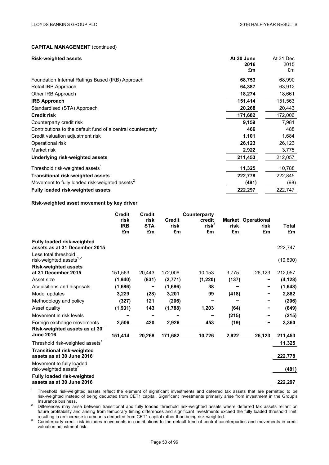| At 30 June<br><b>Risk-weighted assets</b><br>2016<br>£m             | At 31 Dec<br>2015<br>£m |
|---------------------------------------------------------------------|-------------------------|
| Foundation Internal Ratings Based (IRB) Approach<br>68,753          | 68,990                  |
| Retail IRB Approach<br>64,387                                       | 63,912                  |
| 18,274<br>Other IRB Approach                                        | 18,661                  |
| 151,414<br><b>IRB Approach</b>                                      | 151,563                 |
| Standardised (STA) Approach<br>20,268                               | 20,443                  |
| 171,682<br><b>Credit risk</b>                                       | 172,006                 |
| 9,159<br>Counterparty credit risk                                   | 7,981                   |
| 466<br>Contributions to the default fund of a central counterparty  | 488                     |
| 1,101<br>Credit valuation adjustment risk                           | 1,684                   |
| Operational risk<br>26,123                                          | 26,123                  |
| Market risk<br>2,922                                                | 3,775                   |
| 211,453<br>Underlying risk-weighted assets                          | 212,057                 |
| Threshold risk-weighted assets <sup>1</sup><br>11,325               | 10,788                  |
| <b>Transitional risk-weighted assets</b><br>222,778                 | 222,845                 |
| Movement to fully loaded risk-weighted assets <sup>2</sup><br>(481) | (98)                    |
| 222,297<br><b>Fully loaded risk-weighted assets</b>                 | 222,747                 |

## **Risk-weighted asset movement by key driver**

|                                                                    | <b>Credit</b>    | <b>Credit</b>    |               | Counterparty   |            |                           |                    |
|--------------------------------------------------------------------|------------------|------------------|---------------|----------------|------------|---------------------------|--------------------|
|                                                                    | risk             | risk             | <b>Credit</b> | credit         |            | <b>Market Operational</b> |                    |
|                                                                    | <b>IRB</b><br>£m | <b>STA</b><br>£m | risk<br>£m    | $risk^3$<br>£m | risk<br>£m | risk<br>£m                | <b>Total</b><br>£m |
|                                                                    |                  |                  |               |                |            |                           |                    |
| <b>Fully loaded risk-weighted</b><br>assets as at 31 December 2015 |                  |                  |               |                |            |                           | 222,747            |
| Less total threshold<br>risk-weighted assets <sup>1,2</sup>        |                  |                  |               |                |            |                           | (10, 690)          |
| <b>Risk-weighted assets</b>                                        |                  |                  |               |                |            |                           |                    |
| at 31 December 2015                                                | 151,563          | 20,443           | 172,006       | 10,153         | 3,775      | 26,123                    | 212,057            |
| Asset size                                                         | (1,940)          | (831)            | (2,771)       | (1, 220)       | (137)      | -                         | (4, 128)           |
| Acquisitions and disposals                                         | (1,686)          | -                | (1,686)       | 38             |            | -                         | (1,648)            |
| Model updates                                                      | 3,229            | (28)             | 3,201         | 99             | (418)      |                           | 2,882              |
| Methodology and policy                                             | (327)            | 121              | (206)         |                |            |                           | (206)              |
| Asset quality                                                      | (1, 931)         | 143              | (1,788)       | 1,203          | (64)       |                           | (649)              |
| Movement in risk levels                                            |                  |                  |               |                | (215)      |                           | (215)              |
| Foreign exchange movements                                         | 2,506            | 420              | 2,926         | 453            | (19)       |                           | 3,360              |
| Risk-weighted assets as at 30<br><b>June 2016</b>                  | 151,414          | 20,268           | 171,682       | 10,726         | 2,922      | 26,123                    | 211,453            |
| Threshold risk-weighted assets <sup>1</sup>                        |                  |                  |               |                |            |                           | 11,325             |
| <b>Transitional risk-weighted</b><br>assets as at 30 June 2016     |                  |                  |               |                |            |                           | 222,778            |
| Movement to fully loaded<br>risk-weighted assets <sup>2</sup>      |                  |                  |               |                |            |                           | (481)              |
| Fully loaded risk-weighted<br>assets as at 30 June 2016            |                  |                  |               |                |            |                           | 222,297            |
|                                                                    |                  |                  |               |                |            |                           |                    |

 $1$  Threshold risk-weighted assets reflect the element of significant investments and deferred tax assets that are permitted to be risk-weighted instead of being deducted from CET1 capital. Significant investments primarily arise from investment in the Group's Insurance business.<br><sup>2</sup> Differences may arise between transitional and fully loaded threshold risk-weighted assets where deferred tax assets reliant on

future profitability and arising from temporary timing differences and significant investments exceed the fully loaded threshold limit, resulting in an increase in amounts deducted from CET1 capital rather than being risk-weighted.<br><sup>3</sup> Counterparty credit risk includes movements in contributions to the default fund of central counterparties and movements i

valuation adjustment risk.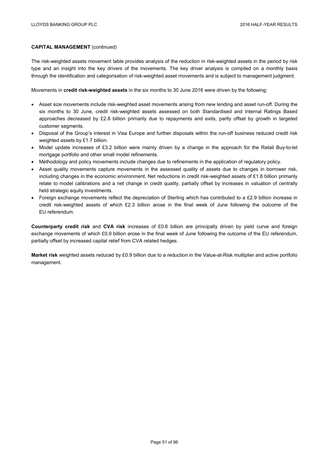The risk-weighted assets movement table provides analysis of the reduction in risk-weighted assets in the period by risk type and an insight into the key drivers of the movements. The key driver analysis is compiled on a monthly basis through the identification and categorisation of risk-weighted asset movements and is subject to management judgment.

Movements in **credit risk-weighted assets** in the six months to 30 June 2016 were driven by the following:

- Asset size movements include risk-weighted asset movements arising from new lending and asset run-off. During the six months to 30 June, credit risk-weighted assets assessed on both Standardised and Internal Ratings Based approaches decreased by £2.8 billion primarily due to repayments and exits, partly offset by growth in targeted customer segments.
- Disposal of the Group's interest in Visa Europe and further disposals within the run-off business reduced credit risk weighted assets by £1.7 billion.
- Model update increases of £3.2 billion were mainly driven by a change in the approach for the Retail Buy-to-let mortgage portfolio and other small model refinements.
- Methodology and policy movements include changes due to refinements in the application of regulatory policy.
- Asset quality movements capture movements in the assessed quality of assets due to changes in borrower risk, including changes in the economic environment. Net reductions in credit risk-weighted assets of £1.8 billion primarily relate to model calibrations and a net change in credit quality, partially offset by increases in valuation of centrally held strategic equity investments.
- Foreign exchange movements reflect the depreciation of Sterling which has contributed to a £2.9 billion increase in credit risk-weighted assets of which £2.3 billion arose in the final week of June following the outcome of the EU referendum.

**Counterparty credit risk** and **CVA risk** increases of £0.6 billion are principally driven by yield curve and foreign exchange movements of which £0.9 billion arose in the final week of June following the outcome of the EU referendum, partially offset by increased capital relief from CVA related hedges.

**Market risk** weighted assets reduced by £0.9 billion due to a reduction in the Value-at-Risk multiplier and active portfolio management.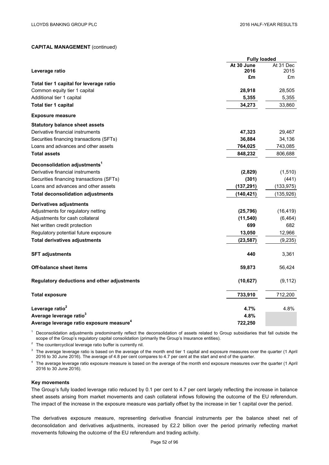|                                                      | <b>Fully loaded</b> |            |
|------------------------------------------------------|---------------------|------------|
|                                                      | At 30 June          | At 31 Dec  |
| Leverage ratio                                       | 2016                | 2015       |
|                                                      | £m                  | £m         |
| Total tier 1 capital for leverage ratio              |                     |            |
| Common equity tier 1 capital                         | 28,918              | 28,505     |
| Additional tier 1 capital                            | 5,355               | 5,355      |
| Total tier 1 capital                                 | 34,273              | 33,860     |
| <b>Exposure measure</b>                              |                     |            |
| <b>Statutory balance sheet assets</b>                |                     |            |
| Derivative financial instruments                     | 47,323              | 29,467     |
| Securities financing transactions (SFTs)             | 36,884              | 34,136     |
| Loans and advances and other assets                  | 764,025             | 743,085    |
| <b>Total assets</b>                                  | 848,232             | 806,688    |
| Deconsolidation adjustments <sup>1</sup>             |                     |            |
| Derivative financial instruments                     | (2,829)             | (1, 510)   |
| Securities financing transactions (SFTs)             | (301)               | (441)      |
| Loans and advances and other assets                  | (137, 291)          | (133, 975) |
| <b>Total deconsolidation adjustments</b>             | (140, 421)          | (135, 926) |
| <b>Derivatives adjustments</b>                       |                     |            |
| Adjustments for regulatory netting                   | (25, 796)           | (16, 419)  |
| Adjustments for cash collateral                      | (11, 540)           | (6, 464)   |
| Net written credit protection                        | 699                 | 682        |
| Regulatory potential future exposure                 | 13,050              | 12,966     |
| <b>Total derivatives adjustments</b>                 | (23, 587)           | (9, 235)   |
|                                                      |                     |            |
| <b>SFT adjustments</b>                               | 440                 | 3,361      |
| <b>Off-balance sheet items</b>                       | 59,873              | 56,424     |
| Regulatory deductions and other adjustments          | (10, 627)           | (9, 112)   |
| <b>Total exposure</b>                                | 733,910             | 712,200    |
| Leverage ratio <sup>2</sup>                          | 4.7%                | 4.8%       |
| Average leverage ratio <sup>3</sup>                  | 4.8%                |            |
| Average leverage ratio exposure measure <sup>4</sup> | 722,250             |            |
|                                                      |                     |            |

<sup>1</sup> Deconsolidation adjustments predominantly reflect the deconsolidation of assets related to Group subsidiaries that fall outside the scope of the Group's regulatory capital consolidation (primarily the Group's Insurance entities).

 $2$  The countercyclical leverage ratio buffer is currently nil.

<sup>3</sup> The average leverage ratio is based on the average of the month end tier 1 capital and exposure measures over the quarter (1 April 2016 to 30 June 2016). The average of 4.8 per cent compares to 4.7 per cent at the start and end of the quarter.

The average leverage ratio exposure measure is based on the average of the month end exposure measures over the quarter (1 April 2016 to 30 June 2016).

### **Key movements**

The Group's fully loaded leverage ratio reduced by 0.1 per cent to 4.7 per cent largely reflecting the increase in balance sheet assets arising from market movements and cash collateral inflows following the outcome of the EU referendum. The impact of the increase in the exposure measure was partially offset by the increase in tier 1 capital over the period.

The derivatives exposure measure, representing derivative financial instruments per the balance sheet net of deconsolidation and derivatives adjustments, increased by £2.2 billion over the period primarily reflecting market movements following the outcome of the EU referendum and trading activity.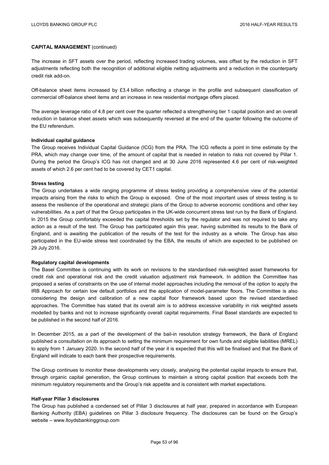The increase in SFT assets over the period, reflecting increased trading volumes, was offset by the reduction in SFT adjustments reflecting both the recognition of additional eligible netting adjustments and a reduction in the counterparty credit risk add-on.

Off-balance sheet items increased by £3.4 billion reflecting a change in the profile and subsequent classification of commercial off-balance sheet items and an increase in new residential mortgage offers placed.

The average leverage ratio of 4.8 per cent over the quarter reflected a strengthening tier 1 capital position and an overall reduction in balance sheet assets which was subsequently reversed at the end of the quarter following the outcome of the EU referendum.

#### **Individual capital guidance**

The Group receives Individual Capital Guidance (ICG) from the PRA. The ICG reflects a point in time estimate by the PRA, which may change over time, of the amount of capital that is needed in relation to risks not covered by Pillar 1. During the period the Group's ICG has not changed and at 30 June 2016 represented 4.6 per cent of risk-weighted assets of which 2.6 per cent had to be covered by CET1 capital.

#### **Stress testing**

The Group undertakes a wide ranging programme of stress testing providing a comprehensive view of the potential impacts arising from the risks to which the Group is exposed. One of the most important uses of stress testing is to assess the resilience of the operational and strategic plans of the Group to adverse economic conditions and other key vulnerabilities. As a part of that the Group participates in the UK-wide concurrent stress test run by the Bank of England. In 2015 the Group comfortably exceeded the capital thresholds set by the regulator and was not required to take any action as a result of the test. The Group has participated again this year, having submitted its results to the Bank of England, and is awaiting the publication of the results of the test for the industry as a whole. The Group has also participated in the EU-wide stress test coordinated by the EBA, the results of which are expected to be published on 29 July 2016.

#### **Regulatory capital developments**

The Basel Committee is continuing with its work on revisions to the standardised risk-weighted asset frameworks for credit risk and operational risk and the credit valuation adjustment risk framework. In addition the Committee has proposed a series of constraints on the use of internal model approaches including the removal of the option to apply the IRB Approach for certain low default portfolios and the application of model-parameter floors. The Committee is also considering the design and calibration of a new capital floor framework based upon the revised standardised approaches. The Committee has stated that its overall aim is to address excessive variability in risk weighted assets modelled by banks and not to increase significantly overall capital requirements. Final Basel standards are expected to be published in the second half of 2016.

In December 2015, as a part of the development of the bail-in resolution strategy framework, the Bank of England published a consultation on its approach to setting the minimum requirement for own funds and eligible liabilities (MREL) to apply from 1 January 2020. In the second half of the year it is expected that this will be finalised and that the Bank of England will indicate to each bank their prospective requirements.

The Group continues to monitor these developments very closely, analysing the potential capital impacts to ensure that, through organic capital generation, the Group continues to maintain a strong capital position that exceeds both the minimum regulatory requirements and the Group's risk appetite and is consistent with market expectations.

#### **Half-year Pillar 3 disclosures**

The Group has published a condensed set of Pillar 3 disclosures at half year, prepared in accordance with European Banking Authority (EBA) guidelines on Pillar 3 disclosure frequency. The disclosures can be found on the Group's website – www.lloydsbankinggroup.com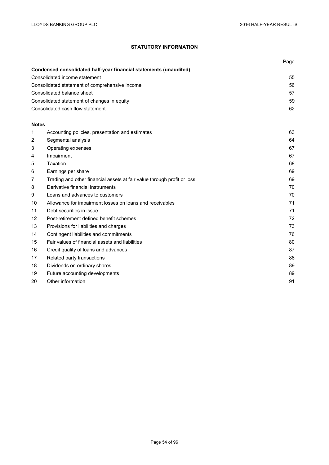# **STATUTORY INFORMATION**

|              |                                                                         | Page |
|--------------|-------------------------------------------------------------------------|------|
|              | Condensed consolidated half-year financial statements (unaudited)       |      |
|              | Consolidated income statement                                           | 55   |
|              | Consolidated statement of comprehensive income                          | 56   |
|              | Consolidated balance sheet                                              | 57   |
|              | Consolidated statement of changes in equity                             | 59   |
|              | Consolidated cash flow statement                                        | 62   |
| <b>Notes</b> |                                                                         |      |
| 1            | Accounting policies, presentation and estimates                         | 63   |
| 2            | Segmental analysis                                                      | 64   |
| 3            | Operating expenses                                                      | 67   |
| 4            | Impairment                                                              | 67   |
| 5            | Taxation                                                                | 68   |
| 6            | Earnings per share                                                      | 69   |
| 7            | Trading and other financial assets at fair value through profit or loss | 69   |
| 8            | Derivative financial instruments                                        | 70   |
| 9            | Loans and advances to customers                                         | 70   |
| 10           | Allowance for impairment losses on loans and receivables                | 71   |
| 11           | Debt securities in issue                                                | 71   |
| 12           | Post-retirement defined benefit schemes                                 | 72   |
| 13           | Provisions for liabilities and charges                                  | 73   |
| 14           | Contingent liabilities and commitments                                  | 76   |
| 15           | Fair values of financial assets and liabilities                         | 80   |
| 16           | Credit quality of loans and advances                                    | 87   |
| 17           | Related party transactions                                              | 88   |
| 18           | Dividends on ordinary shares                                            | 89   |
| 19           | Future accounting developments                                          | 89   |
| 20           | Other information                                                       | 91   |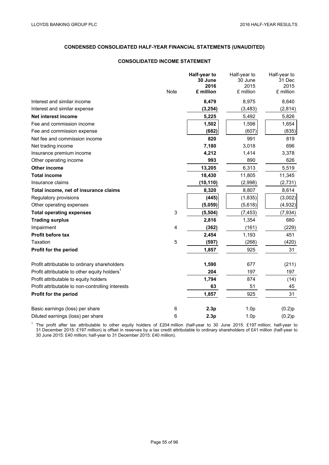## **CONSOLIDATED INCOME STATEMENT**

|                                                          |                           | Half-year to    | Half-year to     | Half-year to   |
|----------------------------------------------------------|---------------------------|-----------------|------------------|----------------|
|                                                          |                           | 30 June<br>2016 | 30 June<br>2015  | 31 Dec<br>2015 |
|                                                          | <b>Note</b>               | £ million       | £ million        | £ million      |
| Interest and similar income                              |                           | 8,479           | 8,975            | 8,640          |
| Interest and similar expense                             |                           | (3, 254)        | (3, 483)         | (2, 814)       |
| Net interest income                                      |                           | 5,225           | 5,492            | 5,826          |
| Fee and commission income                                |                           | 1,502           | 1,598            | 1,654          |
| Fee and commission expense                               |                           | (682)           | (607)            | (835)          |
| Net fee and commission income                            |                           | 820             | 991              | 819            |
| Net trading income                                       |                           | 7,180           | 3,018            | 696            |
| Insurance premium income                                 |                           | 4,212           | 1,414            | 3,378          |
| Other operating income                                   |                           | 993             | 890              | 626            |
| <b>Other income</b>                                      |                           | 13,205          | 6,313            | 5,519          |
| <b>Total income</b>                                      |                           | 18,430          | 11,805           | 11,345         |
| Insurance claims                                         |                           | (10, 110)       | (2,998)          | (2,731)        |
| Total income, net of insurance claims                    |                           | 8,320           | 8,807            | 8,614          |
| Regulatory provisions                                    |                           | (445)           | (1, 835)         | (3,002)        |
| Other operating expenses                                 |                           | (5,059)         | (5,618)          | (4,932)        |
| <b>Total operating expenses</b>                          | $\ensuremath{\mathsf{3}}$ | (5, 504)        | (7, 453)         | (7, 934)       |
| <b>Trading surplus</b>                                   |                           | 2,816           | 1,354            | 680            |
| Impairment                                               | 4                         | (362)           | (161)            | (229)          |
| Profit before tax                                        |                           | 2,454           | 1,193            | 451            |
| Taxation                                                 | 5                         | (597)           | (268)            | (420)          |
| Profit for the period                                    |                           | 1,857           | 925              | 31             |
| Profit attributable to ordinary shareholders             |                           | 1,590           | 677              | (211)          |
| Profit attributable to other equity holders <sup>1</sup> |                           | 204             | 197              | 197            |
| Profit attributable to equity holders                    |                           | 1,794           | 874              | (14)           |
| Profit attributable to non-controlling interests         |                           | 63              | 51               | 45             |
| Profit for the period                                    |                           | 1,857           | 925              | 31             |
| Basic earnings (loss) per share                          | 6                         | 2.3p            | 1.0 <sub>p</sub> | (0.2)p         |
| Diluted earnings (loss) per share                        | 6                         | 2.3p            | 1.0 <sub>p</sub> | (0.2)p         |

<sup>1</sup> The profit after tax attributable to other equity holders of £204 million (half-year to 30 June 2015: £197 million; half-year to 31 December 2015: £197 million) is offset in reserves by a tax credit attributable to ordinary shareholders of £41 million (half-year to 30 June 2015: £40 million; half-year to 31 December 2015: £40 million).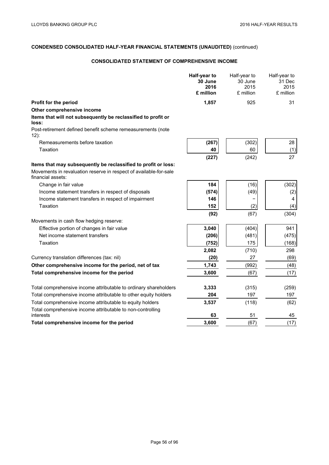# **CONSOLIDATED STATEMENT OF COMPREHENSIVE INCOME**

|                                                                                                                                                          | Half-year to<br>30 June<br>2016<br>£ million | Half-year to<br>30 June<br>2015<br>£ million | Half-year to<br>31 Dec<br>2015<br>£ million |
|----------------------------------------------------------------------------------------------------------------------------------------------------------|----------------------------------------------|----------------------------------------------|---------------------------------------------|
| Profit for the period                                                                                                                                    | 1,857                                        | 925                                          | 31                                          |
| Other comprehensive income                                                                                                                               |                                              |                                              |                                             |
| Items that will not subsequently be reclassified to profit or<br>loss:                                                                                   |                                              |                                              |                                             |
| Post-retirement defined benefit scheme remeasurements (note<br>$12)$ :                                                                                   |                                              |                                              |                                             |
| Remeasurements before taxation                                                                                                                           | (267)                                        | (302)                                        | 28                                          |
| Taxation                                                                                                                                                 | 40                                           | 60                                           | (1)                                         |
|                                                                                                                                                          | (227)                                        | (242)                                        | 27                                          |
| Items that may subsequently be reclassified to profit or loss:<br>Movements in revaluation reserve in respect of available-for-sale<br>financial assets: |                                              |                                              |                                             |
| Change in fair value                                                                                                                                     | 184                                          | (16)                                         | (302)                                       |
| Income statement transfers in respect of disposals                                                                                                       | (574)                                        | (49)                                         | (2)                                         |
| Income statement transfers in respect of impairment                                                                                                      | 146                                          |                                              | 4                                           |
| Taxation                                                                                                                                                 | 152                                          | (2)                                          | (4)                                         |
|                                                                                                                                                          | (92)                                         | (67)                                         | (304)                                       |
| Movements in cash flow hedging reserve:                                                                                                                  |                                              |                                              |                                             |
| Effective portion of changes in fair value                                                                                                               | 3,040                                        | (404)                                        | 941                                         |
| Net income statement transfers                                                                                                                           | (206)                                        | (481)                                        | (475)                                       |
| Taxation                                                                                                                                                 | (752)                                        | 175                                          | (168)                                       |
|                                                                                                                                                          | 2,082                                        | (710)                                        | 298                                         |
| Currency translation differences (tax: nil)                                                                                                              | (20)                                         | 27                                           | (69)                                        |
| Other comprehensive income for the period, net of tax                                                                                                    | 1,743                                        | (992)                                        | (48)                                        |
| Total comprehensive income for the period                                                                                                                | 3,600                                        | (67)                                         | (17)                                        |
| Total comprehensive income attributable to ordinary shareholders                                                                                         | 3,333                                        | (315)                                        | (259)                                       |
| Total comprehensive income attributable to other equity holders                                                                                          | 204                                          | 197                                          | 197                                         |
| Total comprehensive income attributable to equity holders                                                                                                | 3,537                                        | (118)                                        | (62)                                        |
| Total comprehensive income attributable to non-controlling<br>interests                                                                                  | 63                                           | 51                                           | 45                                          |
| Total comprehensive income for the period                                                                                                                | 3,600                                        | (67)                                         | (17)                                        |
|                                                                                                                                                          |                                              |                                              |                                             |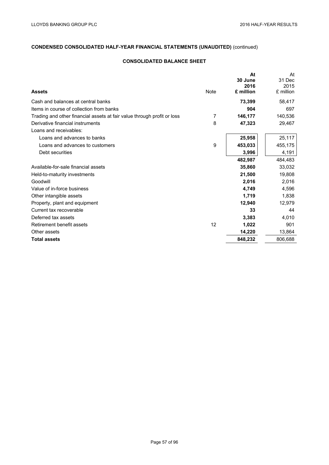# **CONSOLIDATED BALANCE SHEET**

|                                                                         |      | At<br>30 June<br>2016 | At<br>31 Dec<br>2015 |
|-------------------------------------------------------------------------|------|-----------------------|----------------------|
| <b>Assets</b>                                                           | Note | £ million             | £ million            |
| Cash and balances at central banks                                      |      | 73,399                | 58,417               |
| Items in course of collection from banks                                |      | 904                   | 697                  |
| Trading and other financial assets at fair value through profit or loss | 7    | 146,177               | 140,536              |
| Derivative financial instruments                                        | 8    | 47,323                | 29,467               |
| Loans and receivables:                                                  |      |                       |                      |
| Loans and advances to banks                                             |      | 25,958                | 25,117               |
| Loans and advances to customers                                         | 9    | 453,033               | 455,175              |
| Debt securities                                                         |      | 3,996                 | 4,191                |
|                                                                         |      | 482,987               | 484,483              |
| Available-for-sale financial assets                                     |      | 35,860                | 33,032               |
| Held-to-maturity investments                                            |      | 21,500                | 19,808               |
| Goodwill                                                                |      | 2,016                 | 2,016                |
| Value of in-force business                                              |      | 4,749                 | 4,596                |
| Other intangible assets                                                 |      | 1,719                 | 1,838                |
| Property, plant and equipment                                           |      | 12,940                | 12,979               |
| Current tax recoverable                                                 |      | 33                    | 44                   |
| Deferred tax assets                                                     |      | 3,383                 | 4,010                |
| Retirement benefit assets                                               | 12   | 1,022                 | 901                  |
| Other assets                                                            |      | 14,220                | 13,864               |
| <b>Total assets</b>                                                     |      | 848,232               | 806,688              |
|                                                                         |      |                       |                      |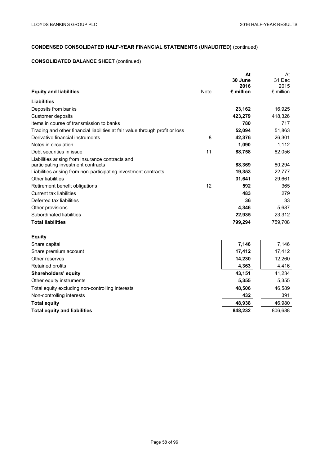# **CONSOLIDATED BALANCE SHEET** (continued)

|                                                                              |             | At              | At             |
|------------------------------------------------------------------------------|-------------|-----------------|----------------|
|                                                                              |             | 30 June<br>2016 | 31 Dec<br>2015 |
| <b>Equity and liabilities</b>                                                | <b>Note</b> | £ million       | £ million      |
| Liabilities                                                                  |             |                 |                |
| Deposits from banks                                                          |             | 23,162          | 16,925         |
| Customer deposits                                                            |             | 423,279         | 418,326        |
| Items in course of transmission to banks                                     |             | 780             | 717            |
| Trading and other financial liabilities at fair value through profit or loss |             | 52,094          | 51,863         |
| Derivative financial instruments                                             | 8           | 42,376          | 26,301         |
| Notes in circulation                                                         |             | 1,090           | 1,112          |
| Debt securities in issue                                                     | 11          | 88,758          | 82,056         |
| Liabilities arising from insurance contracts and                             |             |                 |                |
| participating investment contracts                                           |             | 88,369          | 80,294         |
| Liabilities arising from non-participating investment contracts              |             | 19,353          | 22,777         |
| Other liabilities                                                            |             | 31,641          | 29,661         |
| Retirement benefit obligations                                               | 12          | 592             | 365            |
| Current tax liabilities                                                      |             | 483             | 279            |
| Deferred tax liabilities                                                     |             | 36              | 33             |
| Other provisions                                                             |             | 4,346           | 5,687          |
| Subordinated liabilities                                                     |             | 22,935          | 23,312         |
| <b>Total liabilities</b>                                                     |             | 799,294         | 759,708        |
| <b>Equity</b>                                                                |             |                 |                |
| Share capital                                                                |             | 7,146           | 7,146          |
| Share premium account                                                        |             | 17,412          | 17,412         |
| Other reserves                                                               |             | 14,230          | 12,260         |
| Retained profits                                                             |             | 4,363           | 4,416          |
| Shareholders' equity                                                         |             | 43,151          | 41,234         |
| Other equity instruments                                                     |             | 5,355           | 5,355          |
| Total equity excluding non-controlling interests                             |             | 48,506          | 46,589         |
| Non-controlling interests                                                    |             | 432             | 391            |

**Total equity 48,938** 46,980 **Total equity and liabilities** 806,688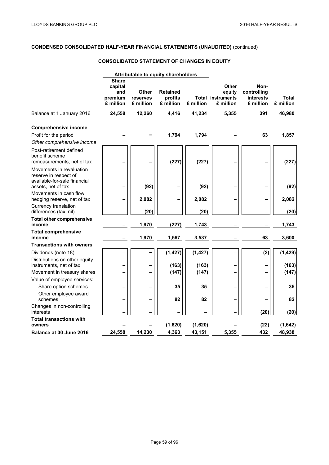# **CONSOLIDATED STATEMENT OF CHANGES IN EQUITY**

|                                                                                                         | Attributable to equity shareholders                    |                                       |                                         |           |                                                          |                                                      |                           |
|---------------------------------------------------------------------------------------------------------|--------------------------------------------------------|---------------------------------------|-----------------------------------------|-----------|----------------------------------------------------------|------------------------------------------------------|---------------------------|
|                                                                                                         | <b>Share</b><br>capital<br>and<br>premium<br>£ million | <b>Other</b><br>reserves<br>£ million | <b>Retained</b><br>profits<br>£ million | £ million | Other<br>equity<br><b>Total instruments</b><br>£ million | Non-<br>controlling<br><b>interests</b><br>£ million | <b>Total</b><br>£ million |
| Balance at 1 January 2016                                                                               | 24,558                                                 | 12,260                                | 4,416                                   | 41,234    | 5,355                                                    | 391                                                  | 46,980                    |
| <b>Comprehensive income</b><br>Profit for the period<br>Other comprehensive income                      |                                                        |                                       | 1,794                                   | 1,794     |                                                          | 63                                                   | 1,857                     |
| Post-retirement defined<br>benefit scheme<br>remeasurements, net of tax                                 |                                                        |                                       | (227)                                   | (227)     |                                                          |                                                      | (227)                     |
| Movements in revaluation<br>reserve in respect of<br>available-for-sale financial<br>assets, net of tax |                                                        | (92)                                  |                                         | (92)      |                                                          |                                                      | (92)                      |
| Movements in cash flow<br>hedging reserve, net of tax<br>Currency translation                           | -                                                      | 2,082                                 |                                         | 2,082     |                                                          |                                                      | 2,082                     |
| differences (tax: nil)                                                                                  | -                                                      | (20)                                  |                                         | (20)      |                                                          |                                                      | (20)                      |
| <b>Total other comprehensive</b><br>income                                                              |                                                        | 1,970                                 | (227)                                   | 1,743     |                                                          |                                                      | 1,743                     |
| <b>Total comprehensive</b><br>income                                                                    |                                                        | 1,970                                 | 1,567                                   | 3,537     |                                                          | 63                                                   | 3,600                     |
| <b>Transactions with owners</b>                                                                         |                                                        |                                       |                                         |           |                                                          |                                                      |                           |
| Dividends (note 18)                                                                                     | -                                                      |                                       | (1, 427)                                | (1, 427)  |                                                          | (2)                                                  | (1, 429)                  |
| Distributions on other equity<br>instruments, net of tax                                                |                                                        |                                       | (163)                                   | (163)     |                                                          |                                                      | (163)                     |
| Movement in treasury shares                                                                             |                                                        |                                       | (147)                                   | (147)     |                                                          |                                                      | (147)                     |
| Value of employee services:<br>Share option schemes                                                     | -                                                      |                                       | 35                                      | 35        |                                                          |                                                      | 35                        |
| Other employee award<br>schemes                                                                         | -                                                      |                                       | 82                                      | 82        |                                                          |                                                      | 82                        |
| Changes in non-controlling<br>interests                                                                 |                                                        |                                       |                                         |           |                                                          | (20)                                                 | (20)                      |
| <b>Total transactions with</b>                                                                          |                                                        |                                       |                                         |           |                                                          |                                                      |                           |
| owners                                                                                                  |                                                        |                                       | (1,620)                                 | (1,620)   |                                                          | (22)                                                 | (1,642)                   |
| Balance at 30 June 2016                                                                                 | 24,558                                                 | 14,230                                | 4,363                                   | 43,151    | 5,355                                                    | 432                                                  | 48,938                    |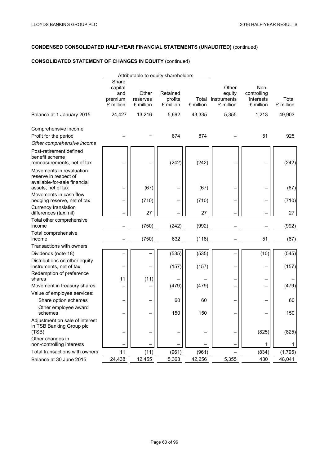# **CONSOLIDATED STATEMENT OF CHANGES IN EQUITY** (continued)

|                                                                                                         |                                                 |                                | Attributable to equity shareholders |           |                                                   |                                               |                    |
|---------------------------------------------------------------------------------------------------------|-------------------------------------------------|--------------------------------|-------------------------------------|-----------|---------------------------------------------------|-----------------------------------------------|--------------------|
|                                                                                                         | Share<br>capital<br>and<br>premium<br>£ million | Other<br>reserves<br>£ million | Retained<br>profits<br>£ million    | £ million | Other<br>equity<br>Total instruments<br>£ million | Non-<br>controlling<br>interests<br>£ million | Total<br>£ million |
| Balance at 1 January 2015                                                                               | 24,427                                          | 13,216                         | 5,692                               | 43,335    | 5,355                                             | 1,213                                         | 49,903             |
| Comprehensive income<br>Profit for the period<br>Other comprehensive income                             |                                                 |                                | 874                                 | 874       |                                                   | 51                                            | 925                |
| Post-retirement defined<br>benefit scheme<br>remeasurements, net of tax                                 |                                                 |                                | (242)                               | (242)     |                                                   |                                               | (242)              |
| Movements in revaluation<br>reserve in respect of<br>available-for-sale financial<br>assets, net of tax |                                                 | (67)                           |                                     | (67)      |                                                   |                                               | (67)               |
| Movements in cash flow<br>hedging reserve, net of tax                                                   | -                                               | (710)                          |                                     | (710)     |                                                   | -                                             | (710)              |
| Currency translation<br>differences (tax: nil)                                                          |                                                 | 27                             |                                     | 27        |                                                   |                                               | 27                 |
| Total other comprehensive<br>income                                                                     |                                                 | (750)                          | (242)                               | (992)     |                                                   |                                               | (992)              |
| Total comprehensive<br>income                                                                           |                                                 | (750)                          | 632                                 | (118)     |                                                   | 51                                            | (67)               |
| Transactions with owners                                                                                |                                                 |                                |                                     |           |                                                   |                                               |                    |
| Dividends (note 18)                                                                                     |                                                 |                                | (535)                               | (535)     |                                                   | (10)                                          | (545)              |
| Distributions on other equity<br>instruments, net of tax                                                |                                                 |                                | (157)                               | (157)     |                                                   | —                                             | (157)              |
| Redemption of preference<br>shares                                                                      | 11                                              | (11)                           |                                     |           |                                                   |                                               |                    |
| Movement in treasury shares                                                                             |                                                 |                                | (479)                               | (479)     |                                                   |                                               | (479)              |
| Value of employee services:                                                                             |                                                 |                                |                                     |           |                                                   |                                               |                    |
| Share option schemes                                                                                    | -                                               |                                | 60                                  | 60        |                                                   | -                                             | 60                 |
| Other employee award<br>schemes                                                                         |                                                 |                                | 150                                 | 150       |                                                   |                                               | 150                |
| Adjustment on sale of interest<br>in TSB Banking Group plc<br>(TSB)                                     |                                                 |                                |                                     |           |                                                   | (825)                                         | (825)              |
| Other changes in<br>non-controlling interests                                                           |                                                 |                                |                                     |           |                                                   | 1                                             | 1.                 |
| Total transactions with owners                                                                          | 11                                              | (11)                           | (961)                               | (961)     |                                                   | (834)                                         | (1,795)            |
| Balance at 30 June 2015                                                                                 | 24,438                                          | 12,455                         | 5,363                               | 42,256    | 5,355                                             | 430                                           | 48,041             |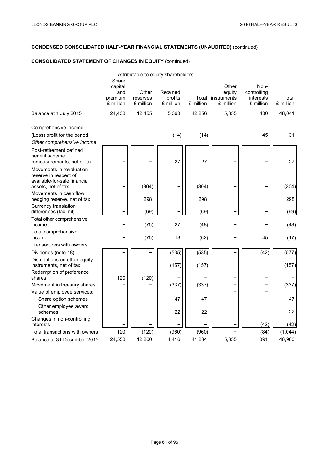# **CONSOLIDATED STATEMENT OF CHANGES IN EQUITY** (continued)

|                                                                                                         |                                                 |                                | Attributable to equity shareholders |           |                                                   |                                               |                    |
|---------------------------------------------------------------------------------------------------------|-------------------------------------------------|--------------------------------|-------------------------------------|-----------|---------------------------------------------------|-----------------------------------------------|--------------------|
|                                                                                                         | Share<br>capital<br>and<br>premium<br>£ million | Other<br>reserves<br>£ million | Retained<br>profits<br>£ million    | £ million | Other<br>equity<br>Total instruments<br>£ million | Non-<br>controlling<br>interests<br>£ million | Total<br>£ million |
| Balance at 1 July 2015                                                                                  | 24,438                                          | 12,455                         | 5,363                               | 42,256    | 5,355                                             | 430                                           | 48,041             |
| Comprehensive income<br>(Loss) profit for the period<br>Other comprehensive income                      |                                                 |                                | (14)                                | (14)      |                                                   | 45                                            | 31                 |
| Post-retirement defined<br>benefit scheme<br>remeasurements, net of tax                                 |                                                 |                                | 27                                  | 27        |                                                   |                                               | 27                 |
| Movements in revaluation<br>reserve in respect of<br>available-for-sale financial<br>assets, net of tax |                                                 | (304)                          |                                     | (304)     |                                                   |                                               | (304)              |
| Movements in cash flow<br>hedging reserve, net of tax                                                   |                                                 | 298                            |                                     | 298       |                                                   | -                                             | 298                |
| Currency translation<br>differences (tax: nil)                                                          |                                                 | (69)                           |                                     | (69)      |                                                   |                                               | (69)               |
| Total other comprehensive<br>income                                                                     |                                                 | (75)                           | 27                                  | (48)      |                                                   |                                               | (48)               |
| Total comprehensive<br>income                                                                           |                                                 | (75)                           | 13                                  | (62)      |                                                   | 45                                            | (17)               |
| Transactions with owners                                                                                |                                                 |                                |                                     |           |                                                   |                                               |                    |
| Dividends (note 18)                                                                                     |                                                 |                                | (535)                               | (535)     |                                                   | (42)                                          | (577)              |
| Distributions on other equity<br>instruments, net of tax                                                |                                                 |                                | (157)                               | (157)     |                                                   |                                               | (157)              |
| Redemption of preference<br>shares                                                                      | 120                                             | (120)                          |                                     |           |                                                   |                                               |                    |
| Movement in treasury shares                                                                             |                                                 |                                | (337)                               | (337)     |                                                   |                                               | (337)              |
| Value of employee services:                                                                             |                                                 |                                |                                     |           |                                                   |                                               |                    |
| Share option schemes                                                                                    |                                                 |                                | 47                                  | 47        |                                                   |                                               | 47                 |
| Other employee award<br>schemes                                                                         |                                                 |                                | 22                                  | 22        |                                                   |                                               | 22                 |
| Changes in non-controlling<br>interests                                                                 |                                                 |                                |                                     |           |                                                   | (42)                                          | (42)               |
| Total transactions with owners                                                                          | 120                                             | (120)                          | (960)                               | (960)     |                                                   | (84)                                          | (1,044)            |
| Balance at 31 December 2015                                                                             | 24,558                                          | 12,260                         | 4,416                               | 41,234    | 5,355                                             | 391                                           | 46,980             |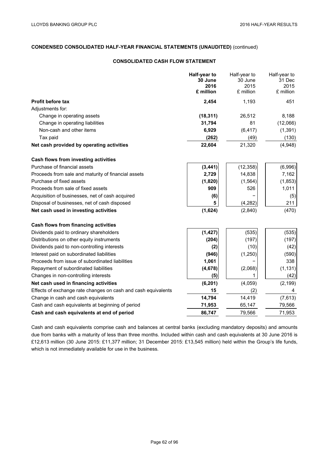# **CONSOLIDATED CASH FLOW STATEMENT**

|                                                               | Half-year to    | Half-year to    | Half-year to   |
|---------------------------------------------------------------|-----------------|-----------------|----------------|
|                                                               | 30 June<br>2016 | 30 June<br>2015 | 31 Dec<br>2015 |
|                                                               | £ million       | £ million       | £ million      |
| <b>Profit before tax</b>                                      | 2,454           | 1,193           | 451            |
| Adjustments for:                                              |                 |                 |                |
| Change in operating assets                                    | (18, 311)       | 26,512          | 8,188          |
| Change in operating liabilities                               | 31,794          | 81              | (12,066)       |
| Non-cash and other items                                      | 6,929           | (6, 417)        | (1, 391)       |
| Tax paid                                                      | (262)           | (49)            | (130)          |
| Net cash provided by operating activities                     | 22,604          | 21,320          | (4,948)        |
| Cash flows from investing activities                          |                 |                 |                |
| Purchase of financial assets                                  | (3, 441)        | (12, 358)       | (6,996)        |
| Proceeds from sale and maturity of financial assets           | 2,729           | 14,838          | 7,162          |
| Purchase of fixed assets                                      | (1,820)         | (1, 564)        | (1, 853)       |
| Proceeds from sale of fixed assets                            | 909             | 526             | 1,011          |
| Acquisition of businesses, net of cash acquired               | (6)             |                 | (5)            |
| Disposal of businesses, net of cash disposed                  | 5               | (4, 282)        | 211            |
| Net cash used in investing activities                         | (1,624)         | (2,840)         | (470)          |
| Cash flows from financing activities                          |                 |                 |                |
| Dividends paid to ordinary shareholders                       | (1, 427)        | (535)           | (535)          |
| Distributions on other equity instruments                     | (204)           | (197)           | (197)          |
| Dividends paid to non-controlling interests                   | (2)             | (10)            | (42)           |
| Interest paid on subordinated liabilities                     | (946)           | (1, 250)        | (590)          |
| Proceeds from issue of subordinated liabilities               | 1,061           |                 | 338            |
| Repayment of subordinated liabilities                         | (4, 678)        | (2,068)         | (1, 131)       |
| Changes in non-controlling interests                          | (5)             | 1               | (42)           |
| Net cash used in financing activities                         | (6, 201)        | (4,059)         | (2, 199)       |
| Effects of exchange rate changes on cash and cash equivalents | 15              | (2)             | 4              |
| Change in cash and cash equivalents                           | 14,794          | 14,419          | (7,613)        |
| Cash and cash equivalents at beginning of period              | 71,953          | 65,147          | 79,566         |
| Cash and cash equivalents at end of period                    | 86,747          | 79,566          | 71,953         |

Cash and cash equivalents comprise cash and balances at central banks (excluding mandatory deposits) and amounts due from banks with a maturity of less than three months. Included within cash and cash equivalents at 30 June 2016 is £12,613 million (30 June 2015: £11,377 million; 31 December 2015: £13,545 million) held within the Group's life funds, which is not immediately available for use in the business.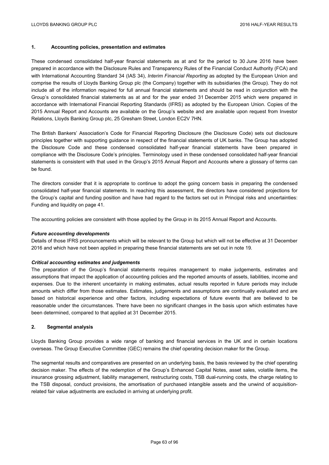## **1. Accounting policies, presentation and estimates**

These condensed consolidated half-year financial statements as at and for the period to 30 June 2016 have been prepared in accordance with the Disclosure Rules and Transparency Rules of the Financial Conduct Authority (FCA) and with International Accounting Standard 34 (IAS 34), *Interim Financial Reporting* as adopted by the European Union and comprise the results of Lloyds Banking Group plc (the Company) together with its subsidiaries (the Group). They do not include all of the information required for full annual financial statements and should be read in conjunction with the Group's consolidated financial statements as at and for the year ended 31 December 2015 which were prepared in accordance with International Financial Reporting Standards (IFRS) as adopted by the European Union. Copies of the 2015 Annual Report and Accounts are available on the Group's website and are available upon request from Investor Relations, Lloyds Banking Group plc, 25 Gresham Street, London EC2V 7HN.

The British Bankers' Association's Code for Financial Reporting Disclosure (the Disclosure Code) sets out disclosure principles together with supporting guidance in respect of the financial statements of UK banks. The Group has adopted the Disclosure Code and these condensed consolidated half-year financial statements have been prepared in compliance with the Disclosure Code's principles. Terminology used in these condensed consolidated half-year financial statements is consistent with that used in the Group's 2015 Annual Report and Accounts where a glossary of terms can be found.

The directors consider that it is appropriate to continue to adopt the going concern basis in preparing the condensed consolidated half-year financial statements. In reaching this assessment, the directors have considered projections for the Group's capital and funding position and have had regard to the factors set out in Principal risks and uncertainties: Funding and liquidity on page 41.

The accounting policies are consistent with those applied by the Group in its 2015 Annual Report and Accounts.

#### *Future accounting developments*

Details of those IFRS pronouncements which will be relevant to the Group but which will not be effective at 31 December 2016 and which have not been applied in preparing these financial statements are set out in note 19.

#### *Critical accounting estimates and judgements*

The preparation of the Group's financial statements requires management to make judgements, estimates and assumptions that impact the application of accounting policies and the reported amounts of assets, liabilities, income and expenses. Due to the inherent uncertainty in making estimates, actual results reported in future periods may include amounts which differ from those estimates. Estimates, judgements and assumptions are continually evaluated and are based on historical experience and other factors, including expectations of future events that are believed to be reasonable under the circumstances. There have been no significant changes in the basis upon which estimates have been determined, compared to that applied at 31 December 2015.

## **2. Segmental analysis**

Lloyds Banking Group provides a wide range of banking and financial services in the UK and in certain locations overseas. The Group Executive Committee (GEC) remains the chief operating decision maker for the Group.

The segmental results and comparatives are presented on an underlying basis, the basis reviewed by the chief operating decision maker. The effects of the redemption of the Group's Enhanced Capital Notes, asset sales, volatile items, the insurance grossing adjustment, liability management, restructuring costs, TSB dual-running costs, the charge relating to the TSB disposal, conduct provisions, the amortisation of purchased intangible assets and the unwind of acquisitionrelated fair value adjustments are excluded in arriving at underlying profit.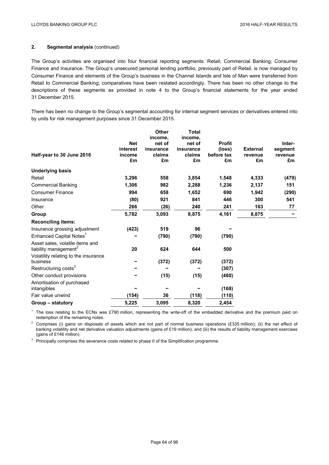# **2. Segmental analysis** (continued)

The Group's activities are organised into four financial reporting segments: Retail; Commercial Banking; Consumer Finance and Insurance. The Group's unsecured personal lending portfolio, previously part of Retail, is now managed by Consumer Finance and elements of the Group's business in the Channel Islands and Isle of Man were transferred from Retail to Commercial Banking; comparatives have been restated accordingly. There has been no other change to the descriptions of these segments as provided in note 4 to the Group's financial statements for the year ended 31 December 2015.

There has been no change to the Group's segmental accounting for internal segment services or derivatives entered into by units for risk management purposes since 31 December 2015.

|                                                                      |              | <b>Other</b> | <b>Total</b> |                  |                 |               |
|----------------------------------------------------------------------|--------------|--------------|--------------|------------------|-----------------|---------------|
|                                                                      |              | income,      | income,      |                  |                 |               |
|                                                                      | <b>Net</b>   | net of       | net of       | <b>Profit</b>    |                 | Inter-        |
|                                                                      | interest     | insurance    | insurance    | (loss)           | <b>External</b> | segment       |
| Half-year to 30 June 2016                                            | income<br>£m | claims<br>£m | claims<br>£m | before tax<br>£m | revenue<br>£m   | revenue<br>£m |
| <b>Underlying basis</b>                                              |              |              |              |                  |                 |               |
| Retail                                                               | 3,296        | 558          | 3,854        | 1,548            | 4,333           | (479)         |
| <b>Commercial Banking</b>                                            | 1,306        | 982          | 2,288        | 1,236            | 2,137           | 151           |
| <b>Consumer Finance</b>                                              | 994          | 658          | 1,652        | 690              | 1,942           | (290)         |
| Insurance                                                            | (80)         | 921          | 841          | 446              | 300             | 541           |
| Other                                                                | 266          | (26)         | 240          | 241              | 163             | 77            |
| Group                                                                | 5,782        | 3,093        | 8,875        | 4,161            | 8,875           |               |
| <b>Reconciling items:</b>                                            |              |              |              |                  |                 |               |
| Insurance grossing adjustment                                        | (423)        | 519          | 96           |                  |                 |               |
| Enhanced Capital Notes <sup>1</sup>                                  |              | (790)        | (790)        | (790)            |                 |               |
| Asset sales, volatile items and<br>liability management <sup>2</sup> | 20           | 624          | 644          | 500              |                 |               |
| Volatility relating to the insurance                                 |              |              |              |                  |                 |               |
| business                                                             |              | (372)        | (372)        | (372)            |                 |               |
| Restructuring costs <sup>3</sup>                                     |              |              |              | (307)            |                 |               |
| Other conduct provisions                                             |              | (15)         | (15)         | (460)            |                 |               |
| Amortisation of purchased                                            |              |              |              |                  |                 |               |
| intangibles                                                          |              |              |              | (168)            |                 |               |
| Fair value unwind                                                    | (154)        | 36           | (118)        | (110)            |                 |               |
| Group – statutory                                                    | 5,225        | 3,095        | 8,320        | 2,454            |                 |               |

 $<sup>1</sup>$  The loss relating to the ECNs was £790 million, representing the write-off of the embedded derivative and the premium paid on</sup> redemption of the remaining notes.

<sup>2</sup> Comprises (i) gains on disposals of assets which are not part of normal business operations (£335 million); (ii) the net effect of banking volatility and net derivative valuation adjustments (gains of £19 million); and (iii) the results of liability management exercises (gains of £146 million).

<sup>3</sup> Principally comprises the severance costs related to phase II of the Simplification programme.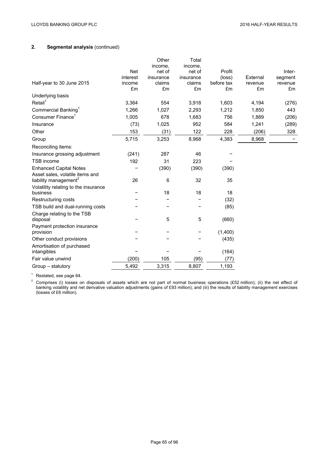# **2. Segmental analysis** (continued)

|                                                                      | <b>Net</b><br>interest | Other<br>income.<br>net of<br>insurance | Total<br>income,<br>net of<br>insurance | Profit<br>(loss) | External      | Inter-<br>segment |
|----------------------------------------------------------------------|------------------------|-----------------------------------------|-----------------------------------------|------------------|---------------|-------------------|
| Half-year to 30 June 2015                                            | income<br>£m           | claims<br>£m                            | claims<br>£m                            | before tax<br>£m | revenue<br>£m | revenue<br>£m     |
| Underlying basis                                                     |                        |                                         |                                         |                  |               |                   |
| $Reta$ <sup>1</sup>                                                  | 3,364                  | 554                                     | 3,918                                   | 1,603            | 4,194         | (276)             |
| Commercial Banking <sup>1</sup>                                      | 1,266                  | 1,027                                   | 2,293                                   | 1,212            | 1,850         | 443               |
| Consumer Finance <sup>1</sup>                                        | 1,005                  | 678                                     | 1,683                                   | 756              | 1,889         | (206)             |
| Insurance                                                            | (73)                   | 1,025                                   | 952                                     | 584              | 1,241         | (289)             |
| Other                                                                | 153                    | (31)                                    | 122                                     | 228              | (206)         | 328               |
| Group                                                                | 5,715                  | 3,253                                   | 8,968                                   | 4,383            | 8,968         |                   |
| Reconciling items:                                                   |                        |                                         |                                         |                  |               |                   |
| Insurance grossing adjustment                                        | (241)                  | 287                                     | 46                                      |                  |               |                   |
| <b>TSB</b> income                                                    | 192                    | 31                                      | 223                                     |                  |               |                   |
| <b>Enhanced Capital Notes</b>                                        |                        | (390)                                   | (390)                                   | (390)            |               |                   |
| Asset sales, volatile items and<br>liability management <sup>2</sup> | 26                     | 6                                       | 32                                      | 35               |               |                   |
| Volatility relating to the insurance                                 |                        |                                         |                                         |                  |               |                   |
| business                                                             |                        | 18                                      | 18                                      | 18               |               |                   |
| Restructuring costs                                                  |                        |                                         |                                         | (32)             |               |                   |
| TSB build and dual-running costs                                     |                        |                                         |                                         | (85)             |               |                   |
| Charge relating to the TSB<br>disposal                               |                        | 5                                       | 5                                       | (660)            |               |                   |
| Payment protection insurance<br>provision                            |                        |                                         |                                         | (1,400)          |               |                   |
| Other conduct provisions                                             |                        |                                         |                                         | (435)            |               |                   |
| Amortisation of purchased<br>intangibles                             |                        |                                         |                                         | (164)            |               |                   |
| Fair value unwind                                                    | (200)                  | 105                                     | (95)                                    | (77)             |               |                   |
| Group – statutory                                                    | 5,492                  | 3,315                                   | 8,807                                   | 1,193            |               |                   |

 $1$  Restated, see page 64.

<sup>2</sup> Comprises (i) losses on disposals of assets which are not part of normal business operations (£52 million); (ii) the net effect of banking volatility and net derivative valuation adjustments (gains of £93 million); and (iii) the results of liability management exercises (losses of £6 million).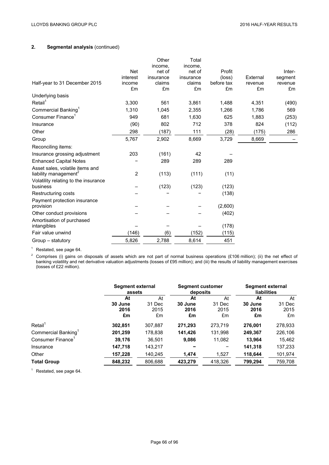# **2. Segmental analysis** (continued)

| Half-year to 31 December 2015                                                                                | <b>Net</b><br>interest<br>income<br>£m | Other<br>income,<br>net of<br>insurance<br>claims<br>£m | Total<br>income,<br>net of<br>insurance<br>claims<br>£m | Profit<br>$(\text{loss})$<br>before tax<br>£m | External<br>revenue<br>£m | Inter-<br>segment<br>revenue<br>£m |
|--------------------------------------------------------------------------------------------------------------|----------------------------------------|---------------------------------------------------------|---------------------------------------------------------|-----------------------------------------------|---------------------------|------------------------------------|
| Underlying basis                                                                                             |                                        |                                                         |                                                         |                                               |                           |                                    |
| Retail <sup>1</sup>                                                                                          | 3,300                                  | 561                                                     | 3,861                                                   | 1,488                                         | 4,351                     | (490)                              |
| Commercial Banking <sup>1</sup>                                                                              | 1,310                                  | 1,045                                                   | 2,355                                                   | 1,266                                         | 1,786                     | 569                                |
| Consumer Finance <sup>1</sup>                                                                                | 949                                    | 681                                                     | 1,630                                                   | 625                                           | 1,883                     | (253)                              |
| Insurance                                                                                                    | (90)                                   | 802                                                     | 712                                                     | 378                                           | 824                       | (112)                              |
| Other                                                                                                        | 298                                    | (187)                                                   | 111                                                     | (28)                                          | (175)                     | 286                                |
| Group                                                                                                        | 5,767                                  | 2,902                                                   | 8,669                                                   | 3,729                                         | 8,669                     |                                    |
| Reconciling items:                                                                                           |                                        |                                                         |                                                         |                                               |                           |                                    |
| Insurance grossing adjustment                                                                                | 203                                    | (161)                                                   | 42                                                      |                                               |                           |                                    |
| <b>Enhanced Capital Notes</b>                                                                                |                                        | 289                                                     | 289                                                     | 289                                           |                           |                                    |
| Asset sales, volatile items and<br>liability management <sup>2</sup><br>Volatility relating to the insurance | $\overline{2}$                         | (113)                                                   | (111)                                                   | (11)                                          |                           |                                    |
| business                                                                                                     |                                        | (123)                                                   | (123)                                                   | (123)                                         |                           |                                    |
| Restructuring costs                                                                                          |                                        |                                                         |                                                         | (138)                                         |                           |                                    |
| Payment protection insurance<br>provision                                                                    |                                        |                                                         |                                                         | (2,600)                                       |                           |                                    |
| Other conduct provisions                                                                                     |                                        |                                                         |                                                         | (402)                                         |                           |                                    |
| Amortisation of purchased<br>intangibles                                                                     |                                        |                                                         |                                                         | (178)                                         |                           |                                    |
| Fair value unwind                                                                                            | (146)                                  | (6)                                                     | (152)                                                   | (115)                                         |                           |                                    |
| Group - statutory                                                                                            | 5,826                                  | 2,788                                                   | 8,614                                                   | 451                                           |                           |                                    |

<sup>1</sup> Restated, see page 64.

<sup>2</sup> Comprises (i) gains on disposals of assets which are not part of normal business operations (£106 million); (ii) the net effect of banking volatility and net derivative valuation adjustments (losses of £95 million); and (iii) the results of liability management exercises (losses of £22 million).

|                                 | Segment external<br>assets |         | <b>Segment customer</b><br>deposits |         | Segment external<br>liabilities |         |
|---------------------------------|----------------------------|---------|-------------------------------------|---------|---------------------------------|---------|
|                                 | At                         | At      | At                                  | At      | At                              | At      |
|                                 | 30 June                    | 31 Dec  | 30 June                             | 31 Dec  | 30 June                         | 31 Dec  |
|                                 | 2016                       | 2015    | 2016                                | 2015    | 2016                            | 2015    |
|                                 | £m                         | £m      | £m                                  | £m      | £m                              | £m      |
| Retail <sup>1</sup>             | 302,851                    | 307,887 | 271,293                             | 273,719 | 276,001                         | 278,933 |
| Commercial Banking <sup>1</sup> | 201,259                    | 178,838 | 141,426                             | 131,998 | 249,367                         | 226,106 |
| Consumer Finance <sup>1</sup>   | 39,176                     | 36,501  | 9,086                               | 11,082  | 13,964                          | 15,462  |
| Insurance                       | 147,718                    | 143,217 |                                     |         | 141,318                         | 137,233 |
| Other                           | 157,228                    | 140,245 | 1,474                               | 1,527   | 118,644                         | 101,974 |
| <b>Total Group</b>              | 848,232                    | 806,688 | 423,279                             | 418,326 | 799,294                         | 759,708 |

 $1$  Restated, see page 64.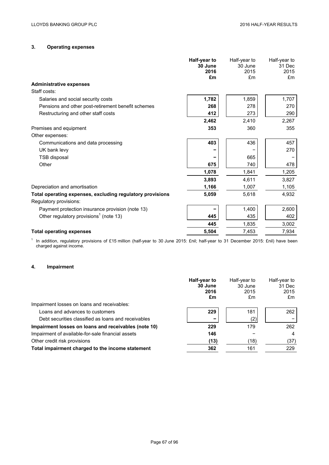# **3. Operating expenses**

|                                                           | Half-year to<br>30 June<br>2016<br>£m | Half-year to<br>30 June<br>2015<br>£m | Half-year to<br>31 Dec<br>2015<br>£m |
|-----------------------------------------------------------|---------------------------------------|---------------------------------------|--------------------------------------|
| <b>Administrative expenses</b>                            |                                       |                                       |                                      |
| Staff costs:                                              |                                       |                                       |                                      |
| Salaries and social security costs                        | 1,782                                 | 1,859                                 | 1,707                                |
| Pensions and other post-retirement benefit schemes        | 268                                   | 278                                   | 270                                  |
| Restructuring and other staff costs                       | 412                                   | 273                                   | 290                                  |
|                                                           | 2,462                                 | 2,410                                 | 2,267                                |
| Premises and equipment                                    | 353                                   | 360                                   | 355                                  |
| Other expenses:                                           |                                       |                                       |                                      |
| Communications and data processing                        | 403                                   | 436                                   | 457                                  |
| UK bank levy                                              |                                       |                                       | 270                                  |
| TSB disposal                                              |                                       | 665                                   |                                      |
| Other                                                     | 675                                   | 740                                   | 478                                  |
|                                                           | 1,078                                 | 1,841                                 | 1,205                                |
|                                                           | 3,893                                 | 4,611                                 | 3,827                                |
| Depreciation and amortisation                             | 1,166                                 | 1,007                                 | 1,105                                |
| Total operating expenses, excluding regulatory provisions | 5,059                                 | 5,618                                 | 4,932                                |
| Regulatory provisions:                                    |                                       |                                       |                                      |
| Payment protection insurance provision (note 13)          |                                       | 1,400                                 | 2,600                                |
| Other regulatory provisions <sup>1</sup> (note 13)        | 445                                   | 435                                   | 402                                  |
|                                                           | 445                                   | 1,835                                 | 3,002                                |
| <b>Total operating expenses</b>                           | 5,504                                 | 7,453                                 | 7,934                                |

<sup>1</sup> In addition, regulatory provisions of £15 million (half-year to 30 June 2015: £nil; half-year to 31 December 2015: £nil) have been charged against income.

# **4. Impairment**

|                                                      | Half-year to<br>30 June | Half-year to<br>30 June | Half-year to<br>31 Dec |
|------------------------------------------------------|-------------------------|-------------------------|------------------------|
|                                                      | 2016                    | 2015                    | 2015                   |
|                                                      | £m                      | £m                      | £m                     |
| Impairment losses on loans and receivables:          |                         |                         |                        |
| Loans and advances to customers                      | 229                     | 181                     | 262                    |
| Debt securities classified as loans and receivables  |                         | (2)                     |                        |
| Impairment losses on loans and receivables (note 10) | 229                     | 179                     | 262                    |
| Impairment of available-for-sale financial assets    | 146                     |                         | 4                      |
| Other credit risk provisions                         | (13)                    | (18)                    | (37)                   |
| Total impairment charged to the income statement     | 362                     | 161                     | 229                    |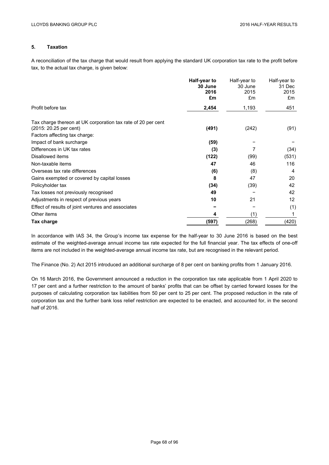# **5. Taxation**

A reconciliation of the tax charge that would result from applying the standard UK corporation tax rate to the profit before tax, to the actual tax charge, is given below:

|                                                                                                                         | Half-year to<br>30 June<br>2016<br>£m | Half-year to<br>30 June<br>2015<br>£m | Half-year to<br>31 Dec<br>2015<br>£m |
|-------------------------------------------------------------------------------------------------------------------------|---------------------------------------|---------------------------------------|--------------------------------------|
| Profit before tax                                                                                                       | 2,454                                 | 1,193                                 | 451                                  |
| Tax charge thereon at UK corporation tax rate of 20 per cent<br>(2015: 20.25 per cent)<br>Factors affecting tax charge: | (491)                                 | (242)                                 | (91)                                 |
| Impact of bank surcharge                                                                                                | (59)                                  |                                       |                                      |
| Differences in UK tax rates                                                                                             | (3)                                   | 7                                     | (34)                                 |
| Disallowed items                                                                                                        | (122)                                 | (99)                                  | (531)                                |
| Non-taxable items                                                                                                       | 47                                    | 46                                    | 116                                  |
| Overseas tax rate differences                                                                                           | (6)                                   | (8)                                   | 4                                    |
| Gains exempted or covered by capital losses                                                                             | 8                                     | 47                                    | 20                                   |
| Policyholder tax                                                                                                        | (34)                                  | (39)                                  | 42                                   |
| Tax losses not previously recognised                                                                                    | 49                                    |                                       | 42                                   |
| Adjustments in respect of previous years                                                                                | 10                                    | 21                                    | 12 <sup>°</sup>                      |
| Effect of results of joint ventures and associates                                                                      |                                       |                                       | (1)                                  |
| Other items                                                                                                             | 4                                     | (1)                                   |                                      |
| Tax charge                                                                                                              | (597)                                 | (268)                                 | (420)                                |

In accordance with IAS 34, the Group's income tax expense for the half-year to 30 June 2016 is based on the best estimate of the weighted-average annual income tax rate expected for the full financial year. The tax effects of one-off items are not included in the weighted-average annual income tax rate, but are recognised in the relevant period.

The Finance (No. 2) Act 2015 introduced an additional surcharge of 8 per cent on banking profits from 1 January 2016.

On 16 March 2016, the Government announced a reduction in the corporation tax rate applicable from 1 April 2020 to 17 per cent and a further restriction to the amount of banks' profits that can be offset by carried forward losses for the purposes of calculating corporation tax liabilities from 50 per cent to 25 per cent. The proposed reduction in the rate of corporation tax and the further bank loss relief restriction are expected to be enacted, and accounted for, in the second half of 2016.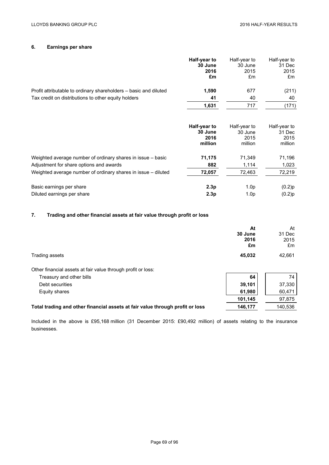# **6. Earnings per share**

|                                                                  | Half-year to<br>30 June<br>2016<br>£m      | Half-year to<br>30 June<br>2015<br>£m             | Half-year to<br>31 Dec<br>2015<br>£m      |
|------------------------------------------------------------------|--------------------------------------------|---------------------------------------------------|-------------------------------------------|
| Profit attributable to ordinary shareholders – basic and diluted | 1,590                                      | 677                                               | (211)                                     |
| Tax credit on distributions to other equity holders              | 41                                         | 40                                                | 40                                        |
|                                                                  | 1,631                                      | 717<br>Half-year to<br>30 June<br>2015<br>million | (171)                                     |
|                                                                  | Half-year to<br>30 June<br>2016<br>million |                                                   | Half-year to<br>31 Dec<br>2015<br>million |

| Weighted average number of ordinary shares in issue – basic<br>Adjustment for share options and awards<br>Weighted average number of ordinary shares in issue - diluted | 71.175<br>882<br>72.057 | 71.349<br>1.114<br>72.463 | 71.196<br>1,023<br>72.219 |
|-------------------------------------------------------------------------------------------------------------------------------------------------------------------------|-------------------------|---------------------------|---------------------------|
| Basic earnings per share                                                                                                                                                | 2.3 <sub>p</sub>        | 1.0 <sub>D</sub>          | $(0.2)$ p                 |
| Diluted earnings per share                                                                                                                                              | 2.3 <sub>p</sub>        | 1.0 <sub>p</sub>          | $(0.2)$ p                 |

# **7. Trading and other financial assets at fair value through profit or loss**

|                                                                               | At      | At      |
|-------------------------------------------------------------------------------|---------|---------|
|                                                                               | 30 June | 31 Dec  |
|                                                                               | 2016    | 2015    |
|                                                                               | £m      | £m      |
| Trading assets                                                                | 45,032  | 42,661  |
| Other financial assets at fair value through profit or loss:                  |         |         |
| Treasury and other bills                                                      | 64      | 74      |
| Debt securities                                                               | 39,101  | 37,330  |
| Equity shares                                                                 | 61,980  | 60,471  |
|                                                                               | 101,145 | 97,875  |
| Total trading and other financial assets at fair value through profit or loss | 146,177 | 140,536 |

Included in the above is £95,168 million (31 December 2015: £90,492 million) of assets relating to the insurance businesses.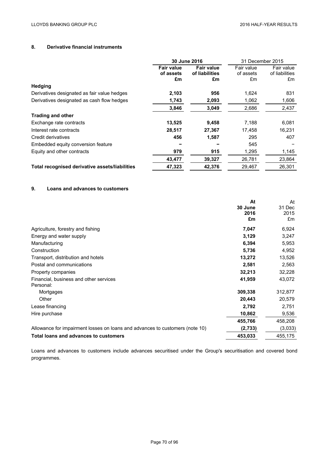# **8. Derivative financial instruments**

|                                                | 30 June 2016                         |                                           | 31 December 2015              |                                    |
|------------------------------------------------|--------------------------------------|-------------------------------------------|-------------------------------|------------------------------------|
|                                                | <b>Fair value</b><br>of assets<br>£m | <b>Fair value</b><br>of liabilities<br>£m | Fair value<br>of assets<br>£m | Fair value<br>of liabilities<br>£m |
| Hedging                                        |                                      |                                           |                               |                                    |
| Derivatives designated as fair value hedges    | 2,103                                | 956                                       | 1,624                         | 831                                |
| Derivatives designated as cash flow hedges     | 1,743                                | 2,093                                     | 1,062                         | 1,606                              |
|                                                | 3,846                                | 3,049                                     | 2,686                         | 2,437                              |
| <b>Trading and other</b>                       |                                      |                                           |                               |                                    |
| Exchange rate contracts                        | 13,525                               | 9,458                                     | 7,188                         | 6,081                              |
| Interest rate contracts                        | 28,517                               | 27,367                                    | 17,458                        | 16,231                             |
| Credit derivatives                             | 456                                  | 1,587                                     | 295                           | 407                                |
| Embedded equity conversion feature             |                                      |                                           | 545                           |                                    |
| Equity and other contracts                     | 979                                  | 915                                       | 1,295                         | 1,145                              |
|                                                | 43,477                               | 39,327                                    | 26,781                        | 23,864                             |
| Total recognised derivative assets/liabilities | 47,323                               | 42,376                                    | 29,467                        | 26,301                             |

# **9. Loans and advances to customers**

|                                                                              | At<br>30 June<br>2016<br>£m | At<br>31 Dec<br>2015<br>£m |
|------------------------------------------------------------------------------|-----------------------------|----------------------------|
| Agriculture, forestry and fishing                                            | 7,047                       | 6,924                      |
| Energy and water supply                                                      | 3,129                       | 3,247                      |
| Manufacturing                                                                | 6,394                       | 5,953                      |
| Construction                                                                 | 5,736                       | 4,952                      |
| Transport, distribution and hotels                                           | 13,272                      | 13,526                     |
| Postal and communications                                                    | 2,581                       | 2,563                      |
| Property companies                                                           | 32,213                      | 32,228                     |
| Financial, business and other services<br>Personal:                          | 41,959                      | 43,072                     |
| Mortgages                                                                    | 309,338                     | 312,877                    |
| Other                                                                        | 20,443                      | 20,579                     |
| Lease financing                                                              | 2,792                       | 2,751                      |
| Hire purchase                                                                | 10,862                      | 9,536                      |
|                                                                              | 455,766                     | 458,208                    |
| Allowance for impairment losses on loans and advances to customers (note 10) | (2,733)                     | (3,033)                    |
| Total loans and advances to customers                                        | 453,033                     | 455,175                    |

Loans and advances to customers include advances securitised under the Group's securitisation and covered bond programmes.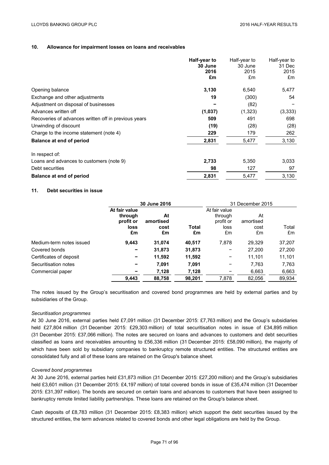# **10. Allowance for impairment losses on loans and receivables**

|                                                      | Half-year to<br>30 June<br>2016 | Half-year to<br>30 June<br>2015 | Half-year to<br>31 Dec<br>2015 |
|------------------------------------------------------|---------------------------------|---------------------------------|--------------------------------|
|                                                      | £m                              | £m                              | £m                             |
| Opening balance                                      | 3,130                           | 6,540                           | 5,477                          |
| Exchange and other adjustments                       | 19                              | (300)                           | 54                             |
| Adjustment on disposal of businesses                 |                                 | (82)                            |                                |
| Advances written off                                 | (1,037)                         | (1,323)                         | (3, 333)                       |
| Recoveries of advances written off in previous years | 509                             | 491                             | 698                            |
| Unwinding of discount                                | (19)                            | (28)                            | (28)                           |
| Charge to the income statement (note 4)              | 229                             | 179                             | 262                            |
| Balance at end of period                             | 2,831                           | 5,477                           | 3,130                          |
| In respect of:                                       |                                 |                                 |                                |
| Loans and advances to customers (note 9)             | 2,733                           | 5,350                           | 3,033                          |
| Debt securities                                      | 98                              | 127                             | 97                             |
| <b>Balance at end of period</b>                      | 2,831                           | 5,477                           | 3,130                          |

# **11. Debt securities in issue**

|                          |                                                     | 30 June 2016                  |             | 31 December 2015                                    |                               |             |
|--------------------------|-----------------------------------------------------|-------------------------------|-------------|-----------------------------------------------------|-------------------------------|-------------|
|                          | At fair value<br>through<br>profit or<br>loss<br>£m | At<br>amortised<br>cost<br>£m | Total<br>£m | At fair value<br>through<br>profit or<br>loss<br>£m | At<br>amortised<br>cost<br>£m | Total<br>£m |
| Medium-term notes issued | 9,443                                               | 31,074                        | 40,517      | 7,878                                               | 29,329                        | 37,207      |
| Covered bonds            |                                                     | 31,873                        | 31,873      |                                                     | 27,200                        | 27,200      |
| Certificates of deposit  |                                                     | 11,592                        | 11,592      | -                                                   | 11,101                        | 11,101      |
| Securitisation notes     |                                                     | 7,091                         | 7,091       |                                                     | 7,763                         | 7,763       |
| Commercial paper         |                                                     | 7,128                         | 7,128       |                                                     | 6,663                         | 6,663       |
|                          | 9,443                                               | 88,758                        | 98,201      | 7,878                                               | 82,056                        | 89,934      |

The notes issued by the Group's securitisation and covered bond programmes are held by external parties and by subsidiaries of the Group.

## *Securitisation programmes*

At 30 June 2016, external parties held £7,091 million (31 December 2015: £7,763 million) and the Group's subsidiaries held £27,804 million (31 December 2015: £29,303 million) of total securitisation notes in issue of £34,895 million (31 December 2015: £37,066 million). The notes are secured on loans and advances to customers and debt securities classified as loans and receivables amounting to £56,336 million (31 December 2015: £58,090 million), the majority of which have been sold by subsidiary companies to bankruptcy remote structured entities. The structured entities are consolidated fully and all of these loans are retained on the Group's balance sheet.

## *Covered bond programmes*

At 30 June 2016, external parties held £31,873 million (31 December 2015: £27,200 million) and the Group's subsidiaries held £3,601 million (31 December 2015: £4,197 million) of total covered bonds in issue of £35,474 million (31 December 2015: £31,397 million). The bonds are secured on certain loans and advances to customers that have been assigned to bankruptcy remote limited liability partnerships. These loans are retained on the Group's balance sheet.

Cash deposits of £8,783 million (31 December 2015: £8,383 million) which support the debt securities issued by the structured entities, the term advances related to covered bonds and other legal obligations are held by the Group.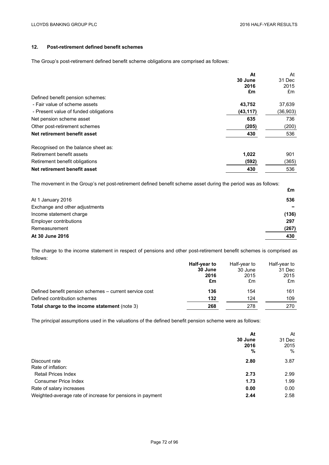# **12. Post-retirement defined benefit schemes**

The Group's post-retirement defined benefit scheme obligations are comprised as follows:

|                                       | At        | At       |
|---------------------------------------|-----------|----------|
|                                       | 30 June   | 31 Dec   |
|                                       | 2016      | 2015     |
|                                       | £m        | £m       |
| Defined benefit pension schemes:      |           |          |
| - Fair value of scheme assets         | 43,752    | 37,639   |
| - Present value of funded obligations | (43, 117) | (36,903) |
| Net pension scheme asset              | 635       | 736      |
| Other post-retirement schemes         | (205)     | (200)    |
| Net retirement benefit asset          | 430       | 536      |
| Recognised on the balance sheet as:   |           |          |
| Retirement benefit assets             | 1,022     | 901      |
| Retirement benefit obligations        | (592)     | (365)    |
| Net retirement benefit asset          | 430       | 536      |

The movement in the Group's net post-retirement defined benefit scheme asset during the period was as follows:

| At 1 January 2016              | 536   |
|--------------------------------|-------|
| Exchange and other adjustments |       |
| Income statement charge        | (136) |
| Employer contributions         | 297   |
| Remeasurement                  | (267) |
| At 30 June 2016                | 430   |

The charge to the income statement in respect of pensions and other post-retirement benefit schemes is comprised as follows:

| 31 Dec |
|--------|
| 2015   |
| £m     |
| 161    |
| 109    |
| 270    |
|        |

The principal assumptions used in the valuations of the defined benefit pension scheme were as follows:

|                                                           | At<br>30 June<br>2016<br>% | At<br>31 Dec<br>2015<br>$\%$ |
|-----------------------------------------------------------|----------------------------|------------------------------|
| Discount rate<br>Rate of inflation:                       | 2.80                       | 3.87                         |
| <b>Retail Prices Index</b>                                | 2.73                       | 2.99                         |
| <b>Consumer Price Index</b>                               | 1.73                       | 1.99                         |
| Rate of salary increases                                  | 0.00                       | 0.00                         |
| Weighted-average rate of increase for pensions in payment | 2.44                       | 2.58                         |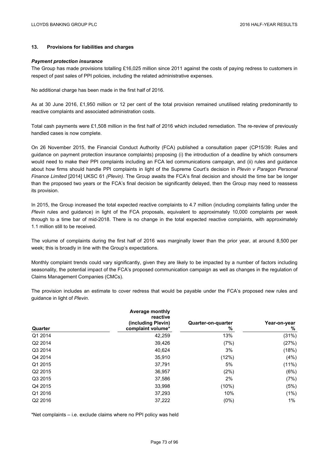# **13. Provisions for liabilities and charges**

## *Payment protection insurance*

The Group has made provisions totalling £16,025 million since 2011 against the costs of paying redress to customers in respect of past sales of PPI policies, including the related administrative expenses.

No additional charge has been made in the first half of 2016.

As at 30 June 2016, £1,950 million or 12 per cent of the total provision remained unutilised relating predominantly to reactive complaints and associated administration costs.

Total cash payments were £1,508 million in the first half of 2016 which included remediation. The re-review of previously handled cases is now complete.

On 26 November 2015, the Financial Conduct Authority (FCA) published a consultation paper (CP15/39: Rules and guidance on payment protection insurance complaints) proposing (i) the introduction of a deadline by which consumers would need to make their PPI complaints including an FCA led communications campaign, and (ii) rules and guidance about how firms should handle PPI complaints in light of the Supreme Court's decision in *Plevin v Paragon Personal Finance Limited* [2014] UKSC 61 *(Plevin)*. The Group awaits the FCA's final decision and should the time bar be longer than the proposed two years or the FCA's final decision be significantly delayed, then the Group may need to reassess its provision.

In 2015, the Group increased the total expected reactive complaints to 4.7 million (including complaints falling under the *Plevin* rules and guidance) in light of the FCA proposals, equivalent to approximately 10,000 complaints per week through to a time bar of mid-2018. There is no change in the total expected reactive complaints, with approximately 1.1 million still to be received.

The volume of complaints during the first half of 2016 was marginally lower than the prior year, at around 8,500 per week; this is broadly in line with the Group's expectations.

Monthly complaint trends could vary significantly, given they are likely to be impacted by a number of factors including seasonality, the potential impact of the FCA's proposed communication campaign as well as changes in the regulation of Claims Management Companies (CMCs).

The provision includes an estimate to cover redress that would be payable under the FCA's proposed new rules and guidance in light of *Plevin*.

| Quarter             | <b>Average monthly</b><br>reactive<br>(including Plevin)<br>complaint volume* | <b>Quarter-on-quarter</b><br>% | Year-on-year<br>% |
|---------------------|-------------------------------------------------------------------------------|--------------------------------|-------------------|
| Q1 2014             | 42,259                                                                        | 13%                            | (31%)             |
| Q2 2014             | 39,426                                                                        | (7%)                           | (27%)             |
| Q3 2014             | 40,624                                                                        | 3%                             | (18%)             |
| Q4 2014             | 35,910                                                                        | (12%)                          | (4%)              |
| Q1 2015             | 37,791                                                                        | 5%                             | $(11\%)$          |
| Q2 2015             | 36,957                                                                        | (2%)                           | (6%)              |
| Q3 2015             | 37,586                                                                        | 2%                             | (7%)              |
| Q4 2015             | 33,998                                                                        | $(10\%)$                       | (5%)              |
| Q1 2016             | 37,293                                                                        | 10%                            | (1%)              |
| Q <sub>2</sub> 2016 | 37,222                                                                        | $(0\%)$                        | $1\%$             |

\*Net complaints – i.e. exclude claims where no PPI policy was held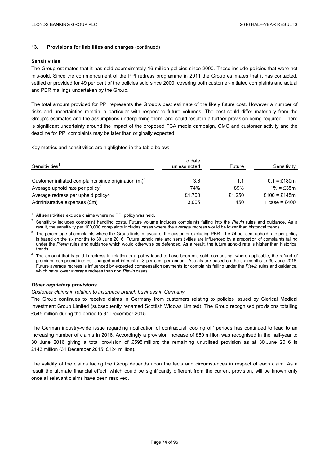# **13. Provisions for liabilities and charges** (continued)

#### **Sensitivities**

The Group estimates that it has sold approximately 16 million policies since 2000. These include policies that were not mis-sold. Since the commencement of the PPI redress programme in 2011 the Group estimates that it has contacted, settled or provided for 49 per cent of the policies sold since 2000, covering both customer-initiated complaints and actual and PBR mailings undertaken by the Group.

The total amount provided for PPI represents the Group's best estimate of the likely future cost. However a number of risks and uncertainties remain in particular with respect to future volumes. The cost could differ materially from the Group's estimates and the assumptions underpinning them, and could result in a further provision being required. There is significant uncertainty around the impact of the proposed FCA media campaign, CMC and customer activity and the deadline for PPI complaints may be later than originally expected.

Key metrics and sensitivities are highlighted in the table below:

| Sensitivities <sup>1</sup>                              | To date<br>unless noted | Future | Sensitivity     |
|---------------------------------------------------------|-------------------------|--------|-----------------|
|                                                         |                         |        |                 |
| Customer initiated complaints since origination $(m)^2$ | 3.6                     | 1.1    | $0.1 = £180m$   |
| Average uphold rate per policy $3$                      | 74%                     | 89%    | $1\% = f35m$    |
| Average redress per upheld policy4                      | £1.700                  | £1.250 | £100 = £145m    |
| Administrative expenses (£m)                            | 3.005                   | 450    | 1 case = $£400$ |

 $1$  All sensitivities exclude claims where no PPI policy was held.

<sup>2</sup> Sensitivity includes complaint handling costs. Future volume includes complaints falling into the *Plevin* rules and guidance. As a result, the sensitivity per 100,000 complaints includes cases where the average redress would be lower than historical trends.

The percentage of complaints where the Group finds in favour of the customer excluding PBR. The 74 per cent uphold rate per policy is based on the six months to 30 June 2016. Future uphold rate and sensitivities are influenced by a proportion of complaints falling under the *Plevin* rules and guidance which would otherwise be defended. As a result, the future uphold rate is higher than historical trends.

The amount that is paid in redress in relation to a policy found to have been mis-sold, comprising, where applicable, the refund of premium, compound interest charged and interest at 8 per cent per annum. Actuals are based on the six months to 30 June 2016. Future average redress is influenced by expected compensation payments for complaints falling under the *Plevin* rules and guidance, which have lower average redress than non *Plevin* cases.

## *Other regulatory provisions*

#### *Customer claims in relation to insurance branch business in Germany*

The Group continues to receive claims in Germany from customers relating to policies issued by Clerical Medical Investment Group Limited (subsequently renamed Scottish Widows Limited). The Group recognised provisions totalling £545 million during the period to 31 December 2015.

The German industry-wide issue regarding notification of contractual 'cooling off' periods has continued to lead to an increasing number of claims in 2016. Accordingly a provision increase of £50 million was recognised in the half-year to 30 June 2016 giving a total provision of £595 million; the remaining unutilised provision as at 30 June 2016 is £143 million (31 December 2015: £124 million).

The validity of the claims facing the Group depends upon the facts and circumstances in respect of each claim. As a result the ultimate financial effect, which could be significantly different from the current provision, will be known only once all relevant claims have been resolved.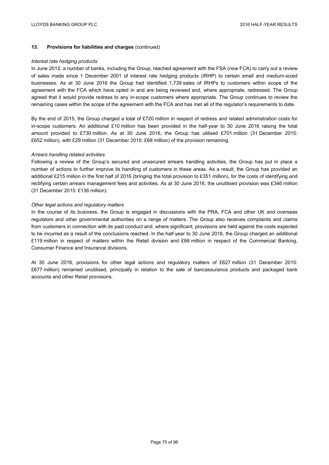# **13. Provisions for liabilities and charges** (continued)

#### *Interest rate hedging products*

In June 2012, a number of banks, including the Group, reached agreement with the FSA (now FCA) to carry out a review of sales made since 1 December 2001 of interest rate hedging products (IRHP) to certain small and medium-sized businesses. As at 30 June 2016 the Group had identified 1,739 sales of IRHPs to customers within scope of the agreement with the FCA which have opted in and are being reviewed and, where appropriate, redressed. The Group agreed that it would provide redress to any in-scope customers where appropriate. The Group continues to review the remaining cases within the scope of the agreement with the FCA and has met all of the regulator's requirements to date.

By the end of 2015, the Group charged a total of £720 million in respect of redress and related administration costs for in-scope customers. An additional £10 million has been provided in the half-year to 30 June 2016 raising the total amount provided to £730 million. As at 30 June 2016, the Group has utilised £701 million (31 December 2015: £652 million), with £29 million (31 December 2015: £68 million) of the provision remaining.

## *Arrears handling related activities*

Following a review of the Group's secured and unsecured arrears handling activities, the Group has put in place a number of actions to further improve its handling of customers in these areas. As a result, the Group has provided an additional £215 million in the first half of 2016 (bringing the total provision to £351 million), for the costs of identifying and rectifying certain arrears management fees and activities. As at 30 June 2016, the unutilised provision was £346 million (31 December 2015: £136 million).

## *Other legal actions and regulatory matters*

In the course of its business, the Group is engaged in discussions with the PRA, FCA and other UK and overseas regulators and other governmental authorities on a range of matters. The Group also receives complaints and claims from customers in connection with its past conduct and, where significant, provisions are held against the costs expected to be incurred as a result of the conclusions reached. In the half-year to 30 June 2016, the Group charged an additional £119 million in respect of matters within the Retail division and £66 million in respect of the Commercial Banking, Consumer Finance and Insurance divisions.

At 30 June 2016, provisions for other legal actions and regulatory matters of £627 million (31 December 2015: £677 million) remained unutilised, principally in relation to the sale of bancassurance products and packaged bank accounts and other Retail provisions.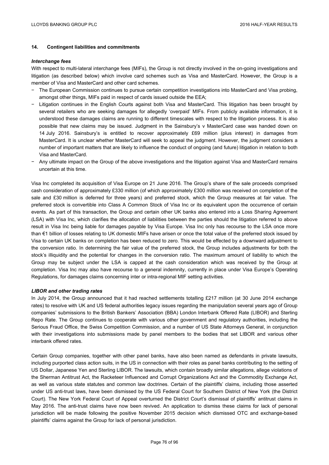# **14. Contingent liabilities and commitments**

## *Interchange fees*

With respect to multi-lateral interchange fees (MIFs), the Group is not directly involved in the on-going investigations and litigation (as described below) which involve card schemes such as Visa and MasterCard. However, the Group is a member of Visa and MasterCard and other card schemes.

- − The European Commission continues to pursue certain competition investigations into MasterCard and Visa probing, amongst other things, MIFs paid in respect of cards issued outside the EEA;
- Litigation continues in the English Courts against both Visa and MasterCard. This litigation has been brought by several retailers who are seeking damages for allegedly 'overpaid' MIFs. From publicly available information, it is understood these damages claims are running to different timescales with respect to the litigation process. It is also possible that new claims may be issued. Judgment in the Sainsbury's v MasterCard case was handed down on 14 July 2016. Sainsbury's is entitled to recover approximately £69 million (plus interest) in damages from MasterCard. It is unclear whether MasterCard will seek to appeal the judgment. However, the judgment considers a number of important matters that are likely to influence the conduct of ongoing (and future) litigation in relation to both Visa and MasterCard.
- − Any ultimate impact on the Group of the above investigations and the litigation against Visa and MasterCard remains uncertain at this time.

Visa Inc completed its acquisition of Visa Europe on 21 June 2016. The Group's share of the sale proceeds comprised cash consideration of approximately £330 million (of which approximately £300 million was received on completion of the sale and £30 million is deferred for three years) and preferred stock, which the Group measures at fair value. The preferred stock is convertible into Class A Common Stock of Visa Inc or its equivalent upon the occurrence of certain events. As part of this transaction, the Group and certain other UK banks also entered into a Loss Sharing Agreement (LSA) with Visa Inc, which clarifies the allocation of liabilities between the parties should the litigation referred to above result in Visa Inc being liable for damages payable by Visa Europe. Visa Inc only has recourse to the LSA once more than €1 billion of losses relating to UK domestic MIFs have arisen or once the total value of the preferred stock issued by Visa to certain UK banks on completion has been reduced to zero. This would be effected by a downward adjustment to the conversion ratio. In determining the fair value of the preferred stock, the Group includes adjustments for both the stock's illiquidity and the potential for changes in the conversion ratio. The maximum amount of liability to which the Group may be subject under the LSA is capped at the cash consideration which was received by the Group at completion. Visa Inc may also have recourse to a general indemnity, currently in place under Visa Europe's Operating Regulations, for damages claims concerning inter or intra-regional MIF setting activities.

# *LIBOR and other trading rates*

In July 2014, the Group announced that it had reached settlements totalling £217 million (at 30 June 2014 exchange rates) to resolve with UK and US federal authorities legacy issues regarding the manipulation several years ago of Group companies' submissions to the British Bankers' Association (BBA) London Interbank Offered Rate (LIBOR) and Sterling Repo Rate. The Group continues to cooperate with various other government and regulatory authorities, including the Serious Fraud Office, the Swiss Competition Commission, and a number of US State Attorneys General, in conjunction with their investigations into submissions made by panel members to the bodies that set LIBOR and various other interbank offered rates.

Certain Group companies, together with other panel banks, have also been named as defendants in private lawsuits, including purported class action suits, in the US in connection with their roles as panel banks contributing to the setting of US Dollar, Japanese Yen and Sterling LIBOR. The lawsuits, which contain broadly similar allegations, allege violations of the Sherman Antitrust Act, the Racketeer Influenced and Corrupt Organizations Act and the Commodity Exchange Act, as well as various state statutes and common law doctrines. Certain of the plaintiffs' claims, including those asserted under US anti-trust laws, have been dismissed by the US Federal Court for Southern District of New York (the District Court). The New York Federal Court of Appeal overturned the District Court's dismissal of plaintiffs' antitrust claims in May 2016. The anti-trust claims have now been revived. An application to dismiss these claims for lack of personal jurisdiction will be made following the positive November 2015 decision which dismissed OTC and exchange-based plaintiffs' claims against the Group for lack of personal jurisdiction.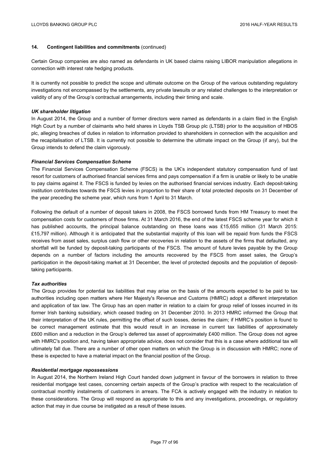# **14. Contingent liabilities and commitments** (continued)

Certain Group companies are also named as defendants in UK based claims raising LIBOR manipulation allegations in connection with interest rate hedging products.

It is currently not possible to predict the scope and ultimate outcome on the Group of the various outstanding regulatory investigations not encompassed by the settlements, any private lawsuits or any related challenges to the interpretation or validity of any of the Group's contractual arrangements, including their timing and scale.

## *UK shareholder litigation*

In August 2014, the Group and a number of former directors were named as defendants in a claim filed in the English High Court by a number of claimants who held shares in Lloyds TSB Group plc (LTSB) prior to the acquisition of HBOS plc, alleging breaches of duties in relation to information provided to shareholders in connection with the acquisition and the recapitalisation of LTSB. It is currently not possible to determine the ultimate impact on the Group (if any), but the Group intends to defend the claim vigorously.

## *Financial Services Compensation Scheme*

The Financial Services Compensation Scheme (FSCS) is the UK's independent statutory compensation fund of last resort for customers of authorised financial services firms and pays compensation if a firm is unable or likely to be unable to pay claims against it. The FSCS is funded by levies on the authorised financial services industry. Each deposit-taking institution contributes towards the FSCS levies in proportion to their share of total protected deposits on 31 December of the year preceding the scheme year, which runs from 1 April to 31 March.

Following the default of a number of deposit takers in 2008, the FSCS borrowed funds from HM Treasury to meet the compensation costs for customers of those firms. At 31 March 2016, the end of the latest FSCS scheme year for which it has published accounts, the principal balance outstanding on these loans was £15,655 million (31 March 2015: £15,797 million). Although it is anticipated that the substantial majority of this loan will be repaid from funds the FSCS receives from asset sales, surplus cash flow or other recoveries in relation to the assets of the firms that defaulted, any shortfall will be funded by deposit-taking participants of the FSCS. The amount of future levies payable by the Group depends on a number of factors including the amounts recovered by the FSCS from asset sales, the Group's participation in the deposit-taking market at 31 December, the level of protected deposits and the population of deposittaking participants.

## *Tax authorities*

The Group provides for potential tax liabilities that may arise on the basis of the amounts expected to be paid to tax authorities including open matters where Her Majesty's Revenue and Customs (HMRC) adopt a different interpretation and application of tax law. The Group has an open matter in relation to a claim for group relief of losses incurred in its former Irish banking subsidiary, which ceased trading on 31 December 2010. In 2013 HMRC informed the Group that their interpretation of the UK rules, permitting the offset of such losses, denies the claim; if HMRC's position is found to be correct management estimate that this would result in an increase in current tax liabilities of approximately £600 million and a reduction in the Group's deferred tax asset of approximately £400 million. The Group does not agree with HMRC's position and, having taken appropriate advice, does not consider that this is a case where additional tax will ultimately fall due. There are a number of other open matters on which the Group is in discussion with HMRC; none of these is expected to have a material impact on the financial position of the Group.

#### *Residential mortgage repossessions*

In August 2014, the Northern Ireland High Court handed down judgment in favour of the borrowers in relation to three residential mortgage test cases, concerning certain aspects of the Group's practice with respect to the recalculation of contractual monthly instalments of customers in arrears. The FCA is actively engaged with the industry in relation to these considerations. The Group will respond as appropriate to this and any investigations, proceedings, or regulatory action that may in due course be instigated as a result of these issues.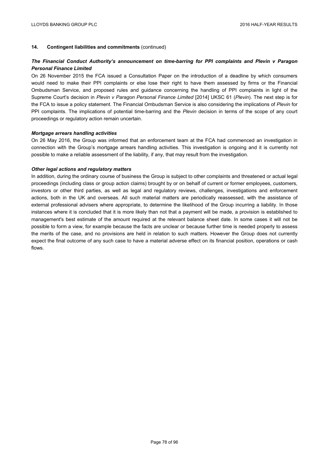# **14. Contingent liabilities and commitments** (continued)

# *The Financial Conduct Authority's announcement on time-barring for PPI complaints and Plevin v Paragon Personal Finance Limited*

On 26 November 2015 the FCA issued a Consultation Paper on the introduction of a deadline by which consumers would need to make their PPI complaints or else lose their right to have them assessed by firms or the Financial Ombudsman Service, and proposed rules and guidance concerning the handling of PPI complaints in light of the Supreme Court's decision in *Plevin v Paragon Personal Finance Limited* [2014] UKSC 61 (*Plevin*). The next step is for the FCA to issue a policy statement. The Financial Ombudsman Service is also considering the implications of *Plevin* for PPI complaints. The implications of potential time-barring and the *Plevin* decision in terms of the scope of any court proceedings or regulatory action remain uncertain.

## *Mortgage arrears handling activities*

On 26 May 2016, the Group was informed that an enforcement team at the FCA had commenced an investigation in connection with the Group's mortgage arrears handling activities. This investigation is ongoing and it is currently not possible to make a reliable assessment of the liability, if any, that may result from the investigation.

## *Other legal actions and regulatory matters*

In addition, during the ordinary course of business the Group is subject to other complaints and threatened or actual legal proceedings (including class or group action claims) brought by or on behalf of current or former employees, customers, investors or other third parties, as well as legal and regulatory reviews, challenges, investigations and enforcement actions, both in the UK and overseas. All such material matters are periodically reassessed, with the assistance of external professional advisers where appropriate, to determine the likelihood of the Group incurring a liability. In those instances where it is concluded that it is more likely than not that a payment will be made, a provision is established to management's best estimate of the amount required at the relevant balance sheet date. In some cases it will not be possible to form a view, for example because the facts are unclear or because further time is needed properly to assess the merits of the case, and no provisions are held in relation to such matters. However the Group does not currently expect the final outcome of any such case to have a material adverse effect on its financial position, operations or cash flows.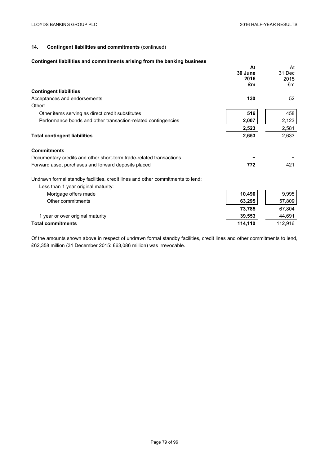# **14. Contingent liabilities and commitments** (continued)

# **Contingent liabilities and commitments arising from the banking business**

|                                                                                | At<br>30 June<br>2016<br>£m | At<br>31 Dec<br>2015<br>£m |
|--------------------------------------------------------------------------------|-----------------------------|----------------------------|
| <b>Contingent liabilities</b>                                                  |                             |                            |
| Acceptances and endorsements                                                   | 130                         | 52                         |
| Other:                                                                         |                             |                            |
| Other items serving as direct credit substitutes                               | 516                         | 458                        |
| Performance bonds and other transaction-related contingencies                  | 2,007                       | 2,123                      |
|                                                                                | 2,523                       | 2,581                      |
| <b>Total contingent liabilities</b>                                            | 2,653                       | 2,633                      |
| <b>Commitments</b>                                                             |                             |                            |
| Documentary credits and other short-term trade-related transactions            |                             |                            |
| Forward asset purchases and forward deposits placed                            | 772                         | 421                        |
| Undrawn formal standby facilities, credit lines and other commitments to lend: |                             |                            |
| Less than 1 year original maturity:                                            |                             |                            |
| Mortgage offers made                                                           | 10,490                      | 9,995                      |
| Other commitments                                                              | 63,295                      | 57,809                     |
|                                                                                | 73,785                      | 67,804                     |
| 1 year or over original maturity                                               | 39,553                      | 44,691                     |
| <b>Total commitments</b>                                                       | 114,110                     | 112,916                    |

Of the amounts shown above in respect of undrawn formal standby facilities, credit lines and other commitments to lend, £62,358 million (31 December 2015: £63,086 million) was irrevocable.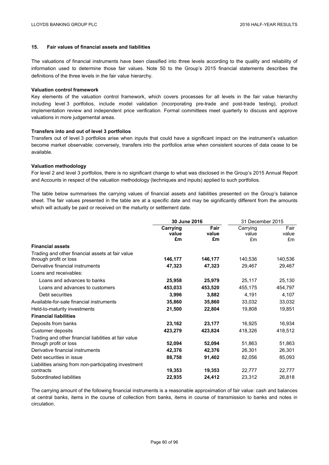# **15. Fair values of financial assets and liabilities**

The valuations of financial instruments have been classified into three levels according to the quality and reliability of information used to determine those fair values. Note 50 to the Group's 2015 financial statements describes the definitions of the three levels in the fair value hierarchy.

## **Valuation control framework**

Key elements of the valuation control framework, which covers processes for all levels in the fair value hierarchy including level 3 portfolios, include model validation (incorporating pre-trade and post-trade testing), product implementation review and independent price verification. Formal committees meet quarterly to discuss and approve valuations in more judgemental areas.

## **Transfers into and out of level 3 portfolios**

Transfers out of level 3 portfolios arise when inputs that could have a significant impact on the instrument's valuation become market observable; conversely, transfers into the portfolios arise when consistent sources of data cease to be available.

## **Valuation methodology**

For level 2 and level 3 portfolios, there is no significant change to what was disclosed in the Group's 2015 Annual Report and Accounts in respect of the valuation methodology (techniques and inputs) applied to such portfolios.

The table below summarises the carrying values of financial assets and liabilities presented on the Group's balance sheet. The fair values presented in the table are at a specific date and may be significantly different from the amounts which will actually be paid or received on the maturity or settlement date.

|                                                                                 | 30 June 2016            |                     | 31 December 2015        |                     |
|---------------------------------------------------------------------------------|-------------------------|---------------------|-------------------------|---------------------|
|                                                                                 | Carrying<br>value<br>£m | Fair<br>value<br>£m | Carrying<br>value<br>£m | Fair<br>value<br>£m |
| <b>Financial assets</b>                                                         |                         |                     |                         |                     |
| Trading and other financial assets at fair value<br>through profit or loss      | 146,177                 | 146,177             | 140.536                 | 140,536             |
| Derivative financial instruments                                                | 47,323                  | 47,323              | 29,467                  | 29,467              |
| Loans and receivables:                                                          |                         |                     |                         |                     |
| Loans and advances to banks                                                     | 25,958                  | 25,979              | 25,117                  | 25,130              |
| Loans and advances to customers                                                 | 453,033                 | 453,520             | 455,175                 | 454,797             |
| Debt securities                                                                 | 3,996                   | 3,882               | 4,191                   | 4,107               |
| Available-for-sale financial instruments                                        | 35,860                  | 35,860              | 33,032                  | 33,032              |
| Held-to-maturity investments                                                    | 21,500                  | 22,804              | 19,808                  | 19,851              |
| <b>Financial liabilities</b>                                                    |                         |                     |                         |                     |
| Deposits from banks                                                             | 23,162                  | 23,177              | 16,925                  | 16,934              |
| Customer deposits                                                               | 423,279                 | 423,824             | 418,326                 | 418,512             |
| Trading and other financial liabilities at fair value<br>through profit or loss | 52,094                  | 52,094              | 51,863                  | 51,863              |
| Derivative financial instruments                                                | 42,376                  | 42,376              | 26,301                  | 26,301              |
| Debt securities in issue                                                        | 88,758                  | 91,402              | 82,056                  | 85,093              |
| Liabilities arising from non-participating investment<br>contracts              | 19,353                  | 19,353              | 22,777                  | 22,777              |
| Subordinated liabilities                                                        | 22,935                  | 24,412              | 23,312                  | 26,818              |

The carrying amount of the following financial instruments is a reasonable approximation of fair value: cash and balances at central banks, items in the course of collection from banks, items in course of transmission to banks and notes in circulation.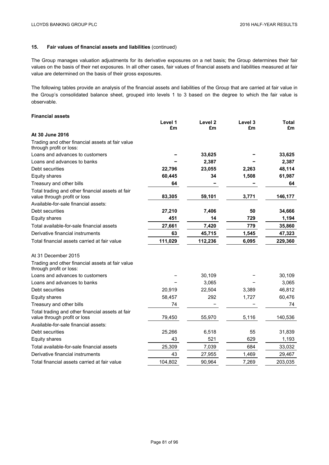The Group manages valuation adjustments for its derivative exposures on a net basis; the Group determines their fair values on the basis of their net exposures. In all other cases, fair values of financial assets and liabilities measured at fair value are determined on the basis of their gross exposures.

The following tables provide an analysis of the financial assets and liabilities of the Group that are carried at fair value in the Group's consolidated balance sheet, grouped into levels 1 to 3 based on the degree to which the fair value is observable.

## **Financial assets**

|                                                                                  | Level 1<br>£m | Level <sub>2</sub><br>£m | Level 3<br>£m | <b>Total</b><br>£m |
|----------------------------------------------------------------------------------|---------------|--------------------------|---------------|--------------------|
| At 30 June 2016                                                                  |               |                          |               |                    |
| Trading and other financial assets at fair value<br>through profit or loss:      |               |                          |               |                    |
| Loans and advances to customers                                                  |               | 33,625                   |               | 33,625             |
| Loans and advances to banks                                                      |               | 2,387                    |               | 2,387              |
| Debt securities                                                                  | 22,796        | 23,055                   | 2,263         | 48,114             |
| Equity shares                                                                    | 60,445        | 34                       | 1,508         | 61,987             |
| Treasury and other bills                                                         | 64            |                          |               | 64                 |
| Total trading and other financial assets at fair<br>value through profit or loss | 83,305        | 59,101                   | 3,771         | 146,177            |
| Available-for-sale financial assets:                                             |               |                          |               |                    |
| Debt securities                                                                  | 27,210        | 7,406                    | 50            | 34,666             |
| <b>Equity shares</b>                                                             | 451           | 14                       | 729           | 1,194              |
| Total available-for-sale financial assets                                        | 27,661        | 7,420                    | 779           | 35,860             |
| Derivative financial instruments                                                 | 63            | 45,715                   | 1,545         | 47,323             |
| Total financial assets carried at fair value                                     | 111,029       | 112,236                  | 6,095         | 229,360            |
| At 31 December 2015                                                              |               |                          |               |                    |
| Trading and other financial assets at fair value<br>through profit or loss:      |               |                          |               |                    |
| Loans and advances to customers                                                  |               | 30,109                   |               | 30,109             |
| Loans and advances to banks                                                      |               | 3,065                    |               | 3,065              |
| Debt securities                                                                  | 20,919        | 22,504                   | 3,389         | 46,812             |
| Equity shares                                                                    | 58,457        | 292                      | 1,727         | 60,476             |
| Treasury and other bills                                                         | 74            |                          |               | 74                 |
| Total trading and other financial assets at fair<br>value through profit or loss | 79,450        | 55,970                   | 5,116         | 140,536            |
| Available-for-sale financial assets:                                             |               |                          |               |                    |
| Debt securities                                                                  | 25,266        | 6,518                    | 55            | 31,839             |
| Equity shares                                                                    | 43            | 521                      | 629           | 1,193              |
| Total available-for-sale financial assets                                        | 25,309        | 7,039                    | 684           | 33,032             |
| Derivative financial instruments                                                 | 43            | 27,955                   | 1,469         | 29,467             |
| Total financial assets carried at fair value                                     | 104,802       | 90,964                   | 7,269         | 203,035            |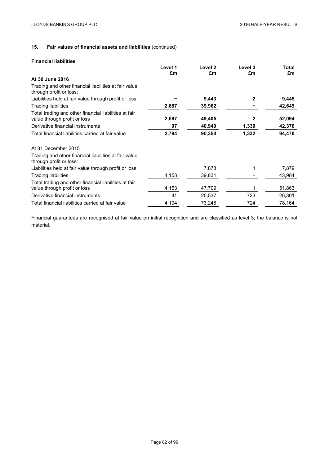# **Financial liabilities**

|                                                                                       | Level 1 | Level <sub>2</sub> | Level 3 | Total  |
|---------------------------------------------------------------------------------------|---------|--------------------|---------|--------|
| At 30 June 2016                                                                       | £m      | £m                 | £m      | £m     |
| Trading and other financial liabilities at fair value<br>through profit or loss:      |         |                    |         |        |
| Liabilities held at fair value through profit or loss                                 |         | 9,443              | 2       | 9,445  |
| <b>Trading liabilities</b>                                                            | 2,687   | 39,962             |         | 42,649 |
| Total trading and other financial liabilities at fair<br>value through profit or loss | 2,687   | 49,405             | 2       | 52,094 |
| Derivative financial instruments                                                      | 97      | 40,949             | 1,330   | 42,376 |
| Total financial liabilities carried at fair value                                     | 2,784   | 90,354             | 1,332   | 94,470 |
| At 31 December 2015                                                                   |         |                    |         |        |
| Trading and other financial liabilities at fair value<br>through profit or loss:      |         |                    |         |        |
| Liabilities held at fair value through profit or loss                                 |         | 7,878              |         | 7,879  |
| <b>Trading liabilities</b>                                                            | 4,153   | 39,831             |         | 43,984 |
| Total trading and other financial liabilities at fair<br>value through profit or loss | 4,153   | 47,709             |         | 51,863 |
| Derivative financial instruments                                                      | 41      | 25,537             | 723     | 26,301 |
| Total financial liabilities carried at fair value                                     | 4,194   | 73,246             | 724     | 78,164 |

Financial guarantees are recognised at fair value on initial recognition and are classified as level 3; the balance is not material.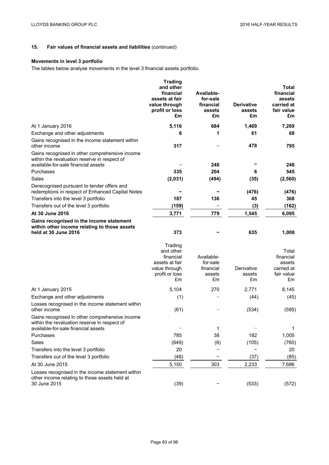# **Movements in level 3 portfolio**

The tables below analyse movements in the level 3 financial assets portfolio.

|                                                                                                                                       | <b>Trading</b><br>and other<br>financial<br>assets at fair<br>value through<br>profit or loss<br>£m | Available-<br>for-sale<br>financial<br>assets<br>£m | <b>Derivative</b><br>assets<br>£m | Total<br>financial<br>assets<br>carried at<br>fair value<br>£m |
|---------------------------------------------------------------------------------------------------------------------------------------|-----------------------------------------------------------------------------------------------------|-----------------------------------------------------|-----------------------------------|----------------------------------------------------------------|
| At 1 January 2016                                                                                                                     | 5,116                                                                                               | 684                                                 | 1,469                             | 7,269                                                          |
| Exchange and other adjustments                                                                                                        | 6                                                                                                   | 1                                                   | 61                                | 68                                                             |
| Gains recognised in the income statement within<br>other income                                                                       | 317                                                                                                 |                                                     | 478                               | 795                                                            |
| Gains recognised in other comprehensive income<br>within the revaluation reserve in respect of                                        |                                                                                                     |                                                     |                                   |                                                                |
| available-for-sale financial assets                                                                                                   |                                                                                                     | 248                                                 |                                   | 248                                                            |
| Purchases                                                                                                                             | 335                                                                                                 | 204                                                 | 6                                 | 545                                                            |
| Sales                                                                                                                                 | (2,031)                                                                                             | (494)                                               | (35)                              | (2, 560)                                                       |
| Derecognised pursuant to tender offers and<br>redemptions in respect of Enhanced Capital Notes                                        |                                                                                                     |                                                     | (476)                             | (476)                                                          |
| Transfers into the level 3 portfolio                                                                                                  | 187                                                                                                 | 136                                                 | 45                                | 368                                                            |
| Transfers out of the level 3 portfolio                                                                                                | (159)                                                                                               |                                                     | (3)                               | (162)                                                          |
| At 30 June 2016                                                                                                                       | 3,771                                                                                               | 779                                                 | 1,545                             | 6,095                                                          |
| Gains recognised in the income statement<br>within other income relating to those assets<br>held at 30 June 2016                      | 373                                                                                                 |                                                     | 635                               | 1,008                                                          |
|                                                                                                                                       | Trading<br>and other<br>financial<br>assets at fair<br>value through<br>profit or loss<br>£m        | Available-<br>for-sale<br>financial<br>assets<br>£m | Derivative<br>assets<br>£m        | Total<br>financial<br>assets<br>carried at<br>fair value<br>£m |
| At 1 January 2015                                                                                                                     | 5,104                                                                                               | 270                                                 | 2,771                             | 8,145                                                          |
| Exchange and other adjustments                                                                                                        | (1)                                                                                                 |                                                     | (44)                              | (45)                                                           |
| Losses recognised in the income statement within<br>other income                                                                      | (61)                                                                                                |                                                     | (534)                             | (595)                                                          |
| Gains recognised in other comprehensive income<br>within the revaluation reserve in respect of<br>available-for-sale financial assets |                                                                                                     | 1                                                   |                                   | 1                                                              |
| Purchases                                                                                                                             | 785                                                                                                 | 38                                                  | 182                               | 1,005                                                          |
| Sales                                                                                                                                 | (649)                                                                                               | (6)                                                 | (105)                             | (760)                                                          |
| Transfers into the level 3 portfolio                                                                                                  | 20                                                                                                  |                                                     |                                   | 20                                                             |
| Transfers out of the level 3 portfolio                                                                                                | (48)                                                                                                |                                                     | (37)                              | (85)                                                           |
| At 30 June 2015                                                                                                                       | 5,150                                                                                               | 303                                                 | 2,233                             | 7,686                                                          |
| Losses recognised in the income statement within<br>other income relating to those assets held at<br>30 June 2015                     | (39)                                                                                                |                                                     | (533)                             | (572)                                                          |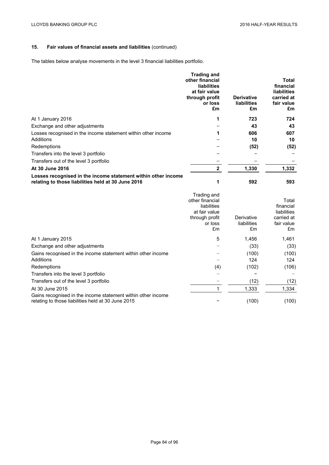The tables below analyse movements in the level 3 financial liabilities portfolio.

|                                                                                                                     | <b>Trading and</b><br>other financial<br><b>liabilities</b><br>at fair value<br>through profit<br>or loss<br>£m | <b>Derivative</b><br><b>liabilities</b><br>£m | <b>Total</b><br>financial<br><b>liabilities</b><br>carried at<br>fair value<br>£m |
|---------------------------------------------------------------------------------------------------------------------|-----------------------------------------------------------------------------------------------------------------|-----------------------------------------------|-----------------------------------------------------------------------------------|
| At 1 January 2016                                                                                                   | 1                                                                                                               | 723                                           | 724                                                                               |
| Exchange and other adjustments                                                                                      |                                                                                                                 | 43                                            | 43                                                                                |
| Losses recognised in the income statement within other income                                                       | 1                                                                                                               | 606                                           | 607                                                                               |
| Additions                                                                                                           |                                                                                                                 | 10                                            | 10                                                                                |
| Redemptions                                                                                                         |                                                                                                                 | (52)                                          | (52)                                                                              |
| Transfers into the level 3 portfolio                                                                                |                                                                                                                 |                                               |                                                                                   |
| Transfers out of the level 3 portfolio                                                                              |                                                                                                                 |                                               |                                                                                   |
| At 30 June 2016                                                                                                     | $\mathbf 2$                                                                                                     | 1,330                                         | 1,332                                                                             |
| Losses recognised in the income statement within other income<br>relating to those liabilities held at 30 June 2016 | 1                                                                                                               | 592                                           | 593                                                                               |
|                                                                                                                     | Trading and                                                                                                     |                                               |                                                                                   |
|                                                                                                                     | other financial                                                                                                 |                                               | Total                                                                             |
|                                                                                                                     | liabilities                                                                                                     |                                               | financial                                                                         |
|                                                                                                                     | at fair value<br>through profit                                                                                 | Derivative                                    | liabilities<br>carried at                                                         |
|                                                                                                                     | or loss                                                                                                         | liabilities                                   | fair value                                                                        |
|                                                                                                                     | £m                                                                                                              | £m                                            | £m                                                                                |
| At 1 January 2015                                                                                                   | 5                                                                                                               | 1,456                                         | 1,461                                                                             |
| Exchange and other adjustments                                                                                      |                                                                                                                 | (33)                                          | (33)                                                                              |
| Gains recognised in the income statement within other income                                                        |                                                                                                                 | (100)                                         | (100)                                                                             |
| Additions                                                                                                           |                                                                                                                 | 124                                           | 124                                                                               |
| Redemptions                                                                                                         | (4)                                                                                                             | (102)                                         | (106)                                                                             |
| Transfers into the level 3 portfolio                                                                                |                                                                                                                 |                                               |                                                                                   |
| Transfers out of the level 3 portfolio                                                                              |                                                                                                                 | (12)                                          | (12)                                                                              |
| At 30 June 2015                                                                                                     | 1                                                                                                               | 1,333                                         | 1,334                                                                             |
| Gains recognised in the income statement within other income<br>relating to those liabilities held at 30 June 2015  |                                                                                                                 | (100)                                         | (100)                                                                             |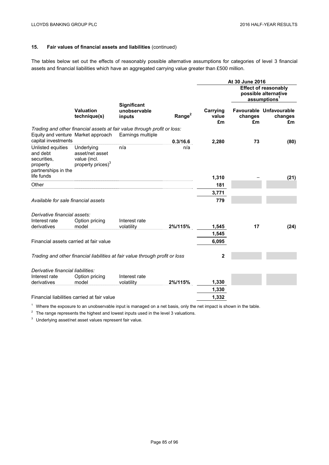The tables below set out the effects of reasonably possible alternative assumptions for categories of level 3 financial assets and financial liabilities which have an aggregated carrying value greater than £500 million.

|                                                                                               |                                                                                |                                                                                               |                    |                         | At 30 June 2016 |                                                                                 |
|-----------------------------------------------------------------------------------------------|--------------------------------------------------------------------------------|-----------------------------------------------------------------------------------------------|--------------------|-------------------------|-----------------|---------------------------------------------------------------------------------|
|                                                                                               |                                                                                |                                                                                               |                    |                         |                 | <b>Effect of reasonably</b><br>possible alternative<br>assumptions <sup>1</sup> |
|                                                                                               | <b>Valuation</b><br>technique(s)                                               | <b>Significant</b><br>unobservable<br>inputs                                                  | Range <sup>2</sup> | Carrying<br>value<br>£m | changes<br>£m   | Favourable Unfavourable<br>changes<br>£m                                        |
| Equity and venture Market approach                                                            |                                                                                | Trading and other financial assets at fair value through profit or loss:<br>Earnings multiple |                    |                         |                 |                                                                                 |
| capital investments                                                                           |                                                                                |                                                                                               | 0.3/16.6           | 2,280                   | 73              | (80)                                                                            |
| Unlisted equities<br>and debt<br>securities.<br>property<br>partnerships in the<br>life funds | Underlying<br>asset/net asset<br>value (incl.<br>property prices) <sup>3</sup> | n/a                                                                                           | n/a                |                         |                 |                                                                                 |
|                                                                                               |                                                                                |                                                                                               |                    | 1,310                   |                 | (21)                                                                            |
| Other                                                                                         |                                                                                |                                                                                               |                    | 181                     |                 |                                                                                 |
|                                                                                               |                                                                                |                                                                                               |                    | 3,771                   |                 |                                                                                 |
| Available for sale financial assets                                                           |                                                                                |                                                                                               |                    | 779                     |                 |                                                                                 |
| Derivative financial assets:<br>Interest rate                                                 | Option pricing                                                                 | Interest rate                                                                                 |                    |                         |                 |                                                                                 |
| derivatives                                                                                   | model                                                                          | volatility                                                                                    | 2%/115%            | 1,545                   | 17              | (24)                                                                            |
|                                                                                               |                                                                                |                                                                                               |                    | 1,545                   |                 |                                                                                 |
| Financial assets carried at fair value                                                        |                                                                                |                                                                                               |                    | 6,095                   |                 |                                                                                 |
|                                                                                               |                                                                                | Trading and other financial liabilities at fair value through profit or loss                  |                    | $\mathbf{2}$            |                 |                                                                                 |
| Derivative financial liabilities:                                                             |                                                                                |                                                                                               |                    |                         |                 |                                                                                 |
| Interest rate                                                                                 | Option pricing                                                                 | Interest rate                                                                                 |                    |                         |                 |                                                                                 |
| derivatives                                                                                   | model                                                                          | volatility                                                                                    | 2%/115%            | 1,330                   |                 |                                                                                 |
|                                                                                               |                                                                                |                                                                                               |                    | 1,330                   |                 |                                                                                 |
|                                                                                               | Financial liabilities carried at fair value                                    |                                                                                               |                    | 1,332                   |                 |                                                                                 |

 $1$  Where the exposure to an unobservable input is managed on a net basis, only the net impact is shown in the table.

2 The range represents the highest and lowest inputs used in the level 3 valuations.

<sup>3</sup> Underlying asset/net asset values represent fair value.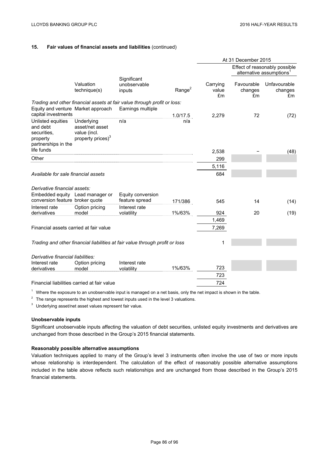|                                                                                                    |                                                                  |                                                                              |                 | At 31 December 2015     |                             |                                                                       |
|----------------------------------------------------------------------------------------------------|------------------------------------------------------------------|------------------------------------------------------------------------------|-----------------|-------------------------|-----------------------------|-----------------------------------------------------------------------|
|                                                                                                    |                                                                  |                                                                              |                 |                         |                             | Effect of reasonably possible<br>alternative assumptions <sup>1</sup> |
|                                                                                                    | Valuation<br>technique(s)                                        | Significant<br>unobservable<br>inputs                                        | Range $^2$      | Carrying<br>value<br>£m | Favourable<br>changes<br>£m | Unfavourable<br>changes<br>£m                                         |
|                                                                                                    |                                                                  | Trading and other financial assets at fair value through profit or loss:     |                 |                         |                             |                                                                       |
| Equity and venture Market approach                                                                 |                                                                  | Earnings multiple                                                            |                 |                         |                             |                                                                       |
| capital investments<br>Unlisted equities                                                           | Underlying                                                       | n/a                                                                          | 1.0/17.5<br>n/a | 2,279                   | 72                          | (72)                                                                  |
| and debt<br>securities.<br>property<br>partnerships in the                                         | asset/net asset<br>value (incl.<br>property prices) <sup>3</sup> |                                                                              |                 |                         |                             |                                                                       |
| life funds                                                                                         |                                                                  |                                                                              |                 | 2,538                   |                             | (48)                                                                  |
| Other                                                                                              |                                                                  |                                                                              |                 | 299                     |                             |                                                                       |
|                                                                                                    |                                                                  |                                                                              |                 | 5,116                   |                             |                                                                       |
| Available for sale financial assets                                                                |                                                                  |                                                                              |                 | 684                     |                             |                                                                       |
| Derivative financial assets:<br>Embedded equity Lead manager or<br>conversion feature broker quote |                                                                  | Equity conversion<br>feature spread                                          | 171/386         | 545                     | 14                          | (14)                                                                  |
| Interest rate                                                                                      | Option pricing                                                   | Interest rate                                                                |                 |                         |                             |                                                                       |
| derivatives                                                                                        | model                                                            | volatility                                                                   | 1%/63%          | 924                     | 20                          | (19)                                                                  |
|                                                                                                    |                                                                  |                                                                              |                 | 1,469                   |                             |                                                                       |
| Financial assets carried at fair value                                                             |                                                                  |                                                                              |                 | 7,269                   |                             |                                                                       |
|                                                                                                    |                                                                  | Trading and other financial liabilities at fair value through profit or loss |                 | 1                       |                             |                                                                       |
| Derivative financial liabilities:                                                                  |                                                                  |                                                                              |                 |                         |                             |                                                                       |
| Interest rate<br>derivatives                                                                       | Option pricing<br>model                                          | Interest rate<br>volatility                                                  | 1%/63%          | 723                     |                             |                                                                       |
|                                                                                                    |                                                                  |                                                                              |                 | 723                     |                             |                                                                       |
|                                                                                                    | Financial liabilities carried at fair value                      |                                                                              |                 | 724                     |                             |                                                                       |
|                                                                                                    |                                                                  |                                                                              |                 |                         |                             |                                                                       |

 $1$  Where the exposure to an unobservable input is managed on a net basis, only the net impact is shown in the table.

 $2$  The range represents the highest and lowest inputs used in the level 3 valuations.

<sup>3</sup> Underlying asset/net asset values represent fair value.

# **Unobservable inputs**

Significant unobservable inputs affecting the valuation of debt securities, unlisted equity investments and derivatives are unchanged from those described in the Group's 2015 financial statements.

## **Reasonably possible alternative assumptions**

Valuation techniques applied to many of the Group's level 3 instruments often involve the use of two or more inputs whose relationship is interdependent. The calculation of the effect of reasonably possible alternative assumptions included in the table above reflects such relationships and are unchanged from those described in the Group's 2015 financial statements.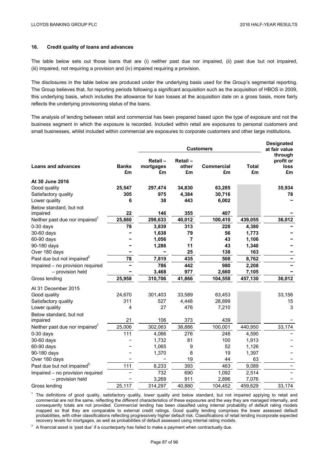# **16. Credit quality of loans and advances**

The table below sets out those loans that are (i) neither past due nor impaired, (ii) past due but not impaired, (iii) impaired, not requiring a provision and (iv) impaired requiring a provision.

The disclosures in the table below are produced under the underlying basis used for the Group's segmental reporting. The Group believes that, for reporting periods following a significant acquisition such as the acquisition of HBOS in 2009, this underlying basis, which includes the allowance for loan losses at the acquisition date on a gross basis, more fairly reflects the underlying provisioning status of the loans.

The analysis of lending between retail and commercial has been prepared based upon the type of exposure and not the business segment in which the exposure is recorded. Included within retail are exposures to personal customers and small businesses, whilst included within commercial are exposures to corporate customers and other large institutions.

|                                            | <b>Customers</b>   |                            |                        |                         | <b>Designated</b><br>at fair value |                                    |
|--------------------------------------------|--------------------|----------------------------|------------------------|-------------------------|------------------------------------|------------------------------------|
| <b>Loans and advances</b>                  | <b>Banks</b><br>£m | Retail-<br>mortgages<br>£m | Retail-<br>other<br>£m | <b>Commercial</b><br>£m | Total<br>£m                        | through<br>profit or<br>loss<br>£m |
| At 30 June 2016                            |                    |                            |                        |                         |                                    |                                    |
| Good quality                               | 25,547             | 297,474                    | 34,830                 | 63,285                  |                                    | 35,934                             |
| Satisfactory quality                       | 305                | 975                        | 4,384                  | 30,716                  |                                    | 78                                 |
| Lower quality                              | 6                  | 38                         | 443                    | 6,002                   |                                    |                                    |
| Below standard, but not                    |                    |                            |                        |                         |                                    |                                    |
| impaired                                   | 22                 | 146                        | 355                    | 407                     |                                    |                                    |
| Neither past due nor impaired <sup>1</sup> | 25,880             | 298,633                    | 40,012                 | 100,410                 | 439,055                            | 36,012                             |
| $0-30$ days                                | 78                 | 3,839                      | 313                    | 228                     | 4,380                              |                                    |
| 30-60 days                                 |                    | 1,638                      | 79                     | 56                      | 1,773                              |                                    |
| 60-90 days                                 |                    | 1,056                      | 7                      | 43                      | 1,106                              |                                    |
| 90-180 days                                |                    | 1,286                      | 11                     | 43                      | 1,340                              |                                    |
| Over 180 days                              |                    |                            | 25                     | 138                     | 163                                |                                    |
| Past due but not impaired <sup>2</sup>     | 78                 | 7,819                      | 435                    | 508                     | 8,762                              |                                    |
| Impaired - no provision required           |                    | 786                        | 442                    | 980                     | 2,208                              |                                    |
| - provision held                           |                    | 3,468                      | 977                    | 2,660                   | 7,105                              |                                    |
| Gross lending                              | 25,958             | 310,706                    | 41,866                 | 104,558                 | 457,130                            | 36,012                             |
| At 31 December 2015                        |                    |                            |                        |                         |                                    |                                    |
| Good quality                               | 24,670             | 301,403                    | 33,589                 | 63,453                  |                                    | 33,156                             |
| Satisfactory quality                       | 311                | 527                        | 4,448                  | 28,899                  |                                    | 15                                 |
| Lower quality                              | 4                  | 27                         | 476                    | 7,210                   |                                    | 3                                  |
| Below standard, but not                    |                    |                            |                        |                         |                                    |                                    |
| impaired                                   | 21                 | 106                        | 373                    | 439                     |                                    |                                    |
| Neither past due nor impaired <sup>1</sup> | 25,006             | 302,063                    | 38,886                 | 100,001                 | 440,950                            | 33,174                             |
| $0-30$ days                                | 111                | 4,066                      | 276                    | 248                     | 4,590                              |                                    |
| 30-60 days                                 |                    | 1,732                      | 81                     | 100                     | 1,913                              |                                    |
| 60-90 days                                 |                    | 1,065                      | 9                      | 52                      | 1,126                              |                                    |
| 90-180 days                                |                    | 1,370                      | 8                      | 19                      | 1,397                              |                                    |
| Over 180 days                              |                    |                            | 19                     | 44                      | 63                                 |                                    |
| Past due but not impaired <sup>2</sup>     | 111                | 8,233                      | 393                    | 463                     | 9,089                              |                                    |
| Impaired - no provision required           |                    | 732                        | 690                    | 1,092                   | 2,514                              |                                    |
| - provision held                           |                    | 3,269                      | 911                    | 2,896                   | 7,076                              |                                    |
| Gross lending                              | 25,117             | 314,297                    | 40,880                 | 104,452                 | 459,629                            | 33,174                             |

<sup>1</sup> The definitions of good quality, satisfactory quality, lower quality and below standard, but not impaired applying to retail and commercial are not the same, reflecting the different characteristics of these exposures and the way they are managed internally, and consequently totals are not provided. Commercial lending has been classified using internal probability of default rating models mapped so that they are comparable to external credit ratings. Good quality lending comprises the lower assessed default probabilities, with other classifications reflecting progressively higher default risk. Classifications of retail lending incorporate expected recovery levels for mortgages, as well as probabilities of default assessed using internal rating models.

 $2$  A financial asset is 'past due' if a counterparty has failed to make a payment when contractually due.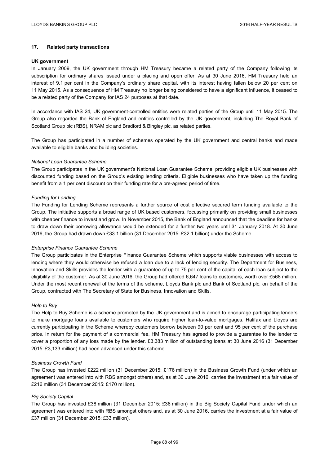## **17. Related party transactions**

#### **UK government**

In January 2009, the UK government through HM Treasury became a related party of the Company following its subscription for ordinary shares issued under a placing and open offer. As at 30 June 2016, HM Treasury held an interest of 9.1 per cent in the Company's ordinary share capital, with its interest having fallen below 20 per cent on 11 May 2015. As a consequence of HM Treasury no longer being considered to have a significant influence, it ceased to be a related party of the Company for IAS 24 purposes at that date.

In accordance with IAS 24, UK government-controlled entities were related parties of the Group until 11 May 2015. The Group also regarded the Bank of England and entities controlled by the UK government, including The Royal Bank of Scotland Group plc (RBS), NRAM plc and Bradford & Bingley plc, as related parties.

The Group has participated in a number of schemes operated by the UK government and central banks and made available to eligible banks and building societies.

#### *National Loan Guarantee Scheme*

The Group participates in the UK government's National Loan Guarantee Scheme, providing eligible UK businesses with discounted funding based on the Group's existing lending criteria. Eligible businesses who have taken up the funding benefit from a 1 per cent discount on their funding rate for a pre-agreed period of time.

#### *Funding for Lending*

The Funding for Lending Scheme represents a further source of cost effective secured term funding available to the Group. The initiative supports a broad range of UK based customers, focussing primarily on providing small businesses with cheaper finance to invest and grow. In November 2015, the Bank of England announced that the deadline for banks to draw down their borrowing allowance would be extended for a further two years until 31 January 2018. At 30 June 2016, the Group had drawn down £33.1 billion (31 December 2015: £32.1 billion) under the Scheme.

## *Enterprise Finance Guarantee Scheme*

The Group participates in the Enterprise Finance Guarantee Scheme which supports viable businesses with access to lending where they would otherwise be refused a loan due to a lack of lending security. The Department for Business, Innovation and Skills provides the lender with a guarantee of up to 75 per cent of the capital of each loan subject to the eligibility of the customer. As at 30 June 2016, the Group had offered 6,647 loans to customers, worth over £568 million. Under the most recent renewal of the terms of the scheme, Lloyds Bank plc and Bank of Scotland plc, on behalf of the Group, contracted with The Secretary of State for Business, Innovation and Skills.

## *Help to Buy*

The Help to Buy Scheme is a scheme promoted by the UK government and is aimed to encourage participating lenders to make mortgage loans available to customers who require higher loan-to-value mortgages. Halifax and Lloyds are currently participating in the Scheme whereby customers borrow between 90 per cent and 95 per cent of the purchase price. In return for the payment of a commercial fee, HM Treasury has agreed to provide a guarantee to the lender to cover a proportion of any loss made by the lender. £3,383 million of outstanding loans at 30 June 2016 (31 December 2015: £3,133 million) had been advanced under this scheme.

#### *Business Growth Fund*

The Group has invested £222 million (31 December 2015: £176 million) in the Business Growth Fund (under which an agreement was entered into with RBS amongst others) and, as at 30 June 2016, carries the investment at a fair value of £216 million (31 December 2015: £170 million).

## *Big Society Capital*

The Group has invested £38 million (31 December 2015: £36 million) in the Big Society Capital Fund under which an agreement was entered into with RBS amongst others and, as at 30 June 2016, carries the investment at a fair value of £37 million (31 December 2015: £33 million).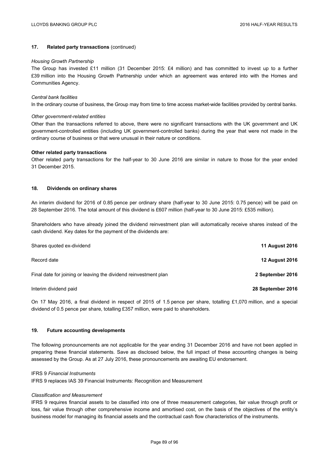# **17. Related party transactions** (continued)

#### *Housing Growth Partnership*

The Group has invested £11 million (31 December 2015: £4 million) and has committed to invest up to a further £39 million into the Housing Growth Partnership under which an agreement was entered into with the Homes and Communities Agency.

#### *Central bank facilities*

In the ordinary course of business, the Group may from time to time access market-wide facilities provided by central banks.

## *Other government-related entities*

Other than the transactions referred to above, there were no significant transactions with the UK government and UK government-controlled entities (including UK government-controlled banks) during the year that were not made in the ordinary course of business or that were unusual in their nature or conditions.

#### **Other related party transactions**

Other related party transactions for the half-year to 30 June 2016 are similar in nature to those for the year ended 31 December 2015.

# **18. Dividends on ordinary shares**

An interim dividend for 2016 of 0.85 pence per ordinary share (half-year to 30 June 2015: 0.75 pence) will be paid on 28 September 2016. The total amount of this dividend is £607 million (half-year to 30 June 2015: £535 million).

Shareholders who have already joined the dividend reinvestment plan will automatically receive shares instead of the cash dividend. Key dates for the payment of the dividends are:

| Shares guoted ex-dividend                                        | <b>11 August 2016</b> |
|------------------------------------------------------------------|-----------------------|
| Record date                                                      | <b>12 August 2016</b> |
| Final date for joining or leaving the dividend reinvestment plan | 2 September 2016      |
| Interim dividend paid                                            | 28 September 2016     |

On 17 May 2016, a final dividend in respect of 2015 of 1.5 pence per share, totalling £1,070 million, and a special dividend of 0.5 pence per share, totalling £357 million, were paid to shareholders.

## **19. Future accounting developments**

The following pronouncements are not applicable for the year ending 31 December 2016 and have not been applied in preparing these financial statements. Save as disclosed below, the full impact of these accounting changes is being assessed by the Group. As at 27 July 2016, these pronouncements are awaiting EU endorsement.

IFRS 9 *Financial Instruments* 

IFRS 9 replaces IAS 39 Financial Instruments: Recognition and Measurement

## *Classification and Measurement*

IFRS 9 requires financial assets to be classified into one of three measurement categories, fair value through profit or loss, fair value through other comprehensive income and amortised cost, on the basis of the objectives of the entity's business model for managing its financial assets and the contractual cash flow characteristics of the instruments.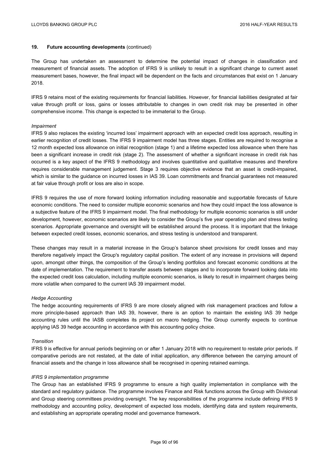# **19. Future accounting developments** (continued)

The Group has undertaken an assessment to determine the potential impact of changes in classification and measurement of financial assets. The adoption of IFRS 9 is unlikely to result in a significant change to current asset measurement bases, however, the final impact will be dependent on the facts and circumstances that exist on 1 January 2018.

IFRS 9 retains most of the existing requirements for financial liabilities. However, for financial liabilities designated at fair value through profit or loss, gains or losses attributable to changes in own credit risk may be presented in other comprehensive income. This change is expected to be immaterial to the Group.

## *Impairment*

IFRS 9 also replaces the existing 'incurred loss' impairment approach with an expected credit loss approach, resulting in earlier recognition of credit losses. The IFRS 9 impairment model has three stages. Entities are required to recognise a 12 month expected loss allowance on initial recognition (stage 1) and a lifetime expected loss allowance when there has been a significant increase in credit risk (stage 2). The assessment of whether a significant increase in credit risk has occurred is a key aspect of the IFRS 9 methodology and involves quantitative and qualitative measures and therefore requires considerable management judgement. Stage 3 requires objective evidence that an asset is credit-impaired, which is similar to the guidance on incurred losses in IAS 39. Loan commitments and financial guarantees not measured at fair value through profit or loss are also in scope.

IFRS 9 requires the use of more forward looking information including reasonable and supportable forecasts of future economic conditions. The need to consider multiple economic scenarios and how they could impact the loss allowance is a subjective feature of the IFRS 9 impairment model. The final methodology for multiple economic scenarios is still under development, however, economic scenarios are likely to consider the Group's five year operating plan and stress testing scenarios. Appropriate governance and oversight will be established around the process. It is important that the linkage between expected credit losses, economic scenarios, and stress testing is understood and transparent.

These changes may result in a material increase in the Group's balance sheet provisions for credit losses and may therefore negatively impact the Group's regulatory capital position. The extent of any increase in provisions will depend upon, amongst other things, the composition of the Group's lending portfolios and forecast economic conditions at the date of implementation. The requirement to transfer assets between stages and to incorporate forward looking data into the expected credit loss calculation, including multiple economic scenarios, is likely to result in impairment charges being more volatile when compared to the current IAS 39 impairment model.

## *Hedge Accounting*

The hedge accounting requirements of IFRS 9 are more closely aligned with risk management practices and follow a more principle-based approach than IAS 39, however, there is an option to maintain the existing IAS 39 hedge accounting rules until the IASB completes its project on macro hedging. The Group currently expects to continue applying IAS 39 hedge accounting in accordance with this accounting policy choice.

## *Transition*

IFRS 9 is effective for annual periods beginning on or after 1 January 2018 with no requirement to restate prior periods. If comparative periods are not restated, at the date of initial application, any difference between the carrying amount of financial assets and the change in loss allowance shall be recognised in opening retained earnings.

## *IFRS 9 implementation programme*

The Group has an established IFRS 9 programme to ensure a high quality implementation in compliance with the standard and regulatory guidance. The programme involves Finance and Risk functions across the Group with Divisional and Group steering committees providing oversight. The key responsibilities of the programme include defining IFRS 9 methodology and accounting policy, development of expected loss models, identifying data and system requirements, and establishing an appropriate operating model and governance framework.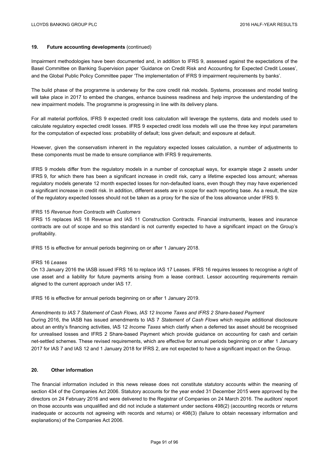# **19. Future accounting developments** (continued)

Impairment methodologies have been documented and, in addition to IFRS 9, assessed against the expectations of the Basel Committee on Banking Supervision paper 'Guidance on Credit Risk and Accounting for Expected Credit Losses', and the Global Public Policy Committee paper 'The implementation of IFRS 9 impairment requirements by banks'.

The build phase of the programme is underway for the core credit risk models. Systems, processes and model testing will take place in 2017 to embed the changes, enhance business readiness and help improve the understanding of the new impairment models. The programme is progressing in line with its delivery plans.

For all material portfolios, IFRS 9 expected credit loss calculation will leverage the systems, data and models used to calculate regulatory expected credit losses. IFRS 9 expected credit loss models will use the three key input parameters for the computation of expected loss: probability of default; loss given default; and exposure at default.

However, given the conservatism inherent in the regulatory expected losses calculation, a number of adjustments to these components must be made to ensure compliance with IFRS 9 requirements.

IFRS 9 models differ from the regulatory models in a number of conceptual ways, for example stage 2 assets under IFRS 9, for which there has been a significant increase in credit risk, carry a lifetime expected loss amount; whereas regulatory models generate 12 month expected losses for non-defaulted loans, even though they may have experienced a significant increase in credit risk. In addition, different assets are in scope for each reporting base. As a result, the size of the regulatory expected losses should not be taken as a proxy for the size of the loss allowance under IFRS 9.

## IFRS 15 *Revenue from Contracts with Customers*

IFRS 15 replaces IAS 18 Revenue and IAS 11 Construction Contracts. Financial instruments, leases and insurance contracts are out of scope and so this standard is not currently expected to have a significant impact on the Group's profitability.

IFRS 15 is effective for annual periods beginning on or after 1 January 2018.

## IFRS 16 *Leases*

On 13 January 2016 the IASB issued IFRS 16 to replace IAS 17 Leases. IFRS 16 requires lessees to recognise a right of use asset and a liability for future payments arising from a lease contract. Lessor accounting requirements remain aligned to the current approach under IAS 17.

IFRS 16 is effective for annual periods beginning on or after 1 January 2019.

# *Amendments to IAS 7 Statement of Cash Flows, IAS 12 Income Taxes and IFRS 2 Share-based Payment*

During 2016, the IASB has issued amendments to IAS 7 *Statement of Cash Flows* which require additional disclosure about an entity's financing activities, IAS 12 *Income Taxes* which clarify when a deferred tax asset should be recognised for unrealised losses and IFRS 2 Share-based Payment which provide guidance on accounting for cash and certain net-settled schemes. These revised requirements, which are effective for annual periods beginning on or after 1 January 2017 for IAS 7 and IAS 12 and 1 January 2018 for IFRS 2, are not expected to have a significant impact on the Group.

## **20. Other information**

The financial information included in this news release does not constitute statutory accounts within the meaning of section 434 of the Companies Act 2006. Statutory accounts for the year ended 31 December 2015 were approved by the directors on 24 February 2016 and were delivered to the Registrar of Companies on 24 March 2016. The auditors' report on those accounts was unqualified and did not include a statement under sections 498(2) (accounting records or returns inadequate or accounts not agreeing with records and returns) or 498(3) (failure to obtain necessary information and explanations) of the Companies Act 2006.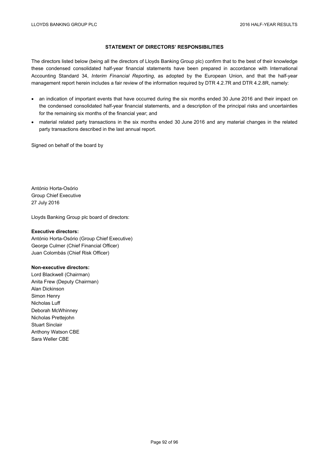# **STATEMENT OF DIRECTORS' RESPONSIBILITIES**

The directors listed below (being all the directors of Lloyds Banking Group plc) confirm that to the best of their knowledge these condensed consolidated half-year financial statements have been prepared in accordance with International Accounting Standard 34, *Interim Financial Reporting*, as adopted by the European Union, and that the half-year management report herein includes a fair review of the information required by DTR 4.2.7R and DTR 4.2.8R, namely:

- an indication of important events that have occurred during the six months ended 30 June 2016 and their impact on the condensed consolidated half-year financial statements, and a description of the principal risks and uncertainties for the remaining six months of the financial year; and
- material related party transactions in the six months ended 30 June 2016 and any material changes in the related party transactions described in the last annual report.

Signed on behalf of the board by

António Horta-Osório Group Chief Executive 27 July 2016

Lloyds Banking Group plc board of directors:

#### **Executive directors:**

António Horta-Osório (Group Chief Executive) George Culmer (Chief Financial Officer) Juan Colombás (Chief Risk Officer)

#### **Non-executive directors:**

Lord Blackwell (Chairman) Anita Frew (Deputy Chairman) Alan Dickinson Simon Henry Nicholas Luff Deborah McWhinney Nicholas Prettejohn Stuart Sinclair Anthony Watson CBE Sara Weller CBE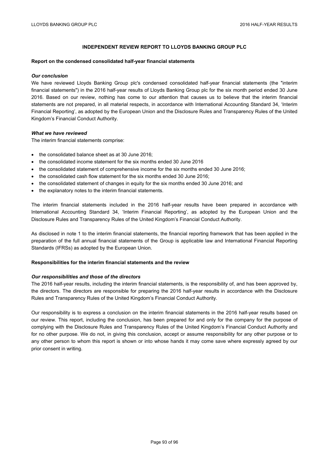# **INDEPENDENT REVIEW REPORT TO LLOYDS BANKING GROUP PLC**

#### **Report on the condensed consolidated half-year financial statements**

#### *Our conclusion*

We have reviewed Lloyds Banking Group plc's condensed consolidated half-year financial statements (the "interim financial statements") in the 2016 half-year results of Lloyds Banking Group plc for the six month period ended 30 June 2016. Based on our review, nothing has come to our attention that causes us to believe that the interim financial statements are not prepared, in all material respects, in accordance with International Accounting Standard 34, 'Interim Financial Reporting', as adopted by the European Union and the Disclosure Rules and Transparency Rules of the United Kingdom's Financial Conduct Authority.

## *What we have reviewed*

The interim financial statements comprise:

- the consolidated balance sheet as at 30 June 2016;
- the consolidated income statement for the six months ended 30 June 2016
- the consolidated statement of comprehensive income for the six months ended 30 June 2016;
- the consolidated cash flow statement for the six months ended 30 June 2016;
- the consolidated statement of changes in equity for the six months ended 30 June 2016; and
- the explanatory notes to the interim financial statements.

The interim financial statements included in the 2016 half-year results have been prepared in accordance with International Accounting Standard 34, 'Interim Financial Reporting', as adopted by the European Union and the Disclosure Rules and Transparency Rules of the United Kingdom's Financial Conduct Authority.

As disclosed in note 1 to the interim financial statements, the financial reporting framework that has been applied in the preparation of the full annual financial statements of the Group is applicable law and International Financial Reporting Standards (IFRSs) as adopted by the European Union.

# **Responsibilities for the interim financial statements and the review**

## *Our responsibilities and those of the directors*

The 2016 half-year results, including the interim financial statements, is the responsibility of, and has been approved by, the directors. The directors are responsible for preparing the 2016 half-year results in accordance with the Disclosure Rules and Transparency Rules of the United Kingdom's Financial Conduct Authority.

Our responsibility is to express a conclusion on the interim financial statements in the 2016 half-year results based on our review. This report, including the conclusion, has been prepared for and only for the company for the purpose of complying with the Disclosure Rules and Transparency Rules of the United Kingdom's Financial Conduct Authority and for no other purpose. We do not, in giving this conclusion, accept or assume responsibility for any other purpose or to any other person to whom this report is shown or into whose hands it may come save where expressly agreed by our prior consent in writing.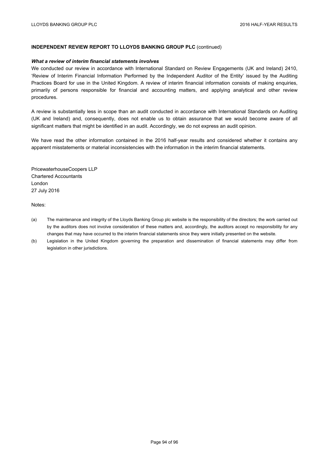# **INDEPENDENT REVIEW REPORT TO LLOYDS BANKING GROUP PLC** (continued)

#### *What a review of interim financial statements involves*

We conducted our review in accordance with International Standard on Review Engagements (UK and Ireland) 2410, 'Review of Interim Financial Information Performed by the Independent Auditor of the Entity' issued by the Auditing Practices Board for use in the United Kingdom. A review of interim financial information consists of making enquiries, primarily of persons responsible for financial and accounting matters, and applying analytical and other review procedures.

A review is substantially less in scope than an audit conducted in accordance with International Standards on Auditing (UK and Ireland) and, consequently, does not enable us to obtain assurance that we would become aware of all significant matters that might be identified in an audit. Accordingly, we do not express an audit opinion.

We have read the other information contained in the 2016 half-year results and considered whether it contains any apparent misstatements or material inconsistencies with the information in the interim financial statements.

PricewaterhouseCoopers LLP Chartered Accountants London 27 July 2016

Notes:

- (a) The maintenance and integrity of the Lloyds Banking Group plc website is the responsibility of the directors; the work carried out by the auditors does not involve consideration of these matters and, accordingly, the auditors accept no responsibility for any changes that may have occurred to the interim financial statements since they were initially presented on the website.
- (b) Legislation in the United Kingdom governing the preparation and dissemination of financial statements may differ from legislation in other jurisdictions.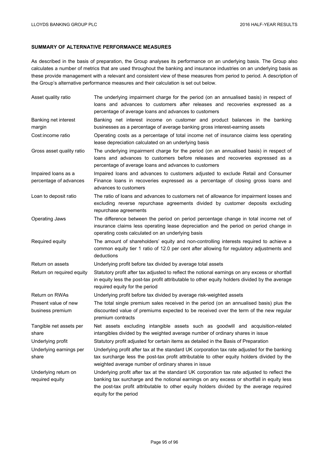# **SUMMARY OF ALTERNATIVE PERFORMANCE MEASURES**

As described in the basis of preparation, the Group analyses its performance on an underlying basis. The Group also calculates a number of metrics that are used throughout the banking and insurance industries on an underlying basis as these provide management with a relevant and consistent view of these measures from period to period. A description of the Group's alternative performance measures and their calculation is set out below.

| Asset quality ratio                           | The underlying impairment charge for the period (on an annualised basis) in respect of<br>loans and advances to customers after releases and recoveries expressed as a<br>percentage of average loans and advances to customers                                                                               |
|-----------------------------------------------|---------------------------------------------------------------------------------------------------------------------------------------------------------------------------------------------------------------------------------------------------------------------------------------------------------------|
| Banking net interest<br>margin                | Banking net interest income on customer and product balances in the banking<br>businesses as a percentage of average banking gross interest-earning assets                                                                                                                                                    |
| Cost:income ratio                             | Operating costs as a percentage of total income net of insurance claims less operating<br>lease depreciation calculated on an underlying basis                                                                                                                                                                |
| Gross asset quality ratio                     | The underlying impairment charge for the period (on an annualised basis) in respect of<br>loans and advances to customers before releases and recoveries expressed as a<br>percentage of average loans and advances to customers                                                                              |
| Impaired loans as a<br>percentage of advances | Impaired loans and advances to customers adjusted to exclude Retail and Consumer<br>Finance loans in recoveries expressed as a percentage of closing gross loans and<br>advances to customers                                                                                                                 |
| Loan to deposit ratio                         | The ratio of loans and advances to customers net of allowance for impairment losses and<br>excluding reverse repurchase agreements divided by customer deposits excluding<br>repurchase agreements                                                                                                            |
| <b>Operating Jaws</b>                         | The difference between the period on period percentage change in total income net of<br>insurance claims less operating lease depreciation and the period on period change in<br>operating costs calculated on an underlying basis                                                                            |
| Required equity                               | The amount of shareholders' equity and non-controlling interests required to achieve a<br>common equity tier 1 ratio of 12.0 per cent after allowing for regulatory adjustments and<br>deductions                                                                                                             |
| Return on assets                              | Underlying profit before tax divided by average total assets                                                                                                                                                                                                                                                  |
| Return on required equity                     | Statutory profit after tax adjusted to reflect the notional earnings on any excess or shortfall<br>in equity less the post-tax profit attributable to other equity holders divided by the average<br>required equity for the period                                                                           |
| <b>Return on RWAs</b>                         | Underlying profit before tax divided by average risk-weighted assets                                                                                                                                                                                                                                          |
| Present value of new<br>business premium      | The total single premium sales received in the period (on an annualised basis) plus the<br>discounted value of premiums expected to be received over the term of the new regular<br>premium contracts                                                                                                         |
| Tangible net assets per<br>share              | Net assets excluding intangible assets such as goodwill and acquisition-related<br>intangibles divided by the weighted average number of ordinary shares in issue                                                                                                                                             |
| Underlying profit                             | Statutory profit adjusted for certain items as detailed in the Basis of Preparation                                                                                                                                                                                                                           |
| Underlying earnings per<br>share              | Underlying profit after tax at the standard UK corporation tax rate adjusted for the banking<br>tax surcharge less the post-tax profit attributable to other equity holders divided by the<br>weighted average number of ordinary shares in issue                                                             |
| Underlying return on<br>required equity       | Underlying profit after tax at the standard UK corporation tax rate adjusted to reflect the<br>banking tax surcharge and the notional earnings on any excess or shortfall in equity less<br>the post-tax profit attributable to other equity holders divided by the average required<br>equity for the period |